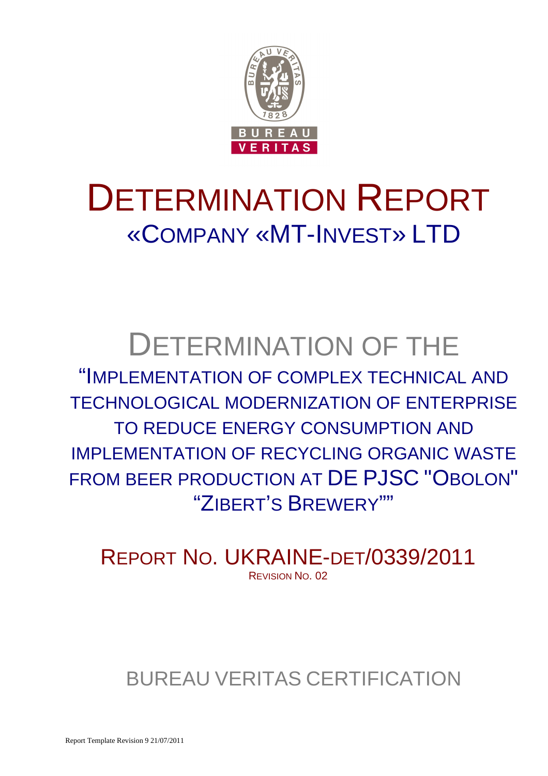

# DETERMINATION REPORT «COMPANY «MT-INVEST» LTD

# DETERMINATION OF THE

"IMPLEMENTATION OF COMPLEX TECHNICAL AND TECHNOLOGICAL MODERNIZATION OF ENTERPRISE TO REDUCE ENERGY CONSUMPTION AND IMPLEMENTATION OF RECYCLING ORGANIC WASTE FROM BEER PRODUCTION AT DE PJSC "OBOLON" "ZIBERT'S BREWERY""

REPORT NO. UKRAINE-DET/0339/2011 REVISION NO. 02

BUREAU VERITAS CERTIFICATION

Report Template Revision 9 21/07/2011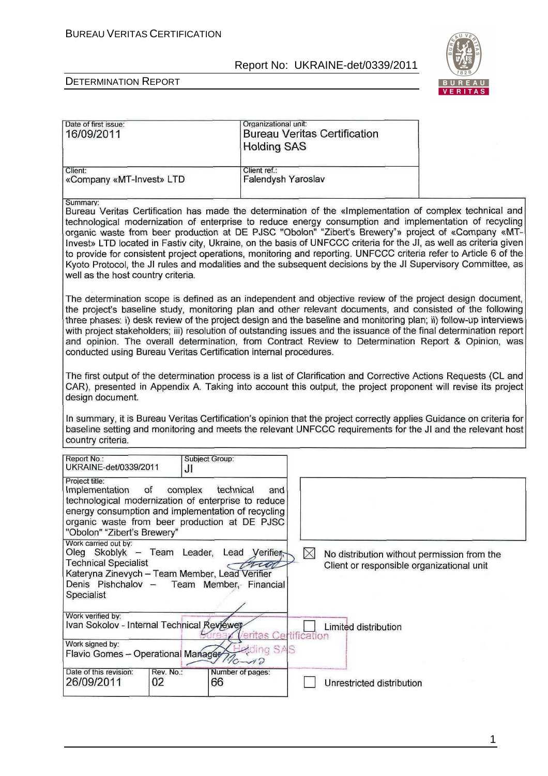Organizational unit:



T

### DETERMINATION REPORT

Date of first issue:

| Date of first issue:<br>16/09/2011                                                                                                                                                                                                         |                                                                                                                                                                                                                                     | Organizational unit.<br><b>Holding SAS</b>  |               | <b>Bureau Veritas Certification</b>                                                      |                                                                                                                                                                                                                                                                                                                                                                                                                                                                                                                                                                                                                                                                                     |  |
|--------------------------------------------------------------------------------------------------------------------------------------------------------------------------------------------------------------------------------------------|-------------------------------------------------------------------------------------------------------------------------------------------------------------------------------------------------------------------------------------|---------------------------------------------|---------------|------------------------------------------------------------------------------------------|-------------------------------------------------------------------------------------------------------------------------------------------------------------------------------------------------------------------------------------------------------------------------------------------------------------------------------------------------------------------------------------------------------------------------------------------------------------------------------------------------------------------------------------------------------------------------------------------------------------------------------------------------------------------------------------|--|
| Client:<br>«Company «MT-Invest» LTD                                                                                                                                                                                                        |                                                                                                                                                                                                                                     | Client ref.:<br>Falendysh Yaroslav          |               |                                                                                          |                                                                                                                                                                                                                                                                                                                                                                                                                                                                                                                                                                                                                                                                                     |  |
| Summary:<br>well as the host country criteria.                                                                                                                                                                                             |                                                                                                                                                                                                                                     |                                             |               |                                                                                          | Bureau Veritas Certification has made the determination of the «Implementation of complex technical and<br>technological modernization of enterprise to reduce energy consumption and implementation of recycling<br>organic waste from beer production at DE PJSC "Obolon" "Zibert's Brewery"» project of «Company «MT-<br>Invest» LTD located in Fastiv city, Ukraine, on the basis of UNFCCC criteria for the JI, as well as criteria given<br>to provide for consistent project operations, monitoring and reporting. UNFCCC criteria refer to Article 6 of the<br>Kyoto Protocol, the JI rules and modalities and the subsequent decisions by the JI Supervisory Committee, as |  |
| conducted using Bureau Veritas Certification internal procedures.                                                                                                                                                                          |                                                                                                                                                                                                                                     |                                             |               |                                                                                          | The determination scope is defined as an independent and objective review of the project design document,<br>the project's baseline study, monitoring plan and other relevant documents, and consisted of the following<br>three phases: i) desk review of the project design and the baseline and monitoring plan; ii) follow-up interviews<br>with project stakeholders; iii) resolution of outstanding issues and the issuance of the final determination report<br>and opinion. The overall determination, from Contract Review to Determination Report & Opinion, was                                                                                                          |  |
| design document.                                                                                                                                                                                                                           | The first output of the determination process is a list of Clarification and Corrective Actions Requests (CL and<br>CAR), presented in Appendix A. Taking into account this output, the project proponent will revise its project   |                                             |               |                                                                                          |                                                                                                                                                                                                                                                                                                                                                                                                                                                                                                                                                                                                                                                                                     |  |
| country criteria.                                                                                                                                                                                                                          | In summary, it is Bureau Veritas Certification's opinion that the project correctly applies Guidance on criteria for<br>baseline setting and monitoring and meets the relevant UNFCCC requirements for the JI and the relevant host |                                             |               |                                                                                          |                                                                                                                                                                                                                                                                                                                                                                                                                                                                                                                                                                                                                                                                                     |  |
| Report No.:<br>UKRAINE-det/0339/2011                                                                                                                                                                                                       | JI                                                                                                                                                                                                                                  | Subject Group:                              |               |                                                                                          |                                                                                                                                                                                                                                                                                                                                                                                                                                                                                                                                                                                                                                                                                     |  |
| Project title:<br>Implementation<br><b>of</b><br>technological modernization of enterprise to reduce<br>energy consumption and implementation of recycling<br>organic waste from beer production at DE PJSC<br>"Obolon" "Zibert's Brewery" | complex                                                                                                                                                                                                                             | technical<br>and                            |               |                                                                                          |                                                                                                                                                                                                                                                                                                                                                                                                                                                                                                                                                                                                                                                                                     |  |
| Work carried out by:<br>Oleg Skoblyk -<br><b>Technical Specialist</b><br>Kateryna Zinevych - Team Member, Lead Verifier<br>Denis Pishchalov -<br>Specialist                                                                                | Team Leader, Lead                                                                                                                                                                                                                   | Verifier,<br>Tien<br>Team Member, Financial | $\boxtimes$   | No distribution without permission from the<br>Client or responsible organizational unit |                                                                                                                                                                                                                                                                                                                                                                                                                                                                                                                                                                                                                                                                                     |  |
| Work verified by:<br>Ivan Sokolov - Internal Technical Reviéwer<br>Work signed by:<br>Flavio Gomes - Operational Manages                                                                                                                   |                                                                                                                                                                                                                                     | as<br>ding SAS<br>$4\Omega$                 | Certification | Limited distribution                                                                     |                                                                                                                                                                                                                                                                                                                                                                                                                                                                                                                                                                                                                                                                                     |  |
| Date of this revision:<br>26/09/2011                                                                                                                                                                                                       | Rev. No.:<br>02                                                                                                                                                                                                                     | Number of pages:<br>66                      |               | Unrestricted distribution                                                                |                                                                                                                                                                                                                                                                                                                                                                                                                                                                                                                                                                                                                                                                                     |  |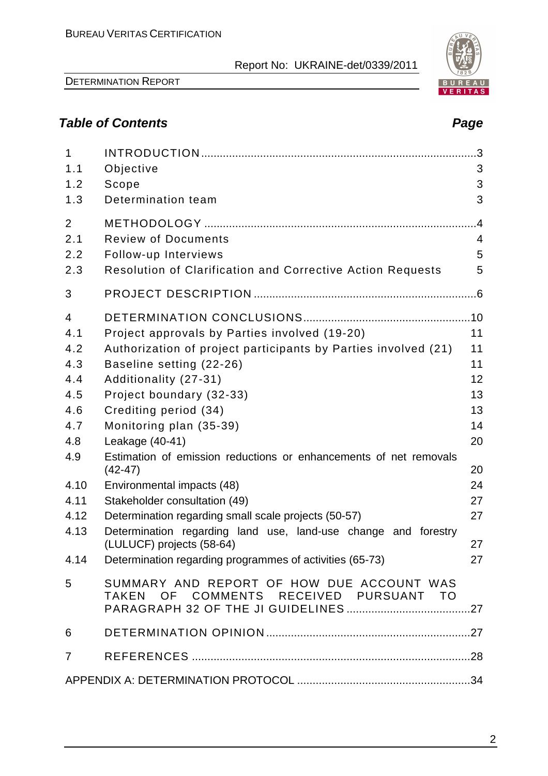DETERMINATION REPORT

# **Table of Contents Page**

| $\mathbf{1}$   |                                                                                     | 3              |
|----------------|-------------------------------------------------------------------------------------|----------------|
| 1.1            | Objective                                                                           | 3              |
| 1.2            | Scope                                                                               | 3              |
| 1.3            | Determination team                                                                  | 3              |
| 2              |                                                                                     | .4             |
| 2.1            | <b>Review of Documents</b>                                                          | $\overline{4}$ |
| 2.2            | Follow-up Interviews                                                                | 5              |
| 2.3            | <b>Resolution of Clarification and Corrective Action Requests</b>                   | 5              |
| 3              |                                                                                     |                |
| $\overline{4}$ |                                                                                     |                |
| 4.1            | Project approvals by Parties involved (19-20)                                       | 11             |
| 4.2            | Authorization of project participants by Parties involved (21)                      | 11             |
| 4.3            | Baseline setting (22-26)                                                            | 11             |
| 4.4            | Additionality (27-31)                                                               | 12             |
| 4.5            | Project boundary (32-33)                                                            | 13             |
| 4.6            | Crediting period (34)                                                               | 13             |
| 4.7            | Monitoring plan (35-39)                                                             | 14             |
| 4.8            | Leakage (40-41)                                                                     | 20             |
| 4.9            | Estimation of emission reductions or enhancements of net removals<br>$(42 - 47)$    | 20             |
| 4.10           | Environmental impacts (48)                                                          | 24             |
| 4.11           | Stakeholder consultation (49)                                                       | 27             |
| 4.12           | Determination regarding small scale projects (50-57)                                | 27             |
| 4.13           | Determination regarding land use, land-use change and forestry                      |                |
|                | (LULUCF) projects (58-64)                                                           | 27             |
|                | 4.14 Determination regarding programmes of activities (65-73)                       | 27             |
| 5              | SUMMARY AND REPORT OF HOW DUE ACCOUNT WAS<br>TAKEN OF COMMENTS RECEIVED PURSUANT TO |                |
| 6              |                                                                                     |                |
|                |                                                                                     |                |
| $\overline{7}$ |                                                                                     |                |
|                |                                                                                     |                |

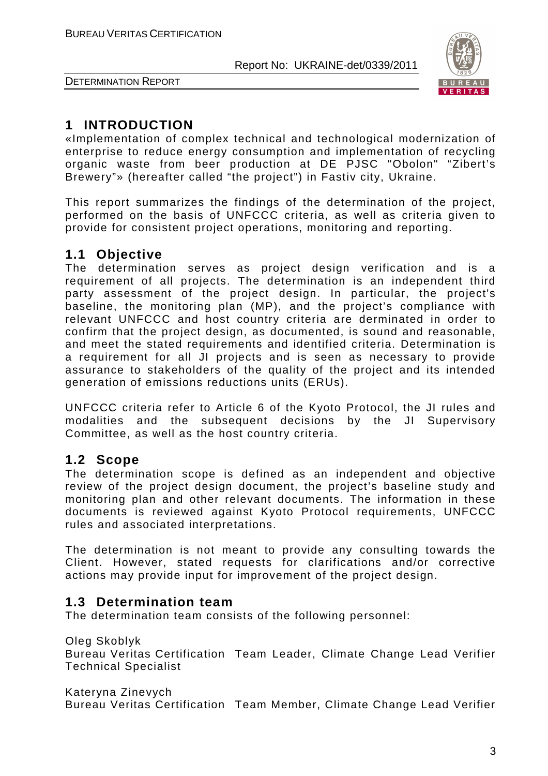

DETERMINATION REPORT

# **1 INTRODUCTION**

«Implementation of complex technical and technological modernization of enterprise to reduce energy consumption and implementation of recycling organic waste from beer production at DE PJSC "Obolon" "Zibert's Brewery"» (hereafter called "the project") in Fastiv city, Ukraine.

This report summarizes the findings of the determination of the project, performed on the basis of UNFCCC criteria, as well as criteria given to provide for consistent project operations, monitoring and reporting.

# **1.1 Objective**

The determination serves as project design verification and is a requirement of all projects. The determination is an independent third party assessment of the project design. In particular, the project's baseline, the monitoring plan (MP), and the project's compliance with relevant UNFCCC and host country criteria are derminated in order to confirm that the project design, as documented, is sound and reasonable, and meet the stated requirements and identified criteria. Determination is a requirement for all JI projects and is seen as necessary to provide assurance to stakeholders of the quality of the project and its intended generation of emissions reductions units (ERUs).

UNFCCC criteria refer to Article 6 of the Kyoto Protocol, the JI rules and modalities and the subsequent decisions by the JI Supervisory Committee, as well as the host country criteria.

# **1.2 Scope**

The determination scope is defined as an independent and objective review of the project design document, the project's baseline study and monitoring plan and other relevant documents. The information in these documents is reviewed against Kyoto Protocol requirements, UNFCCC rules and associated interpretations.

The determination is not meant to provide any consulting towards the Client. However, stated requests for clarifications and/or corrective actions may provide input for improvement of the project design.

# **1.3 Determination team**

The determination team consists of the following personnel:

Oleg Skoblyk

Bureau Veritas Certification Team Leader, Climate Change Lead Verifier Technical Specialist

Kateryna Zinevych

Bureau Veritas Certification Team Member, Climate Change Lead Verifier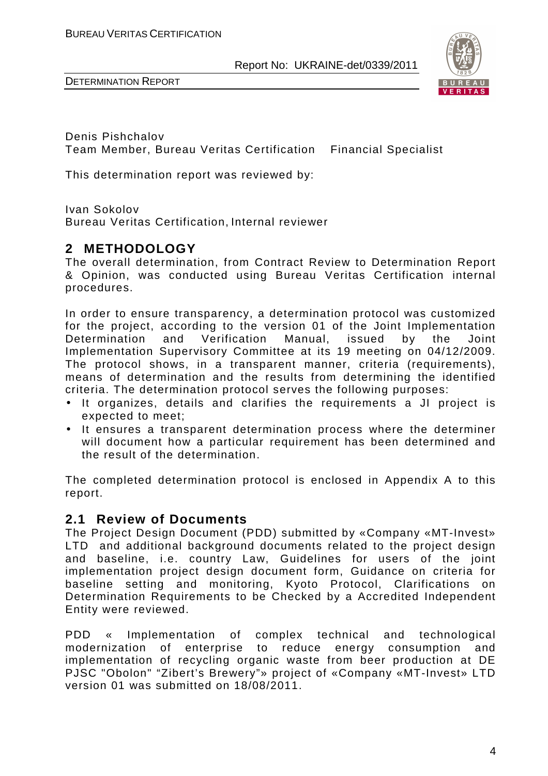



Denis Pishchalov Team Member, Bureau Veritas Certification Financial Specialist

This determination report was reviewed by:

Ivan Sokolov

Bureau Veritas Certification, Internal reviewer

# **2 METHODOLOGY**

The overall determination, from Contract Review to Determination Report & Opinion, was conducted using Bureau Veritas Certification internal procedures.

In order to ensure transparency, a determination protocol was customized for the project, according to the version 01 of the Joint Implementation Determination and Verification Manual, issued by the Joint Implementation Supervisory Committee at its 19 meeting on 04/12/2009. The protocol shows, in a transparent manner, criteria (requirements), means of determination and the results from determining the identified criteria. The determination protocol serves the following purposes:

- It organizes, details and clarifies the requirements a JI project is expected to meet;
- It ensures a transparent determination process where the determiner will document how a particular requirement has been determined and the result of the determination.

The completed determination protocol is enclosed in Appendix A to this report.

# **2.1 Review of Documents**

The Project Design Document (PDD) submitted by «Company «MT-Invest» LTD and additional background documents related to the project design and baseline, i.e. country Law, Guidelines for users of the joint implementation project design document form, Guidance on criteria for baseline setting and monitoring, Kyoto Protocol, Clarifications on Determination Requirements to be Checked by a Accredited Independent Entity were reviewed.

PDD « Implementation of complex technical and technological modernization of enterprise to reduce energy consumption and implementation of recycling organic waste from beer production at DE PJSC "Obolon" "Zibert's Brewery"» project of «Company «MT-Invest» LTD version 01 was submitted on 18/08/2011.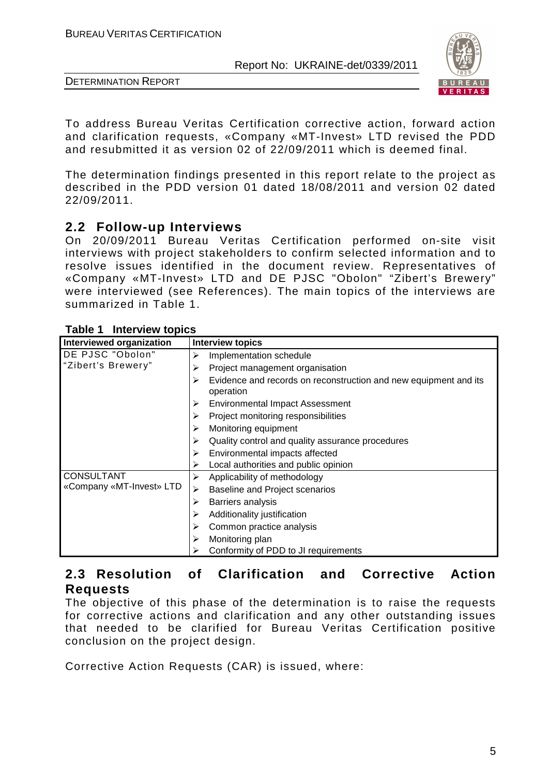



To address Bureau Veritas Certification corrective action, forward action and clarification requests, «Company «MT-Invest» LTD revised the PDD and resubmitted it as version 02 of 22/09/2011 which is deemed final.

The determination findings presented in this report relate to the project as described in the PDD version 01 dated 18/08/2011 and version 02 dated 22/09/2011.

# **2.2 Follow-up Interviews**

On 20/09/2011 Bureau Veritas Certification performed on-site visit interviews with project stakeholders to confirm selected information and to resolve issues identified in the document review. Representatives of «Company «MT-Invest» LTD and DE PJSC "Obolon" "Zibert's Brewery" were interviewed (see References). The main topics of the interviews are summarized in Table 1.

| Interviewed organization | <b>Interview topics</b>                                                       |
|--------------------------|-------------------------------------------------------------------------------|
| DE PJSC "Obolon"         | Implementation schedule<br>⋗                                                  |
| "Zibert's Brewery"       | Project management organisation                                               |
|                          | Evidence and records on reconstruction and new equipment and its<br>operation |
|                          | <b>Environmental Impact Assessment</b>                                        |
|                          | Project monitoring responsibilities                                           |
|                          | Monitoring equipment                                                          |
|                          | Quality control and quality assurance procedures                              |
|                          | Environmental impacts affected                                                |
|                          | Local authorities and public opinion                                          |
| <b>CONSULTANT</b>        | Applicability of methodology<br>⋗                                             |
| «Company «MT-Invest» LTD | <b>Baseline and Project scenarios</b><br>➤                                    |
|                          | Barriers analysis                                                             |
|                          | Additionality justification                                                   |
|                          | Common practice analysis                                                      |
|                          | Monitoring plan<br>⋗                                                          |
|                          | Conformity of PDD to JI requirements                                          |

### **Table 1 Interview topics**

# **2.3 Resolution of Clarification and Corrective Action Requests**

The objective of this phase of the determination is to raise the requests for corrective actions and clarification and any other outstanding issues that needed to be clarified for Bureau Veritas Certification positive conclusion on the project design.

Corrective Action Requests (CAR) is issued, where: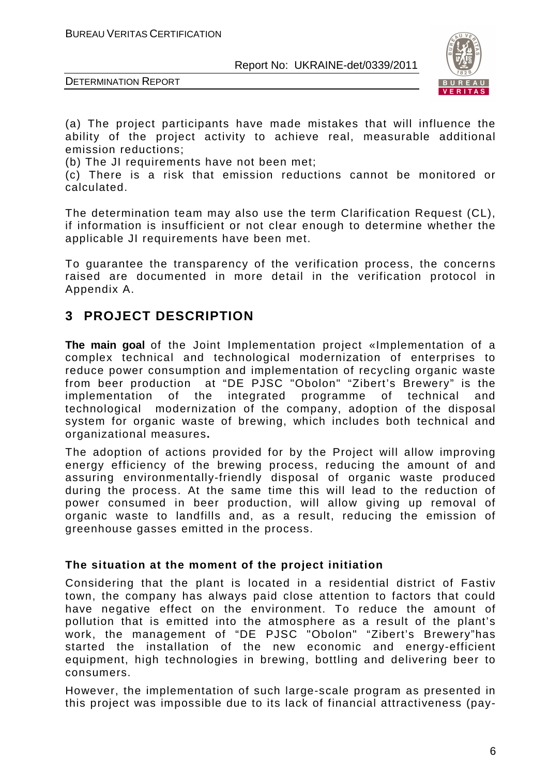

DETERMINATION REPORT

(a) The project participants have made mistakes that will influence the ability of the project activity to achieve real, measurable additional emission reductions;

(b) The JI requirements have not been met;

(c) There is a risk that emission reductions cannot be monitored or calculated.

The determination team may also use the term Clarification Request (CL), if information is insufficient or not clear enough to determine whether the applicable JI requirements have been met.

To guarantee the transparency of the verification process, the concerns raised are documented in more detail in the verification protocol in Appendix A.

# **3 PROJECT DESCRIPTION**

**The main goal** of the Joint Implementation project «Implementation of a complex technical and technological modernization of enterprises to reduce power consumption and implementation of recycling organic waste from beer productionat "DE PJSC "Obolon" "Zibert's Brewery" is the implementation of the integrated programme of technical and technological modernization of the company, adoption of the disposal system for organic waste of brewing, which includes both technical and organizational measures**.** 

The adoption of actions provided for by the Project will allow improving energy efficiency of the brewing process, reducing the amount of and assuring environmentally-friendly disposal of organic waste produced during the process. At the same time this will lead to the reduction of power consumed in beer production, will allow giving up removal of organic waste to landfills and, as a result, reducing the emission of greenhouse gasses emitted in the process.

#### **The situation at the moment of the project initiation**

Considering that the plant is located in a residential district of Fastiv town, the company has always paid close attention to factors that could have negative effect on the environment. To reduce the amount of pollution that is emitted into the atmosphere as a result of the plant's work, the management of "DE PJSC "Obolon" "Zibert's Brewery"has started the installation of the new economic and energy-efficient equipment, high technologies in brewing, bottling and delivering beer to consumers.

However, the implementation of such large-scale program as presented in this project was impossible due to its lack of financial attractiveness (pay-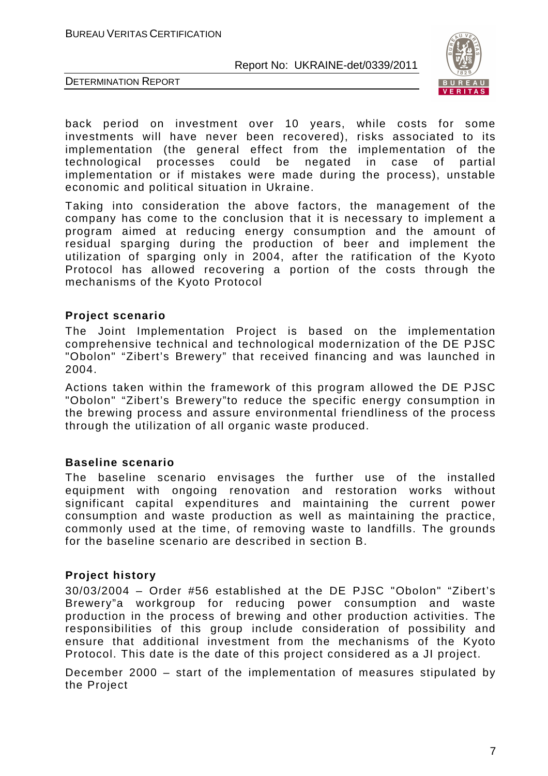



back period on investment over 10 years, while costs for some investments will have never been recovered), risks associated to its implementation (the general effect from the implementation of the technological processes could be negated in case of partial implementation or if mistakes were made during the process), unstable economic and political situation in Ukraine.

Taking into consideration the above factors, the management of the company has come to the conclusion that it is necessary to implement a program aimed at reducing energy consumption and the amount of residual sparging during the production of beer and implement the utilization of sparging only in 2004, after the ratification of the Kyoto Protocol has allowed recovering a portion of the costs through the mechanisms of the Kyoto Protocol

### **Project scenario**

The Joint Implementation Project is based on the implementation comprehensive technical and technological modernization of the DE PJSC "Obolon" "Zibert's Brewery" that received financing and was launched in 2004.

Actions taken within the framework of this program allowed the DE PJSC "Obolon" "Zibert's Brewery"to reduce the specific energy consumption in the brewing process and assure environmental friendliness of the process through the utilization of all organic waste produced.

#### **Baseline scenario**

The baseline scenario envisages the further use of the installed equipment with ongoing renovation and restoration works without significant capital expenditures and maintaining the current power consumption and waste production as well as maintaining the practice, commonly used at the time, of removing waste to landfills. The grounds for the baseline scenario are described in section B.

#### **Project history**

30/03/2004 – Order #56 established at the DE PJSC "Obolon" "Zibert's Brewery"a workgroup for reducing power consumption and waste production in the process of brewing and other production activities. The responsibilities of this group include consideration of possibility and ensure that additional investment from the mechanisms of the Kyoto Protocol. This date is the date of this project considered as a JI project.

December 2000 – start of the implementation of measures stipulated by the Project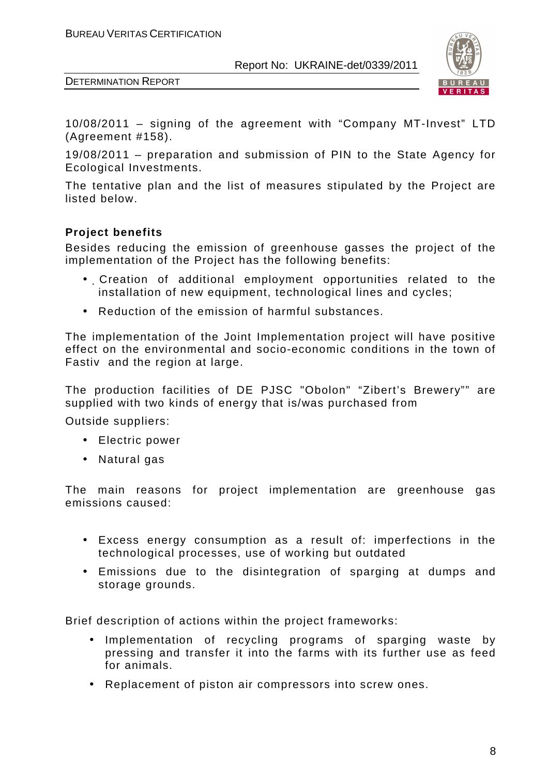

DETERMINATION REPORT

10/08/2011 – signing of the agreement with "Company MT-Invest" LTD (Agreement #158).

19/08/2011 – preparation and submission of PIN to the State Agency for Ecological Investments.

The tentative plan and the list of measures stipulated by the Project are listed below.

# **Project benefits**

Besides reducing the emission of greenhouse gasses the project of the implementation of the Project has the following benefits:

- Creation of additional employment opportunities related to the installation of new equipment, technological lines and cycles;
- Reduction of the emission of harmful substances.

The implementation of the Joint Implementation project will have positive effect on the environmental and socio-economic conditions in the town of Fastiv and the region at large.

The production facilities of DE PJSC "Obolon" "Zibert's Brewery"" are supplied with two kinds of energy that is/was purchased from

Outside suppliers:

- Electric power
- Natural gas

The main reasons for project implementation are greenhouse gas emissions caused:

- Excess energy consumption as a result of: imperfections in the technological processes, use of working but outdated
- Emissions due to the disintegration of sparging at dumps and storage grounds.

Brief description of actions within the project frameworks:

- Implementation of recycling programs of sparging waste by pressing and transfer it into the farms with its further use as feed for animals.
- Replacement of piston air compressors into screw ones.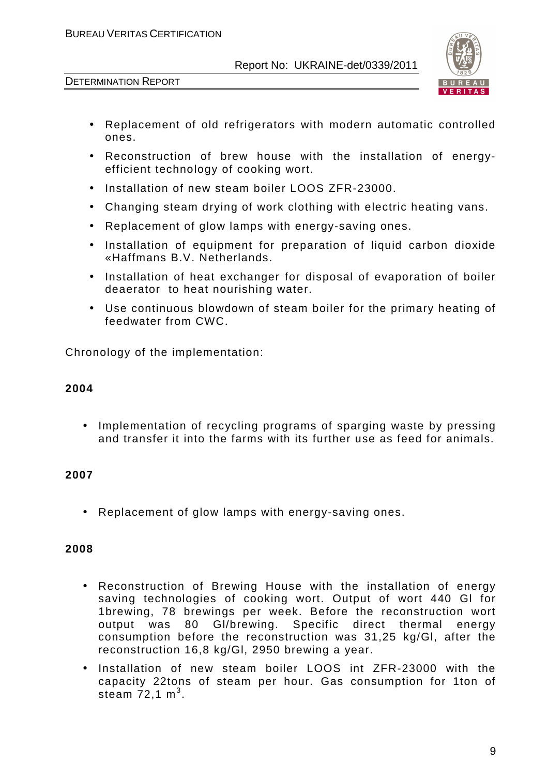

DETERMINATION REPORT

- Replacement of old refrigerators with modern automatic controlled ones.
- Reconstruction of brew house with the installation of energyefficient technology of cooking wort.
- Installation of new steam boiler LOOS ZFR-23000.
- Changing steam drying of work clothing with electric heating vans.
- Replacement of glow lamps with energy-saving ones.
- Installation of equipment for preparation of liquid carbon dioxide «Haffmans B.V. Netherlands.
- Installation of heat exchanger for disposal of evaporation of boiler deaerator to heat nourishing water.
- Use continuous blowdown of steam boiler for the primary heating of feedwater from CWC.

Chronology of the implementation:

# **2004**

• Implementation of recycling programs of sparging waste by pressing and transfer it into the farms with its further use as feed for animals.

# **2007**

• Replacement of glow lamps with energy-saving ones.

# **2008**

- Reconstruction of Brewing House with the installation of energy saving technologies of cooking wort. Output of wort 440 Gl for 1brewing, 78 brewings per week. Before the reconstruction wort output was 80 Gl/brewing. Specific direct thermal energy consumption before the reconstruction was 31,25 kg/Gl, after the reconstruction 16,8 kg/Gl, 2950 brewing a year.
- Installation of new steam boiler LOOS int ZFR-23000 with the capacity 22tons of steam per hour. Gas consumption for 1ton of steam  $72,1 \text{ m}^3$ .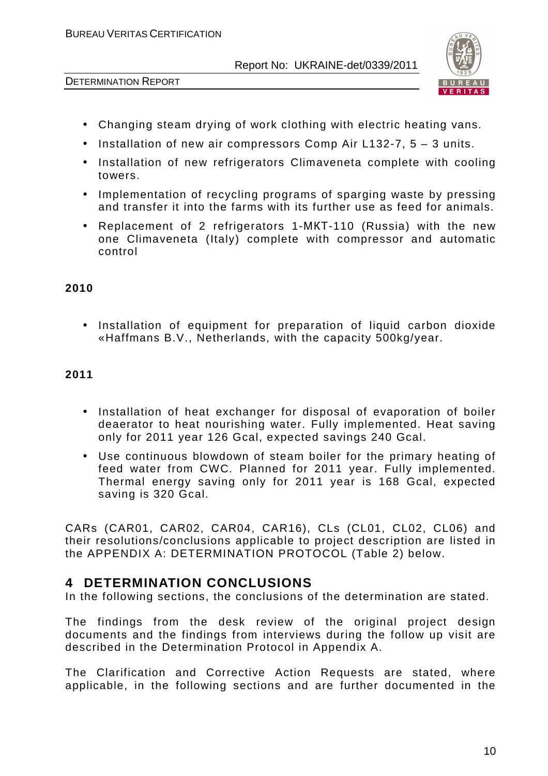

DETERMINATION REPORT

- Changing steam drying of work clothing with electric heating vans.
- Installation of new air compressors Comp Air L132-7, 5 3 units.
- Installation of new refrigerators Climaveneta complete with cooling towers.
- Implementation of recycling programs of sparging waste by pressing and transfer it into the farms with its further use as feed for animals.
- Replacement of 2 refrigerators 1-МКТ-110 (Russia) with the new one Climaveneta (Italy) complete with compressor and automatic control

### **2010**

• Installation of equipment for preparation of liquid carbon dioxide «Haffmans B.V., Netherlands, with the capacity 500kg/year.

### **2011**

- Installation of heat exchanger for disposal of evaporation of boiler deaerator to heat nourishing water. Fully implemented. Heat saving only for 2011 year 126 Gcal, expected savings 240 Gcal.
- Use continuous blowdown of steam boiler for the primary heating of feed water from CWC. Planned for 2011 year. Fully implemented. Thermal energy saving only for 2011 year is 168 Gcal, expected saving is 320 Gcal.

CARs (CAR01, CAR02, CAR04, CAR16), CLs (CL01, CL02, CL06) and their resolutions/conclusions applicable to project description are listed in the APPENDIX A: DETERMINATION PROTOCOL (Table 2) below.

# **4 DETERMINATION CONCLUSIONS**

In the following sections, the conclusions of the determination are stated.

The findings from the desk review of the original project design documents and the findings from interviews during the follow up visit are described in the Determination Protocol in Appendix A.

The Clarification and Corrective Action Requests are stated, where applicable, in the following sections and are further documented in the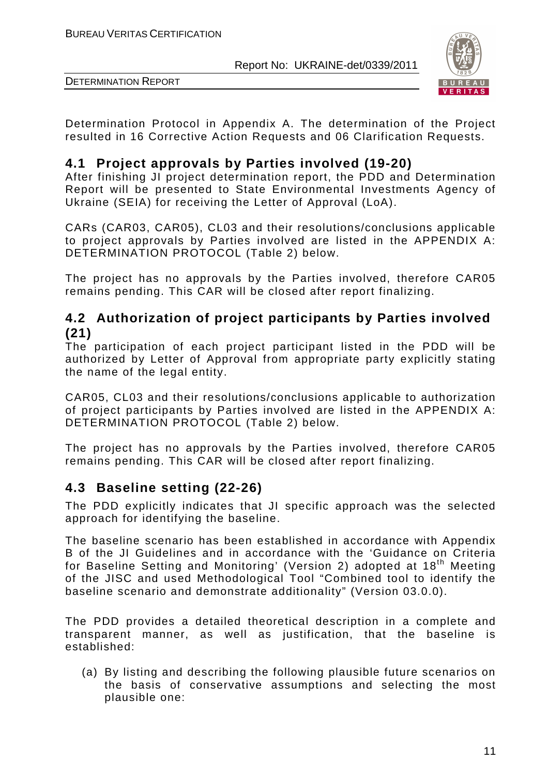

DETERMINATION REPORT

Determination Protocol in Appendix A. The determination of the Project resulted in 16 Corrective Action Requests and 06 Clarification Requests.

# **4.1 Project approvals by Parties involved (19-20)**

After finishing JI project determination report, the PDD and Determination Report will be presented to State Environmental Investments Agency of Ukraine (SEIA) for receiving the Letter of Approval (LoA).

CARs (CAR03, CAR05), CL03 and their resolutions/conclusions applicable to project approvals by Parties involved are listed in the APPENDIX A: DETERMINATION PROTOCOL (Table 2) below.

The project has no approvals by the Parties involved, therefore CAR05 remains pending. This CAR will be closed after report finalizing.

# **4.2 Authorization of project participants by Parties involved (21)**

The participation of each project participant listed in the PDD will be authorized by Letter of Approval from appropriate party explicitly stating the name of the legal entity.

CAR05, CL03 and their resolutions/conclusions applicable to authorization of project participants by Parties involved are listed in the APPENDIX A: DETERMINATION PROTOCOL (Table 2) below.

The project has no approvals by the Parties involved, therefore CAR05 remains pending. This CAR will be closed after report finalizing.

# **4.3 Baseline setting (22-26)**

The PDD explicitly indicates that JI specific approach was the selected approach for identifying the baseline.

The baseline scenario has been established in accordance with Appendix B of the JI Guidelines and in accordance with the 'Guidance on Criteria for Baseline Setting and Monitoring' (Version 2) adopted at 18<sup>th</sup> Meeting of the JISC and used Methodological Tool "Combined tool to identify the baseline scenario and demonstrate additionality" (Version 03.0.0).

The PDD provides a detailed theoretical description in a complete and transparent manner, as well as justification, that the baseline is established:

(a) By listing and describing the following plausible future scenarios on the basis of conservative assumptions and selecting the most plausible one: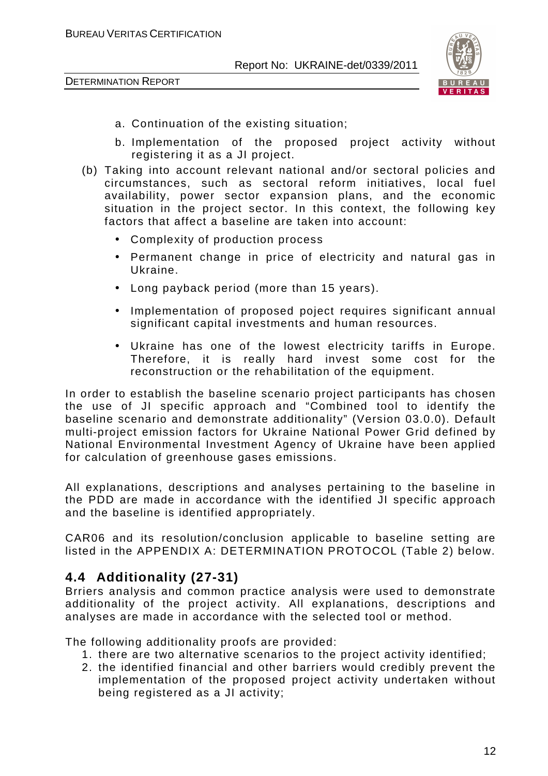

- a. Continuation of the existing situation;
- b. Implementation of the proposed project activity without registering it as a JI project.
- (b) Taking into account relevant national and/or sectoral policies and circumstances, such as sectoral reform initiatives, local fuel availability, power sector expansion plans, and the economic situation in the project sector. In this context, the following key factors that affect a baseline are taken into account:
	- Complexity of production process
	- Permanent change in price of electricity and natural gas in Ukraine.
	- Long payback period (more than 15 years).
	- Implementation of proposed poject requires significant annual significant capital investments and human resources.
	- Ukraine has one of the lowest electricity tariffs in Europe. Therefore, it is really hard invest some cost for the reconstruction or the rehabilitation of the equipment.

In order to establish the baseline scenario project participants has chosen the use of JI specific approach and "Combined tool to identify the baseline scenario and demonstrate additionality" (Version 03.0.0). Default multi-project emission factors for Ukraine National Power Grid defined by National Environmental Investment Agency of Ukraine have been applied for calculation of greenhouse gases emissions.

All explanations, descriptions and analyses pertaining to the baseline in the PDD are made in accordance with the identified JI specific approach and the baseline is identified appropriately.

CAR06 and its resolution/conclusion applicable to baseline setting are listed in the APPENDIX A: DETERMINATION PROTOCOL (Table 2) below.

# **4.4 Additionality (27-31)**

Brriers analysis and common practice analysis were used to demonstrate additionality of the project activity. All explanations, descriptions and analyses are made in accordance with the selected tool or method.

The following additionality proofs are provided:

- 1. there are two alternative scenarios to the project activity identified;
- 2. the identified financial and other barriers would credibly prevent the implementation of the proposed project activity undertaken without being registered as a JI activity;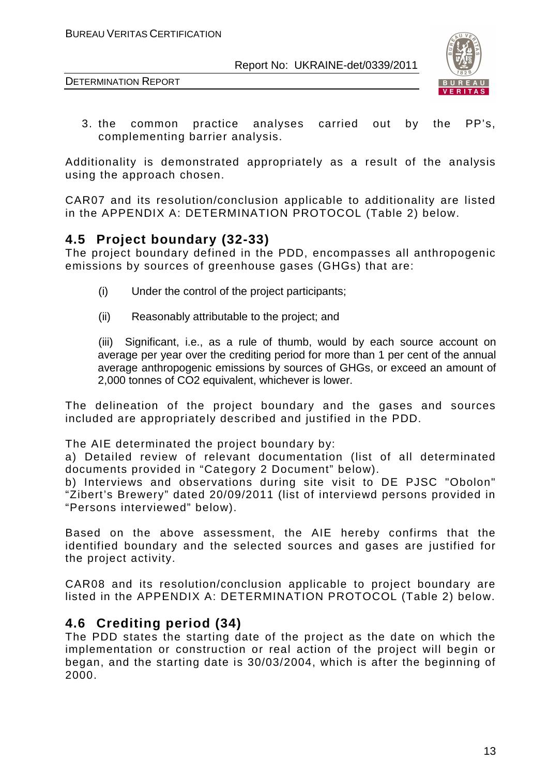

3. the common practice analyses carried out by the PP's, complementing barrier analysis.

Additionality is demonstrated appropriately as a result of the analysis using the approach chosen.

CAR07 and its resolution/conclusion applicable to additionality are listed in the APPENDIX A: DETERMINATION PROTOCOL (Table 2) below.

# **4.5 Project boundary (32-33)**

The project boundary defined in the PDD, encompasses all anthropogenic emissions by sources of greenhouse gases (GHGs) that are:

- (i) Under the control of the project participants;
- (ii) Reasonably attributable to the project; and

(iii) Significant, i.e., as a rule of thumb, would by each source account on average per year over the crediting period for more than 1 per cent of the annual average anthropogenic emissions by sources of GHGs, or exceed an amount of 2,000 tonnes of CO2 equivalent, whichever is lower.

The delineation of the project boundary and the gases and sources included are appropriately described and justified in the PDD.

The AIE determinated the project boundary by:

a) Detailed review of relevant documentation (list of all determinated documents provided in "Category 2 Document" below).

b) Interviews and observations during site visit to DE PJSC "Obolon" "Zibert's Brewery" dated 20/09/2011 (list of interviewd persons provided in "Persons interviewed" below).

Based on the above assessment, the AIE hereby confirms that the identified boundary and the selected sources and gases are justified for the project activity.

CAR08 and its resolution/conclusion applicable to project boundary are listed in the APPENDIX A: DETERMINATION PROTOCOL (Table 2) below.

# **4.6 Crediting period (34)**

The PDD states the starting date of the project as the date on which the implementation or construction or real action of the project will begin or began, and the starting date is 30/03/2004, which is after the beginning of 2000.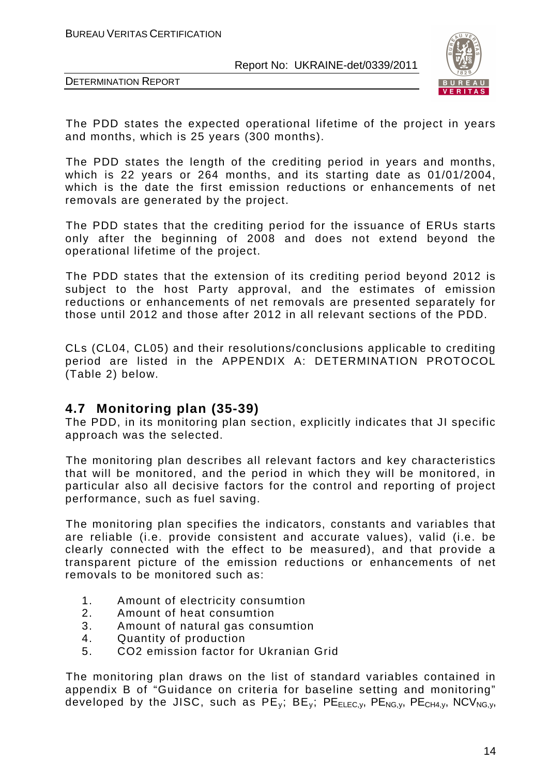



The PDD states the expected operational lifetime of the project in years and months, which is 25 years (300 months).

The PDD states the length of the crediting period in years and months, which is 22 years or 264 months, and its starting date as 01/01/2004, which is the date the first emission reductions or enhancements of net removals are generated by the project.

The PDD states that the crediting period for the issuance of ERUs starts only after the beginning of 2008 and does not extend beyond the operational lifetime of the project.

The PDD states that the extension of its crediting period beyond 2012 is subject to the host Party approval, and the estimates of emission reductions or enhancements of net removals are presented separately for those until 2012 and those after 2012 in all relevant sections of the PDD.

CLs (CL04, CL05) and their resolutions/conclusions applicable to crediting period are listed in the APPENDIX A: DETERMINATION PROTOCOL (Table 2) below.

# **4.7 Monitoring plan (35-39)**

The PDD, in its monitoring plan section, explicitly indicates that JI specific approach was the selected.

The monitoring plan describes all relevant factors and key characteristics that will be monitored, and the period in which they will be monitored, in particular also all decisive factors for the control and reporting of project performance, such as fuel saving.

The monitoring plan specifies the indicators, constants and variables that are reliable (i.e. provide consistent and accurate values), valid (i.e. be clearly connected with the effect to be measured), and that provide a transparent picture of the emission reductions or enhancements of net removals to be monitored such as:

- 1. Amount of electricity consumtion
- 2. Amount of heat consumtion
- 3. Amount of natural gas consumtion
- 4. Quantity of production
- 5. CO2 emission factor for Ukranian Grid

The monitoring plan draws on the list of standard variables contained in appendix B of "Guidance on criteria for baseline setting and monitoring" developed by the JISC, such as  $PE_v$ ;  $BE_v$ ;  $PE_{ELEC,v}$ ,  $PE_{NG,v}$ ,  $PE_{CH4,v}$ ,  $NCV_{NG,v}$ ,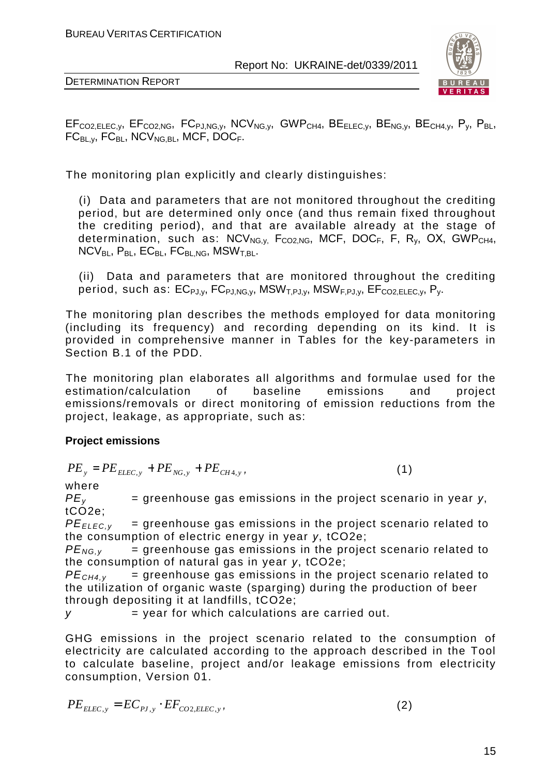



 $EF_{CO2,ELEC,V}$ ,  $EF_{CO2,NG}$ ,  $FC_{PJ,NG,V}$ ,  $NCV_{NG,V}$ ,  $GWP_{CH4}$ ,  $BE_{ELEC,V}$ ,  $BE_{NG,V}$ ,  $BE_{CH4,V}$ ,  $P_V$ ,  $P_{BL}$ ,  $FC_{BI,V}$ ,  $FC_{BI}$ ,  $NCV_{NG,BI}$ ,  $MCF$ ,  $DOC_F$ .

The monitoring plan explicitly and clearly distinguishes:

(i) Data and parameters that are not monitored throughout the crediting period, but are determined only once (and thus remain fixed throughout the crediting period), and that are available already at the stage of determination, such as:  $NCV_{NG,V}$ ,  $F_{CO2,NG}$ ,  $MCF$ ,  $DOC_F$ ,  $F$ ,  $R_V$ ,  $OX$ ,  $GWP_{CH4}$ ,  $NCV_{BL}$ ,  $P_{BL}$ ,  $EC_{BL}$ ,  $FC_{BL,NG}$ ,  $MSW_{T, BL}$ .

(ii) Data and parameters that are monitored throughout the crediting period, such as:  $EC_{PJ,V}$ ,  $FC_{PJ,NG,V}$ ,  $MSW_{T,PJ,V}$ ,  $MSW_{F,PJ,V}$ ,  $EF_{CO2,ELEC,V}$ ,  $P_{V}$ .

The monitoring plan describes the methods employed for data monitoring (including its frequency) and recording depending on its kind. It is provided in comprehensive manner in Tables for the key-parameters in Section B.1 of the PDD.

The monitoring plan elaborates all algorithms and formulae used for the estimation/calculation of baseline emissions and project emissions/removals or direct monitoring of emission reductions from the project, leakage, as appropriate, such as:

# **Project emissions**

$$
PE_{y} = PE_{ELEC,y} + PE_{NG,y} + PE_{CH4,y},
$$
\n(1)

where

 $PE<sub>v</sub>$  = greenhouse gas emissions in the project scenario in year  $y$ , tCO<sub>2e</sub>:

 $PE_{ELEC,V}$  = greenhouse gas emissions in the project scenario related to the consumption of electric energy in year *у*, tCO2e;

 $PE_{NG,V}$  = greenhouse gas emissions in the project scenario related to the consumption of natural gas in year *у*, tCO2e;

 $PE<sub>CH4,v</sub>$  = greenhouse gas emissions in the project scenario related to the utilization of organic waste (sparging) during the production of beer through depositing it at landfills, tCO2e;

 $y = year$  for which calculations are carried out.

GHG emissions in the project scenario related to the consumption of electricity are calculated according to the approach described in the Tool to calculate baseline, project and/or leakage emissions from electricity consumption, Version 01.

$$
PE_{ELEC,y} = EC_{PJ,y} \cdot EF_{CO2, ELEC,y}, \qquad (2)
$$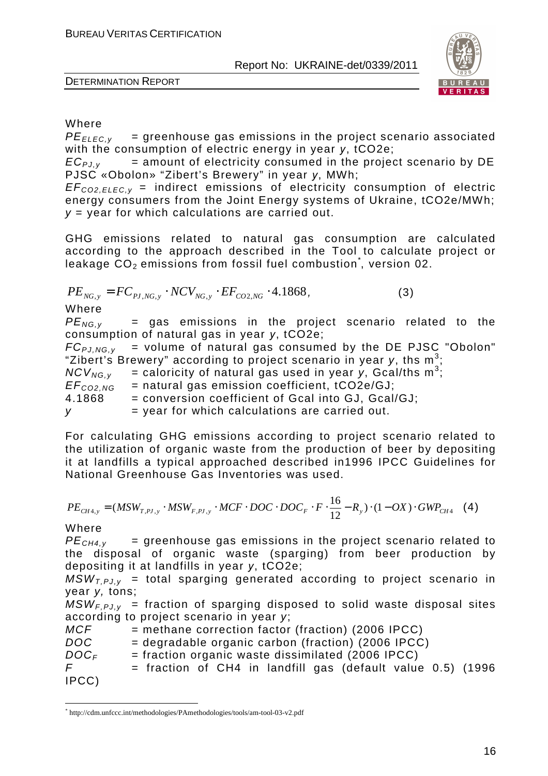

### Where

 $PE_{FIEC,V}$  = greenhouse gas emissions in the project scenario associated with the consumption of electric energy in year *у*, tCO2e;

 $EC_{P,V}$  = amount of electricity consumed in the project scenario by DE PJSC «Obolon» "Zibert's Brewery" in year *у*, MWh;

 $EF_{CO2FIEC,V}$  = indirect emissions of electricity consumption of electric energy consumers from the Joint Energy systems of Ukraine, tCO2e/MWh;  $y =$  year for which calculations are carried out.

GHG emissions related to natural gas consumption are calculated according to the approach described in the Tool to calculate project or leakage  $\mathsf{\tilde{CO}}_2$  emissions from fossil fuel combustion $\check{ }$ , version 02.

$$
PE_{NG,y} = FC_{PI,NG,y} \cdot NCV_{NG,y} \cdot EF_{CO2,NG} \cdot 4.1868,
$$
\n(3)

Where

 $PE_{NG.v}$  = gas emissions in the project scenario related to the consumption of natural gas in year *у*, tCO2e;

 $FC_{PJ,NG,y}$  = volume of natural gas consumed by the DE PJSC "Obolon" "Zibert's Brewery" according to project scenario in year y, ths  $m^3$ ;

 $NCV_{NG,y}$  = caloricity of natural gas used in year y, Gcal/ths m<sup>3</sup>;

 $EF_{COPNG}$  = natural gas emission coefficient, tCO2e/GJ;

4.1868 = conversion coefficient of Gcal into GJ, Gcal/GJ;

 $y = year$  for which calculations are carried out.

For calculating GHG emissions according to project scenario related to the utilization of organic waste from the production of beer by depositing it at landfills a typical approached described in1996 IPCC Guidelines for National Greenhouse Gas Inventories was used.

$$
PE_{CH4,y} = (MSW_{T,PI,y} \cdot MSW_{F,PI,y} \cdot MCF \cdot DOC \cdot DOC \cdot DOC_F \cdot F \cdot \frac{16}{12} - R_y) \cdot (1 - OX) \cdot GWP_{CH4} \quad (4)
$$

Where

 $PE<sub>CH4V</sub>$  = greenhouse gas emissions in the project scenario related to the disposal of organic waste (sparging) from beer production by depositing it at landfills in year *у*, tCO2e;

 $MSW_{T,PLV}$  = total sparging generated according to project scenario in year y, tons;

 $MSW<sub>F,PLV</sub>$  = fraction of sparging disposed to solid waste disposal sites according to project scenario in year y;

 $MCF$  = methane correction factor (fraction) (2006 IPCC)  $DOC = degradable organic carbon (fraction) (2006 IPC)$  $DOC<sub>F</sub>$  = fraction organic waste dissimilated (2006 IPCC)  $F =$  fraction of CH4 in landfill gas (default value 0.5) (1996 IPCC)

 $\overline{a}$ \* http://cdm.unfccc.int/methodologies/PAmethodologies/tools/am-tool-03-v2.pdf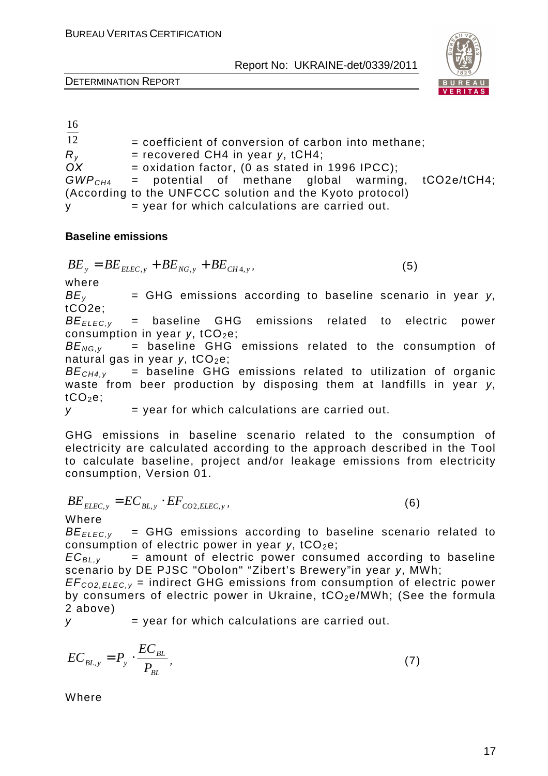

DETERMINATION REPORT

| 16              |                                                             |
|-----------------|-------------------------------------------------------------|
| $\overline{12}$ | $=$ coefficient of conversion of carbon into methane;       |
| $R_{V}$         | $=$ recovered CH4 in year y, tCH4;                          |
| OX              | $=$ oxidation factor, (0 as stated in 1996 IPCC);           |
|                 | $GWPCH4$ = potential of methane global warming, tCO2e/tCH4; |
|                 | (According to the UNFCCC solution and the Kyoto protocol)   |
| V.              | $=$ year for which calculations are carried out.            |

#### **Baseline emissions**

$$
BE_y = BE_{ELLC,y} + BE_{NG,y} + BE_{CH4,y},
$$

 $(5)$ 

where

*В*E<sup>y</sup> = GHG emissions according to baseline scenario in year *у*, tCO2e;

*BE<sub>FLEC.v</sub>* = baseline GHG emissions related to electric power consumption in year *y*, tCO<sub>2</sub>e;

*BE<sub>NG,v</sub>* = baseline GHG emissions related to the consumption of natural gas in year *v*, tСО<sub>2</sub>e:

*ВЕ<sub>СН4 v</sub>* = baseline GHG emissions related to utilization of organic waste from beer production by disposing them at landfills in year *у*,  $tCO<sub>2</sub>e$ ;

 $y = year$  for which calculations are carried out.

GHG emissions in baseline scenario related to the consumption of electricity are calculated according to the approach described in the Tool to calculate baseline, project and/or leakage emissions from electricity consumption, Version 01.

$$
BE_{ELLC,y} = EC_{BL,y} \cdot EF_{CO2,ELEC,y},\tag{6}
$$

Where

 $BE_{EIEC,V}$  = GHG emissions according to baseline scenario related to consumption of electric power in year *y*, tCO<sub>2</sub>e;

 $EC_{BL,v}$  = amount of electric power consumed according to baseline scenario by DE PJSC "Obolon" "Zibert's Brewery"in year *у*, MWh;

 $EF_{CO2,ELEC,v}$  = indirect GHG emissions from consumption of electric power by consumers of electric power in Ukraine, tCO<sub>2</sub>e/MWh; (See the formula 2 above)

 $y = year$  for which calculations are carried out.

$$
EC_{BL,y} = P_y \cdot \frac{EC_{BL}}{P_{BL}},\tag{7}
$$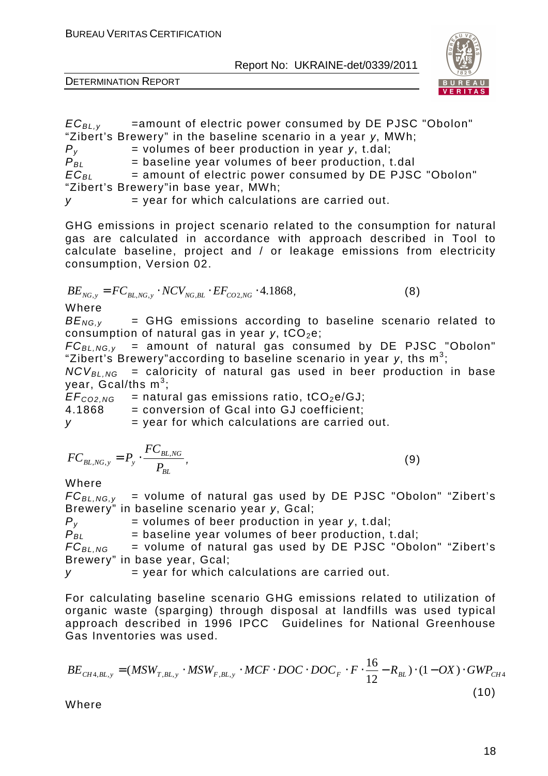

DETERMINATION REPORT

 $EC_{BL, v}$  =amount of electric power consumed by DE PJSC "Obolon" "Zibert's Brewery" in the baseline scenario in a year *у*, МWh;  $P_y$  = volumes of beer production in year *y*, t.dal;  $P_{BL}$  = baseline year volumes of beer production, t.dal<br> $EC_{BI}$  = amount of electric power consumed by DE PJSC = amount of electric power consumed by DE PJSC "Obolon" "Zibert's Brewery"in base year, MWh;

 $v =$  vear for which calculations are carried out.

GHG emissions in project scenario related to the consumption for natural gas are calculated in accordance with approach described in Tool to calculate baseline, project and / or leakage emissions from electricity consumption, Version 02.

$$
BE_{NG,y} = FC_{BL,NG,y} \cdot NCV_{NG, BL} \cdot EF_{CO2, NG} \cdot 4.1868,
$$
\n(8)

Where

 $BE_{NG.v}$  = GHG emissions according to baseline scenario related to consumption of natural gas in year *y*, tCO<sub>2</sub>e;

 $FC_{BL, NG, y}$  = amount of natural gas consumed by DE PJSC "Obolon" "Zibert's Brewery"according to baseline scenario in year y, ths m<sup>3</sup>;

 $NCV_{BL, NG}$  = caloricity of natural gas used in beer production in base year, Gcal/ths m $^3;$ 

 $EF_{CO2,NG}$  = natural gas emissions ratio, tCO<sub>2</sub>e/GJ; 4.1868 = conversion of Gcal into GJ coefficient;  $y = year$  for which calculations are carried out.

$$
FC_{BL,NG,y} = P_y \cdot \frac{FC_{BL,NG}}{P_{BL}},
$$
\n(9)

Where

 $FC_{BL, NG,V}$  = volume of natural gas used by DE PJSC "Obolon" "Zibert's Brewery" in baseline scenario year *у*, Gcal;

 $P_v$  = volumes of beer production in year *y*, t.dal;  $P_{BL}$  = baseline year volumes of beer production, t.dal;

 $FC_{BL.NG}$  = volume of natural gas used by DE PJSC "Obolon" "Zibert's Brewery" in base year, Gcal;

 $y = year$  for which calculations are carried out.

For calculating baseline scenario GHG emissions related to utilization of organic waste (sparging) through disposal at landfills was used typical approach described in 1996 IPCC Guidelines for National Greenhouse Gas Inventories was used.

$$
BE_{CH4,BL,y} = (MSW_{T,BL,y} \cdot MSW_{F,BL,y} \cdot MCF \cdot DOC \cdot DOC_F \cdot F \cdot \frac{16}{12} - R_{BL}) \cdot (1 - OX) \cdot GWP_{CH4}
$$
\n(10)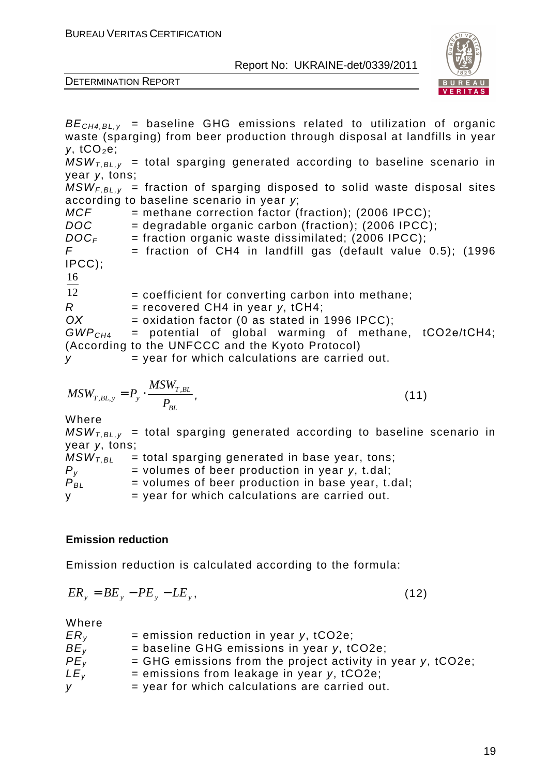

DETERMINATION REPORT

 $BE<sub>CH4,BLV</sub>$  = baseline GHG emissions related to utilization of organic waste (sparging) from beer production through disposal at landfills in year *у*, tCO<sub>2</sub>e;  $MSW_{LBL,v}$  = total sparging generated according to baseline scenario in year *у*, tons;  $MSW_{F,BL,y}$  = fraction of sparging disposed to solid waste disposal sites according to baseline scenario in year *у*;  $MCF$  = methane correction factor (fraction); (2006 IPCC);  $DOC = degradable organic carbon (fraction); (2006 IPC);$  $DOC<sub>F</sub>$  = fraction organic waste dissimilated: (2006 IPCC);  $F =$  fraction of CH4 in landfill gas (default value 0.5); (1996 IPCC); 12 16 = coefficient for converting carbon into methane; R = recovered CH4 in year *y*, tCH4;<br>OX = oxidation factor (0 as stated in '  $=$  oxidation factor (0 as stated in 1996 IPCC);  $GWP<sub>CH4</sub>$  = potential of global warming of methane, tCO2e/tCH4; (According to the UNFCCC and the Kyoto Protocol)  $v = \text{year}$  for which calculations are carried out. *BL T BL*  $T$ ,*BL*,*y*  $\rightarrow$  *P*<sub>*j*</sub> *MSW*  $MSW_{T,BL, y} = P_y \cdot \frac{M N_{T,BL}}{D}$ , (11) Where  $MSW_{LBL,v}$  = total sparging generated according to baseline scenario in year *у*, tons;  $MSW_{T,BL}$  = total sparging generated in base year, tons;

 $P_v$  = volumes of beer production in year *y*, t.dal;  $\overline{P}_{BI}$  = volumes of beer production in base year, t.dal;

 $y = year$  for which calculations are carried out.

#### **Emission reduction**

Emission reduction is calculated according to the formula:

$$
ER_y = BE_y - PE_y - LE_y, \qquad (12)
$$

| $ER_{V}$        | $=$ emission reduction in year y, tCO2e;                      |
|-----------------|---------------------------------------------------------------|
| BE <sub>v</sub> | $=$ baseline GHG emissions in year y, tCO2e;                  |
| PE <sub>v</sub> | $=$ GHG emissions from the project activity in year y, tCO2e; |
| LE <sub>v</sub> | $=$ emissions from leakage in year y, tCO2e;                  |
| У               | = year for which calculations are carried out.                |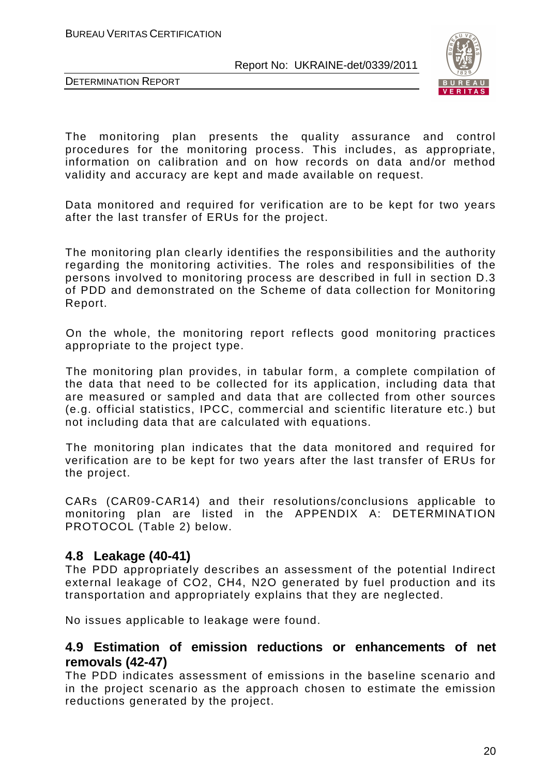



The monitoring plan presents the quality assurance and control procedures for the monitoring process. This includes, as appropriate, information on calibration and on how records on data and/or method validity and accuracy are kept and made available on request.

Data monitored and required for verification are to be kept for two years after the last transfer of ERUs for the project.

The monitoring plan clearly identifies the responsibilities and the authority regarding the monitoring activities. The roles and responsibilities of the persons involved to monitoring process are described in full in section D.3 of PDD and demonstrated on the Scheme of data collection for Monitoring Report.

On the whole, the monitoring report reflects good monitoring practices appropriate to the project type.

The monitoring plan provides, in tabular form, a complete compilation of the data that need to be collected for its application, including data that are measured or sampled and data that are collected from other sources (e.g. official statistics, IPCC, commercial and scientific literature etc.) but not including data that are calculated with equations.

The monitoring plan indicates that the data monitored and required for verification are to be kept for two years after the last transfer of ERUs for the project.

CARs (CAR09-CAR14) and their resolutions/conclusions applicable to monitoring plan are listed in the APPENDIX A: DETERMINATION PROTOCOL (Table 2) below.

# **4.8 Leakage (40-41)**

The PDD appropriately describes an assessment of the potential Indirect external leakage of CO2, СН4, N2O generated by fuel production and its transportation and appropriately explains that they are neglected.

No issues applicable to leakage were found.

# **4.9 Estimation of emission reductions or enhancements of net removals (42-47)**

The PDD indicates assessment of emissions in the baseline scenario and in the project scenario as the approach chosen to estimate the emission reductions generated by the project.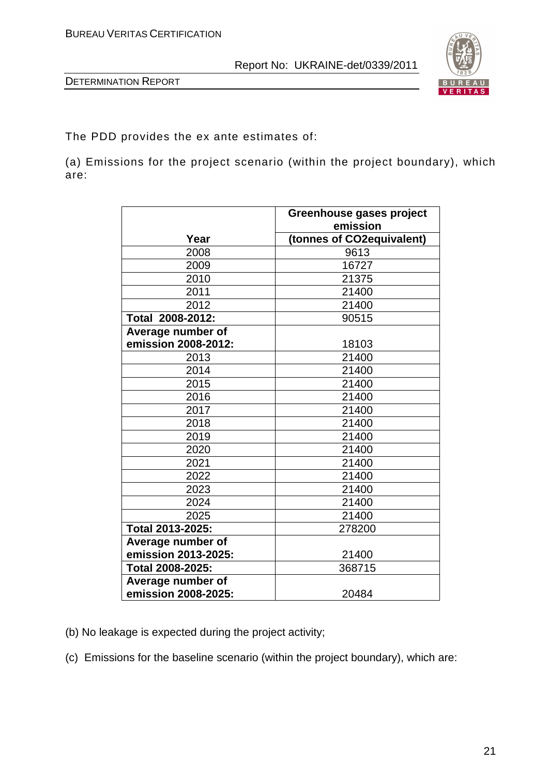

The PDD provides the ex ante estimates of:

(a) Emissions for the project scenario (within the project boundary), which are:

|                     | Greenhouse gases project<br>emission |
|---------------------|--------------------------------------|
| Year                | (tonnes of CO2equivalent)            |
| 2008                | 9613                                 |
| 2009                | 16727                                |
| 2010                | 21375                                |
| 2011                | 21400                                |
| 2012                | 21400                                |
| Total 2008-2012:    | 90515                                |
| Average number of   |                                      |
| emission 2008-2012: | 18103                                |
| 2013                | 21400                                |
| 2014                | 21400                                |
| 2015                | 21400                                |
| 2016                | 21400                                |
| 2017                | 21400                                |
| 2018                | 21400                                |
| 2019                | 21400                                |
| 2020                | 21400                                |
| 2021                | 21400                                |
| 2022                | 21400                                |
| 2023                | 21400                                |
| 2024                | 21400                                |
| 2025                | 21400                                |
| Total 2013-2025:    | 278200                               |
| Average number of   |                                      |
| emission 2013-2025: | 21400                                |
| Total 2008-2025:    | 368715                               |
| Average number of   |                                      |
| emission 2008-2025: | 20484                                |

(b) No leakage is expected during the project activity;

(c) Emissions for the baseline scenario (within the project boundary), which are: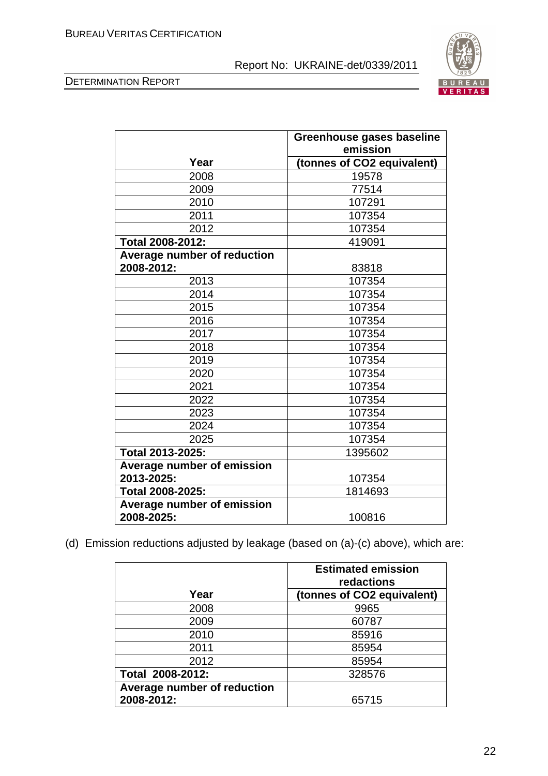



|                                   | Greenhouse gases baseline  |
|-----------------------------------|----------------------------|
|                                   | emission                   |
| Year                              | (tonnes of CO2 equivalent) |
| 2008                              | 19578                      |
| 2009                              | 77514                      |
| 2010                              | 107291                     |
| 2011                              | 107354                     |
| 2012                              | 107354                     |
| Total 2008-2012:                  | 419091                     |
| Average number of reduction       |                            |
| 2008-2012:                        | 83818                      |
| 2013                              | 107354                     |
| 2014                              | 107354                     |
| 2015                              | 107354                     |
| 2016                              | 107354                     |
| 2017                              | 107354                     |
| 2018                              | 107354                     |
| 2019                              | 107354                     |
| 2020                              | 107354                     |
| 2021                              | 107354                     |
| 2022                              | 107354                     |
| 2023                              | 107354                     |
| 2024                              | 107354                     |
| 2025                              | 107354                     |
| Total 2013-2025:                  | 1395602                    |
| <b>Average number of emission</b> |                            |
| 2013-2025:                        | 107354                     |
| Total 2008-2025:                  | 1814693                    |
| <b>Average number of emission</b> |                            |
| 2008-2025:                        | 100816                     |

(d) Emission reductions adjusted by leakage (based on (a)-(c) above), which are:

|                             | <b>Estimated emission</b><br>redactions |
|-----------------------------|-----------------------------------------|
| Year                        | (tonnes of CO2 equivalent)              |
| 2008                        | 9965                                    |
| 2009                        | 60787                                   |
| 2010                        | 85916                                   |
| 2011                        | 85954                                   |
| 2012                        | 85954                                   |
| Total 2008-2012:            | 328576                                  |
| Average number of reduction |                                         |
| 2008-2012:                  | 65715                                   |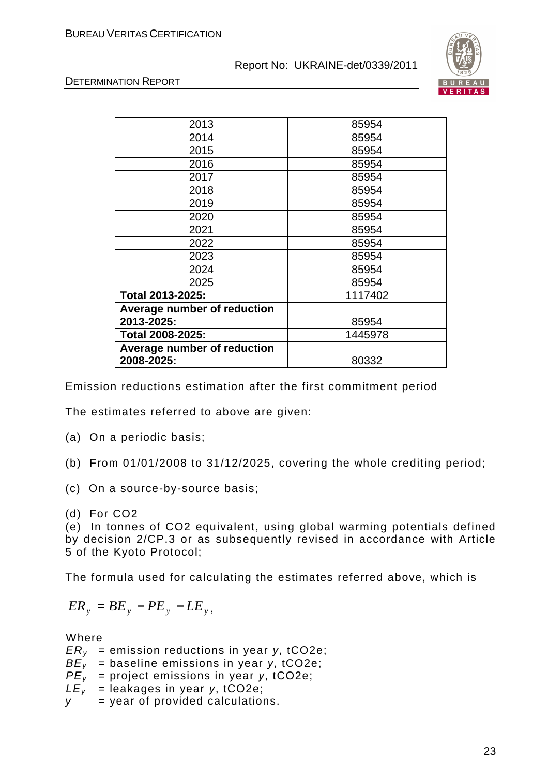



| 2013                        | 85954   |
|-----------------------------|---------|
| 2014                        | 85954   |
| 2015                        | 85954   |
| 2016                        | 85954   |
| 2017                        | 85954   |
| 2018                        | 85954   |
| 2019                        | 85954   |
| 2020                        | 85954   |
| 2021                        | 85954   |
| 2022                        | 85954   |
| 2023                        | 85954   |
| 2024                        | 85954   |
| 2025                        | 85954   |
| Total 2013-2025:            | 1117402 |
| Average number of reduction |         |
| 2013-2025:                  | 85954   |
| Total 2008-2025:            | 1445978 |
| Average number of reduction |         |
| 2008-2025:                  | 80332   |
|                             |         |

Emission reductions estimation after the first commitment period

The estimates referred to above are given:

- (a) On a periodic basis;
- (b) From 01/01/2008 to 31/12/2025, covering the whole crediting period;
- (c) On a source-by-source basis;
- (d) For CO2

(e) In tonnes of CO2 equivalent, using global warming potentials defined by decision 2/CP.3 or as subsequently revised in accordance with Article 5 of the Kyoto Protocol;

The formula used for calculating the estimates referred above, which is

$$
ER_{y} = BE_{y} - PE_{y} - LE_{y},
$$

- ERy = emission reductions in year *у*, tCO2e;
- BEy = baseline emissions in year *у*, tCO2e;
- PEy = project emissions in year *у*, tCO2e;
- $LE<sub>v</sub>$  = leakages in year *y*, tCO2e;
- $y = y$ ear of provided calculations.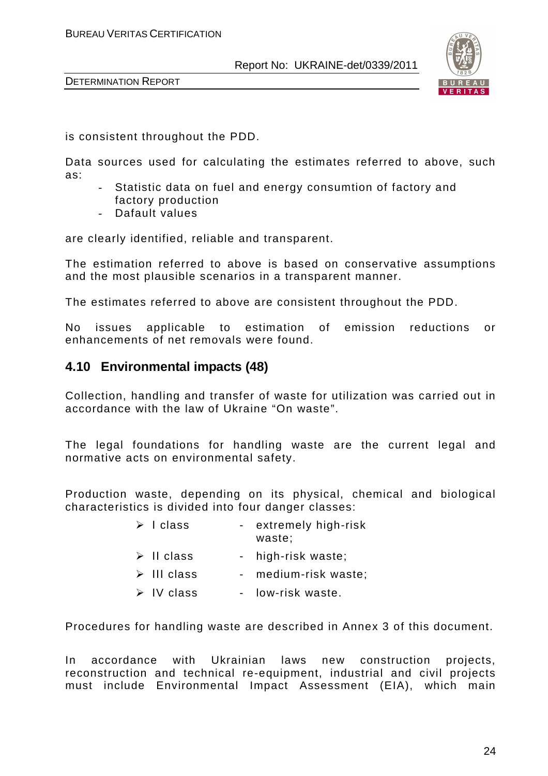



is consistent throughout the PDD.

Data sources used for calculating the estimates referred to above, such as:

- Statistic data on fuel and energy consumtion of factory and factory production
- Dafault values

are clearly identified, reliable and transparent.

The estimation referred to above is based on conservative assumptions and the most plausible scenarios in a transparent manner.

The estimates referred to above are consistent throughout the PDD.

No issues applicable to estimation of emission reductions or enhancements of net removals were found.

# **4.10 Environmental impacts (48)**

Collection, handling and transfer of waste for utilization was carried out in accordance with the law of Ukraine "On waste".

The legal foundations for handling waste are the current legal and normative acts on environmental safety.

Production waste, depending on its physical, chemical and biological characteristics is divided into four danger classes:

| $\triangleright$ 1 class  | - extremely high-risk<br>waste; |
|---------------------------|---------------------------------|
| $\triangleright$ II class | - high-risk waste;              |

- $\triangleright$  III class medium-risk waste;
- $\triangleright$  IV class low-risk waste.

Procedures for handling waste are described in Annex 3 of this document.

In accordance with Ukrainian laws new construction projects, reconstruction and technical re-equipment, industrial and civil projects must include Environmental Impact Assessment (EIA), which main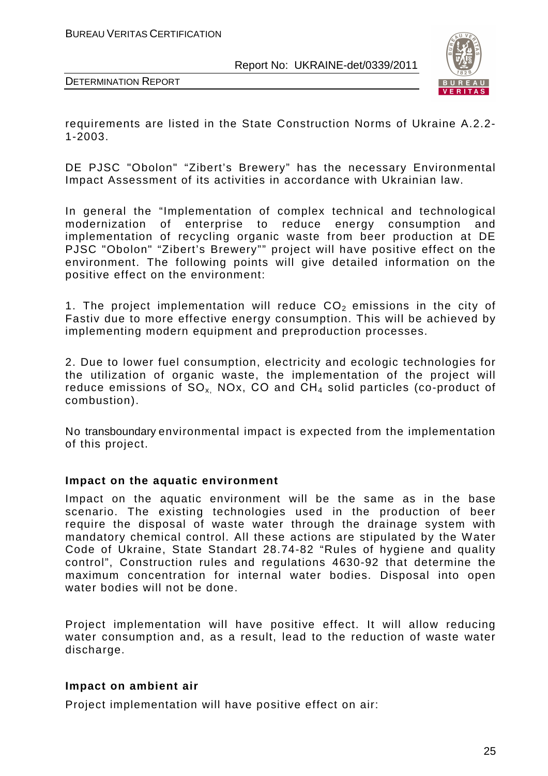

DETERMINATION REPORT

requirements are listed in the State Construction Norms of Ukraine A.2.2- 1-2003.

DE PJSC "Obolon" "Zibert's Brewery" has the necessary Environmental Impact Assessment of its activities in accordance with Ukrainian law.

In general the "Implementation of complex technical and technological modernization of enterprise to reduce energy consumption and implementation of recycling organic waste from beer production at DE PJSC "Obolon" "Zibert's Brewery"" project will have positive effect on the environment. The following points will give detailed information on the positive effect on the environment:

1. The project implementation will reduce  $CO<sub>2</sub>$  emissions in the city of Fastiv due to more effective energy consumption. This will be achieved by implementing modern equipment and preproduction processes.

2. Due to lower fuel consumption, electricity and ecologic technologies for the utilization of organic waste, the implementation of the project will reduce emissions of  $SO_x$ . NOx, CO and  $CH_4$  solid particles (co-product of combustion).

No transboundary environmental impact is expected from the implementation of this project.

#### **Impact on the aquatic environment**

Impact on the aquatic environment will be the same as in the base scenario. The existing technologies used in the production of beer require the disposal of waste water through the drainage system with mandatory chemical control. All these actions are stipulated by the Water Code of Ukraine, State Standart 28.74-82 "Rules of hygiene and quality control", Construction rules and regulations 4630-92 that determine the maximum concentration for internal water bodies. Disposal into open water bodies will not be done.

Project implementation will have positive effect. It will allow reducing water consumption and, as a result, lead to the reduction of waste water discharge.

# **Impact on ambient air**

Project implementation will have positive effect on air: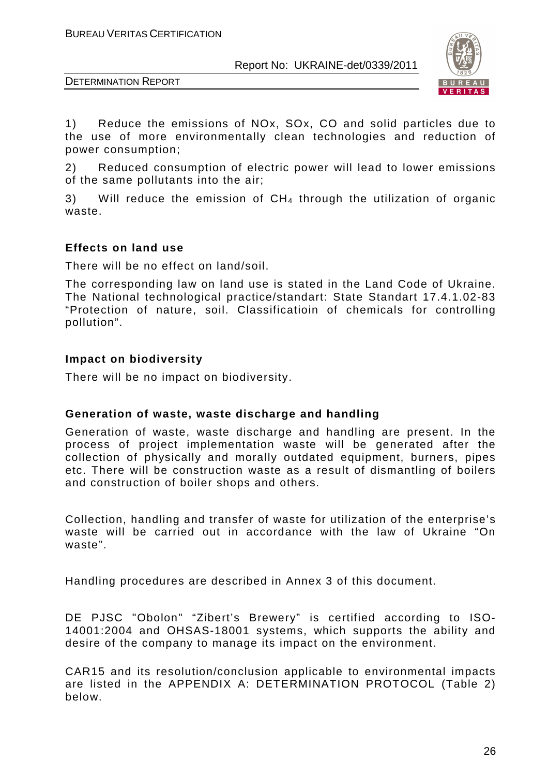

DETERMINATION REPORT

1) Reduce the emissions of NOx, SOx, CO and solid particles due to the use of more environmentally clean technologies and reduction of power consumption;

2) Reduced consumption of electric power will lead to lower emissions of the same pollutants into the air;

3) Will reduce the emission of  $CH<sub>4</sub>$  through the utilization of organic waste.

### **Effects on land use**

There will be no effect on land/soil.

The corresponding law on land use is stated in the Land Code of Ukraine. The National technological practice/standart: State Standart 17.4.1.02-83 "Protection of nature, soil. Classificatioin of chemicals for controlling pollution".

# **Impact on biodiversity**

There will be no impact on biodiversity.

#### **Generation of waste, waste discharge and handling**

Generation of waste, waste discharge and handling are present. In the process of project implementation waste will be generated after the collection of physically and morally outdated equipment, burners, pipes etc. There will be construction waste as a result of dismantling of boilers and construction of boiler shops and others.

Collection, handling and transfer of waste for utilization of the enterprise's waste will be carried out in accordance with the law of Ukraine "On waste".

Handling procedures are described in Annex 3 of this document.

DE PJSC "Obolon" "Zibert's Brewery" is certified according to ISO-14001:2004 and ОHSAS-18001 systems, which supports the ability and desire of the company to manage its impact on the environment.

CAR15 and its resolution/conclusion applicable to environmental impacts are listed in the APPENDIX A: DETERMINATION PROTOCOL (Table 2) below.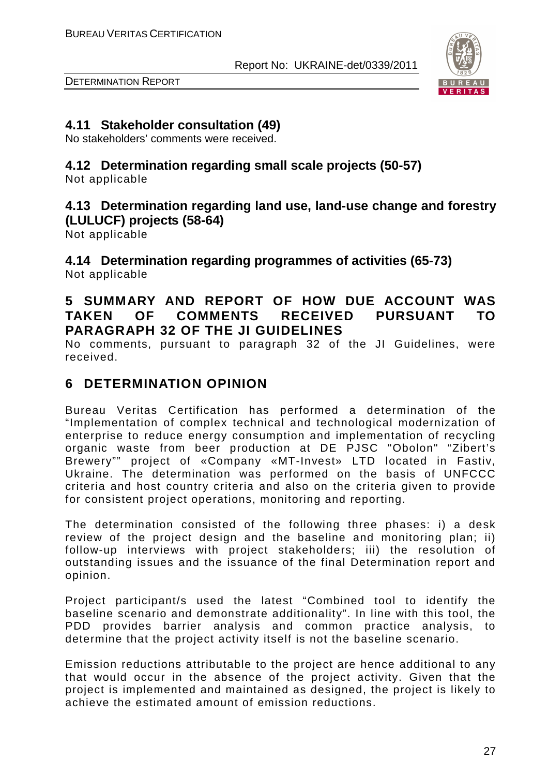

DETERMINATION REPORT

# **4.11 Stakeholder consultation (49)**

No stakeholders' comments were received.

# **4.12 Determination regarding small scale projects (50-57)**

Not applicable

# **4.13 Determination regarding land use, land-use change and forestry (LULUCF) projects (58-64)**

Not applicable

**4.14 Determination regarding programmes of activities (65-73)**  Not applicable

# **5 SUMMARY AND REPORT OF HOW DUE ACCOUNT WAS TAKEN OF COMMENTS RECEIVED PURSUANT TO PARAGRAPH 32 OF THE JI GUIDELINES**

No comments, pursuant to paragraph 32 of the JI Guidelines, were received.

# **6 DETERMINATION OPINION**

Bureau Veritas Certification has performed a determination of the "Implementation of complex technical and technological modernization of enterprise to reduce energy consumption and implementation of recycling organic waste from beer production at DE PJSC "Obolon" "Zibert's Brewery"" project of «Company «MT-Invest» LTD located in Fastiv, Ukraine. The determination was performed on the basis of UNFCCC criteria and host country criteria and also on the criteria given to provide for consistent project operations, monitoring and reporting.

The determination consisted of the following three phases: i) a desk review of the project design and the baseline and monitoring plan; ii) follow-up interviews with project stakeholders; iii) the resolution of outstanding issues and the issuance of the final Determination report and opinion.

Project participant/s used the latest "Combined tool to identify the baseline scenario and demonstrate additionality". In line with this tool, the PDD provides barrier analysis and common practice analysis, to determine that the project activity itself is not the baseline scenario.

Emission reductions attributable to the project are hence additional to any that would occur in the absence of the project activity. Given that the project is implemented and maintained as designed, the project is likely to achieve the estimated amount of emission reductions.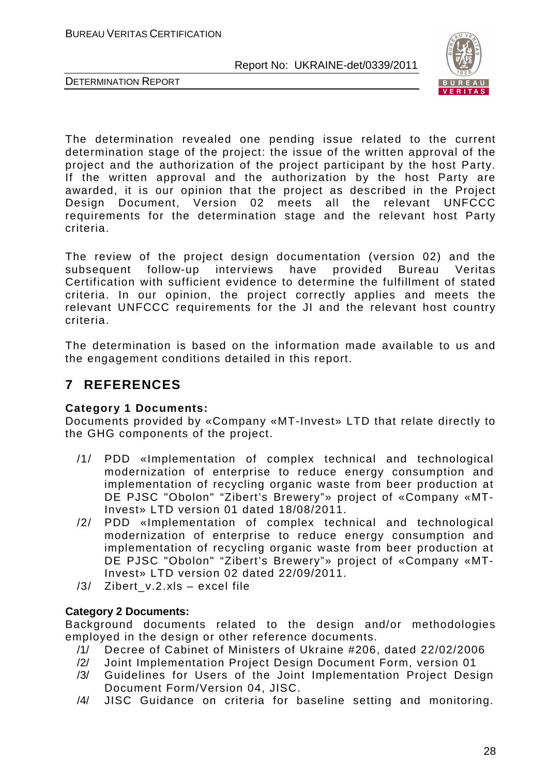



The determination revealed one pending issue related to the current determination stage of the project: the issue of the written approval of the project and the authorization of the project participant by the host Party. If the written approval and the authorization by the host Party are awarded, it is our opinion that the project as described in the Project Design Document, Version 02 meets all the relevant UNFCCC requirements for the determination stage and the relevant host Party criteria.

The review of the project design documentation (version 02) and the subsequent follow-up interviews have provided Bureau Veritas Certification with sufficient evidence to determine the fulfillment of stated criteria. In our opinion, the project correctly applies and meets the relevant UNFCCC requirements for the JI and the relevant host country criteria.

The determination is based on the information made available to us and the engagement conditions detailed in this report.

# **7 REFERENCES**

# **Category 1 Documents:**

Documents provided by «Company «MT-Invest» LTD that relate directly to the GHG components of the project.

- /1/ PDD «Implementation of complex technical and technological modernization of enterprise to reduce energy consumption and implementation of recycling organic waste from beer production at DE PJSC "Obolon" "Zibert's Brewery"» project of «Company «MT-Invest» LTD version 01 dated 18/08/2011.
- /2/ PDD «Implementation of complex technical and technological modernization of enterprise to reduce energy consumption and implementation of recycling organic waste from beer production at DE PJSC "Obolon" "Zibert's Brewery"» project of «Company «MT-Invest» LTD version 02 dated 22/09/2011.
- /3/ Zibert\_v.2.xls excel file

# **Category 2 Documents:**

Background documents related to the design and/or methodologies employed in the design or other reference documents.

- /1/ Decree of Cabinet of Ministers of Ukraine #206, dated 22/02/2006
- /2/ Joint Implementation Project Design Document Form, version 01
- /3/ Guidelines for Users of the Joint Implementation Project Design Document Form/Version 04, JISC.
- /4/ JISC Guidance on criteria for baseline setting and monitoring.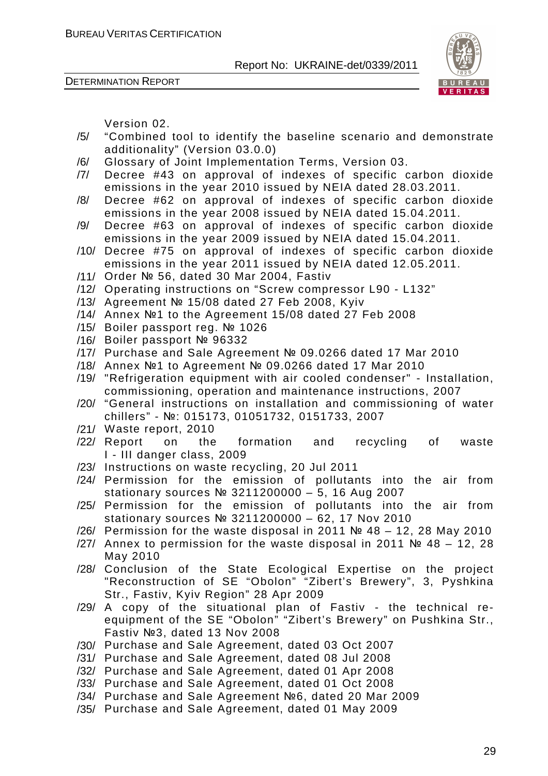DETERMINATION REPORT



Version 02.

- /5/ "Combined tool to identify the baseline scenario and demonstrate additionality" (Version 03.0.0)
- /6/ Glossary of Joint Implementation Terms, Version 03.
- /7/ Decree #43 on approval of indexes of specific carbon dioxide emissions in the year 2010 issued by NEIA dated 28.03.2011.
- /8/ Decree #62 on approval of indexes of specific carbon dioxide emissions in the year 2008 issued by NEIA dated 15.04.2011.
- /9/ Decree #63 on approval of indexes of specific carbon dioxide emissions in the year 2009 issued by NEIA dated 15.04.2011.
- /10/ Decree #75 on approval of indexes of specific carbon dioxide emissions in the year 2011 issued by NEIA dated 12.05.2011.
- /11/ Order № 56, dated 30 Mar 2004, Fastiv
- /12/ Operating instructions on "Screw compressor L90 L132"
- /13/ Agreement № 15/08 dated 27 Feb 2008, Kyiv
- /14/ Annex №1 to the Agreement 15/08 dated 27 Feb 2008
- /15/ Boiler passport reg. № 1026
- /16/ Boiler passport № 96332
- /17/ Purchase and Sale Agreement № 09.0266 dated 17 Mar 2010
- /18/ Annex №1 to Agreement № 09.0266 dated 17 Mar 2010
- /19/ "Refrigeration equipment with air cooled condenser" Installation, commissioning, operation and maintenance instructions, 2007
- /20/ "General instructions on installation and commissioning of water chillers" - №: 015173, 01051732, 0151733, 2007
- /21/ Waste report, 2010
- /22/ Report on the formation and recycling of waste I - III danger class, 2009
- /23/ Instructions on waste recycling, 20 Jul 2011
- /24/ Permission for the emission of pollutants into the air from stationary sources № 3211200000 – 5, 16 Aug 2007
- /25/ Permission for the emission of pollutants into the air from stationary sources № 3211200000 – 62, 17 Nov 2010
- /26/ Permission for the waste disposal in 2011 № 48 12, 28 May 2010
- /27/ Annex to permission for the waste disposal in 2011 № 48 12, 28 May 2010
- /28/ Conclusion of the State Ecological Expertise on the project "Reconstruction of SE "Obolon" "Zibert's Brewery", 3, Pyshkina Str., Fastiv, Kyiv Region" 28 Apr 2009
- /29/ A copy of the situational plan of Fastiv the technical reequipment of the SE "Obolon" "Zibert's Brewery" on Pushkina Str., Fastiv №3, dated 13 Nov 2008
- /30/ Purchase and Sale Agreement, dated 03 Oct 2007
- /31/ Purchase and Sale Agreement, dated 08 Jul 2008
- /32/ Purchase and Sale Agreement, dated 01 Apr 2008
- /33/ Purchase and Sale Agreement, dated 01 Oct 2008
- /34/ Purchase and Sale Agreement №6, dated 20 Mar 2009
- /35/ Purchase and Sale Agreement, dated 01 May 2009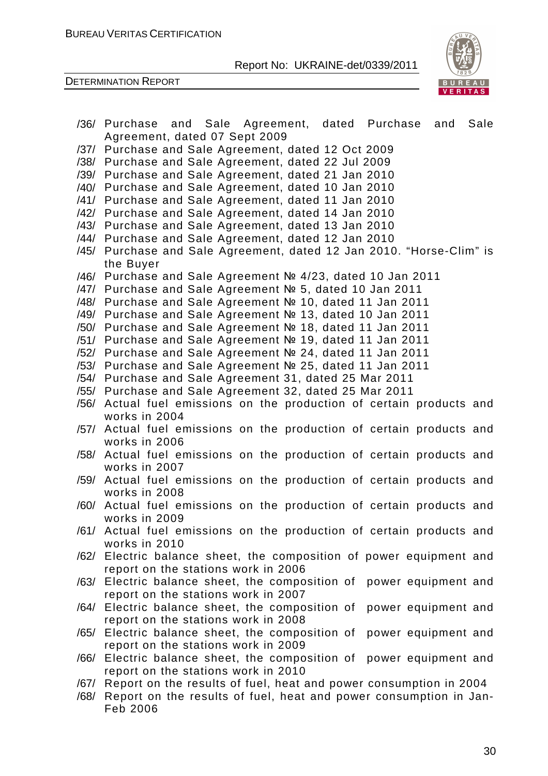

|      | /36/ Purchase and Sale Agreement, dated Purchase<br>Sale<br>and        |
|------|------------------------------------------------------------------------|
|      | Agreement, dated 07 Sept 2009                                          |
|      | /37/ Purchase and Sale Agreement, dated 12 Oct 2009                    |
|      | /38/ Purchase and Sale Agreement, dated 22 Jul 2009                    |
|      | /39/ Purchase and Sale Agreement, dated 21 Jan 2010                    |
|      | /40/ Purchase and Sale Agreement, dated 10 Jan 2010                    |
|      | /41/ Purchase and Sale Agreement, dated 11 Jan 2010                    |
|      | /42/ Purchase and Sale Agreement, dated 14 Jan 2010                    |
|      | /43/ Purchase and Sale Agreement, dated 13 Jan 2010                    |
|      | /44/ Purchase and Sale Agreement, dated 12 Jan 2010                    |
|      | /45/ Purchase and Sale Agreement, dated 12 Jan 2010. "Horse-Clim" is   |
|      | the Buyer                                                              |
|      | /46/ Purchase and Sale Agreement Nº 4/23, dated 10 Jan 2011            |
|      | /47/ Purchase and Sale Agreement № 5, dated 10 Jan 2011                |
|      | /48/ Purchase and Sale Agreement Nº 10, dated 11 Jan 2011              |
|      | /49/ Purchase and Sale Agreement Nº 13, dated 10 Jan 2011              |
|      | /50/ Purchase and Sale Agreement Nº 18, dated 11 Jan 2011              |
|      | /51/ Purchase and Sale Agreement No 19, dated 11 Jan 2011              |
|      | /52/ Purchase and Sale Agreement No 24, dated 11 Jan 2011              |
|      | /53/ Purchase and Sale Agreement Nº 25, dated 11 Jan 2011              |
|      | /54/ Purchase and Sale Agreement 31, dated 25 Mar 2011                 |
|      | /55/ Purchase and Sale Agreement 32, dated 25 Mar 2011                 |
|      | /56/ Actual fuel emissions on the production of certain products and   |
|      | works in 2004                                                          |
| /57/ | Actual fuel emissions on the production of certain products and        |
|      | works in 2006                                                          |
|      | /58/ Actual fuel emissions on the production of certain products and   |
|      | works in 2007                                                          |
|      | /59/ Actual fuel emissions on the production of certain products and   |
|      | works in 2008                                                          |
| /60/ | Actual fuel emissions on the production of certain products and        |
|      | works in 2009                                                          |
|      | /61/ Actual fuel emissions on the production of certain products and   |
|      | works in 2010                                                          |
| /62/ | Electric balance sheet, the composition of power equipment and         |
|      | report on the stations work in 2006                                    |
|      | /63/ Electric balance sheet, the composition of<br>power equipment and |
|      | report on the stations work in 2007                                    |
|      | /64/ Electric balance sheet, the composition of<br>power equipment and |
|      | report on the stations work in 2008                                    |
| /65/ | Electric balance sheet, the composition of<br>power equipment and      |
|      | report on the stations work in 2009                                    |
| /66/ | Electric balance sheet, the composition of<br>power equipment and      |
|      | report on the stations work in 2010                                    |
| /67/ | Report on the results of fuel, heat and power consumption in 2004      |
| /68/ | Report on the results of fuel, heat and power consumption in Jan-      |
|      | Feb 2006                                                               |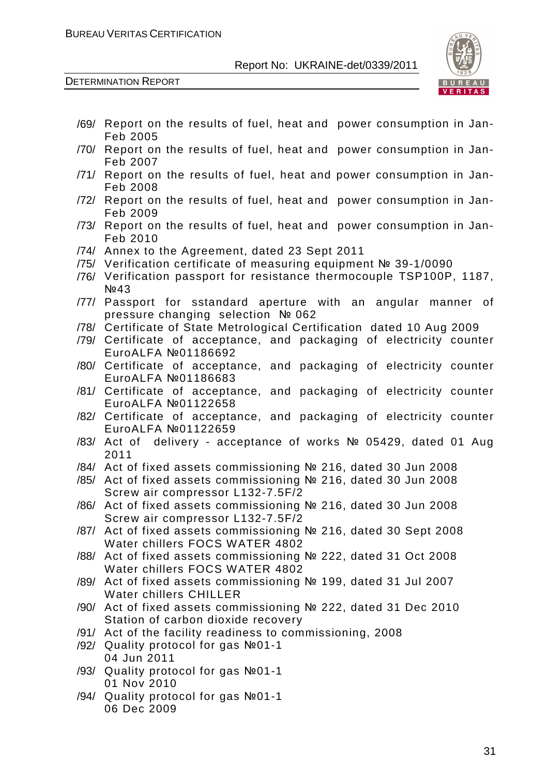

- /69/ Report on the results of fuel, heat and power consumption in Jan-Feb 2005
- /70/ Report on the results of fuel, heat and power consumption in Jan-Feb 2007
- /71/ Report on the results of fuel, heat and power consumption in Jan-Feb 2008
- /72/ Report on the results of fuel, heat and power consumption in Jan-Feb 2009
- /73/ Report on the results of fuel, heat and power consumption in Jan-Feb 2010
- /74/ Annex to the Agreement, dated 23 Sept 2011
- /75/ Verification certificate of measuring equipment № 39-1/0090
- /76/ Verification passport for resistance thermocouple TSP100P, 1187, N<sub>2</sub>43
- /77/ Passport for sstandard aperture with an angular manner of pressure changing selection № 062
- /78/ Certificate of State Metrological Certification dated 10 Aug 2009
- /79/ Certificate of acceptance, and packaging of electricity counter EuroALFA №01186692
- /80/ Certificate of acceptance, and packaging of electricity counter EuroALFA №01186683
- /81/ Certificate of acceptance, and packaging of electricity counter EuroALFA №01122658
- /82/ Certificate of acceptance, and packaging of electricity counter EuroALFA №01122659
- /83/ Act of delivery acceptance of works № 05429, dated 01 Aug 2011
- /84/ Act of fixed assets commissioning № 216, dated 30 Jun 2008
- /85/ Act of fixed assets commissioning № 216, dated 30 Jun 2008 Screw air compressor L132-7.5F/2
- /86/ Act of fixed assets commissioning № 216, dated 30 Jun 2008 Screw air compressor L132-7.5F/2
- /87/ Act of fixed assets commissioning № 216, dated 30 Sept 2008 Water chillers FOCS WATER 4802
- /88/ Act of fixed assets commissioning № 222, dated 31 Oct 2008 Water chillers FOCS WATER 4802
- /89/ Act of fixed assets commissioning № 199, dated 31 Jul 2007 Water chillers CHILLER
- /90/ Act of fixed assets commissioning № 222, dated 31 Dec 2010 Station of carbon dioxide recovery
- /91/ Act of the facility readiness to commissioning, 2008
- /92/ Quality protocol for gas №01-1 04 Jun 2011
- /93/ Quality protocol for gas №01-1 01 Nov 2010
- /94/ Quality protocol for gas №01-1 06 Dec 2009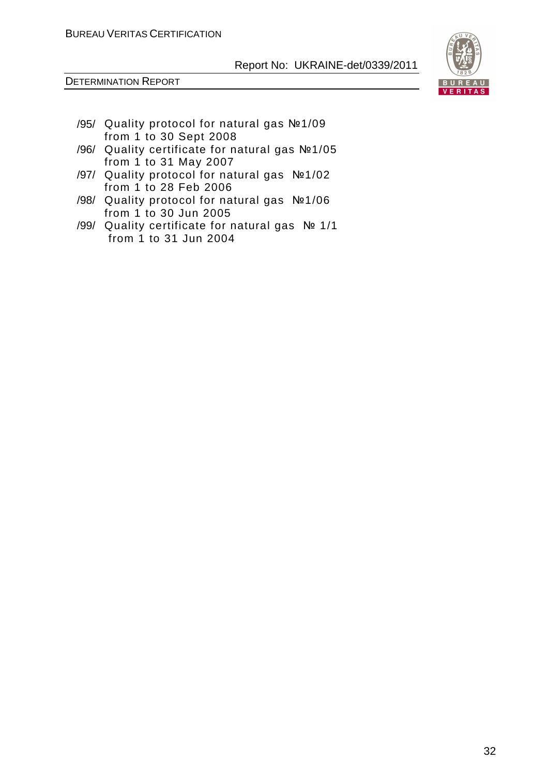

- /95/ Quality protocol for natural gas №1/09 from 1 to 30 Sept 2008
- /96/ Quality certificate for natural gas №1/05 from 1 to 31 May 2007
- /97/ Quality protocol for natural gas №1/02 from 1 to 28 Feb 2006
- /98/ Quality protocol for natural gas №1/06 from 1 to 30 Jun 2005
- /99/ Quality certificate for natural gas № 1/1 from 1 to 31 Jun 2004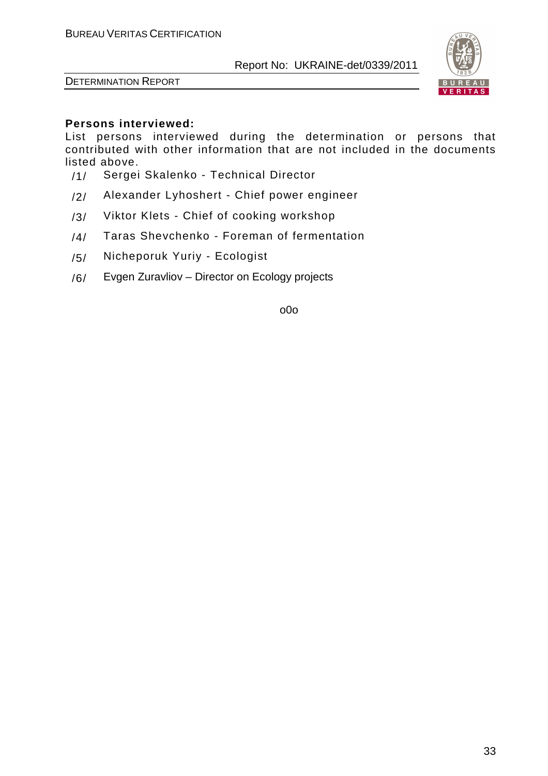

DETERMINATION REPORT

# **Persons interviewed:**

List persons interviewed during the determination or persons that contributed with other information that are not included in the documents listed above.

- /1/ Sergei Skalenko Technical Director
- /2/ Alexander Lyhoshert Chief power engineer
- /3/ Viktor Klets Chief of cooking workshop
- /4/ Taras Shevchenko Foreman of fermentation
- /5/ Nicheporuk Yuriy Ecologist
- /6/ Evgen Zuravliov Director on Ecology projects

o0o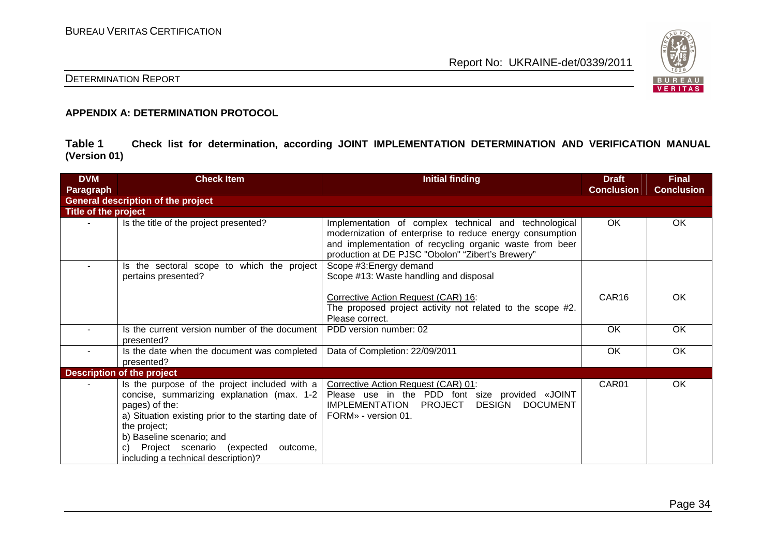

# DETERMINATION REPORT

#### **APPENDIX A: DETERMINATION PROTOCOL**

**Table 1 Check list for determination, according JOINT IMPLEMENTATION DETERMINATION AND VERIFICATION MANUAL (Version 01)** 

| <b>DVM</b>           | <b>Check Item</b>                                                                                                                                                                                                                                                                                        | <b>Initial finding</b>                                                                                                                                                                                                            | <b>Draft</b>      | <b>Final</b>      |
|----------------------|----------------------------------------------------------------------------------------------------------------------------------------------------------------------------------------------------------------------------------------------------------------------------------------------------------|-----------------------------------------------------------------------------------------------------------------------------------------------------------------------------------------------------------------------------------|-------------------|-------------------|
| Paragraph            |                                                                                                                                                                                                                                                                                                          |                                                                                                                                                                                                                                   | <b>Conclusion</b> | <b>Conclusion</b> |
|                      | <b>General description of the project</b>                                                                                                                                                                                                                                                                |                                                                                                                                                                                                                                   |                   |                   |
| Title of the project |                                                                                                                                                                                                                                                                                                          |                                                                                                                                                                                                                                   |                   |                   |
|                      | Is the title of the project presented?                                                                                                                                                                                                                                                                   | Implementation of complex technical and technological<br>modernization of enterprise to reduce energy consumption<br>and implementation of recycling organic waste from beer<br>production at DE PJSC "Obolon" "Zibert's Brewery" | OK.               | OK                |
|                      | Is the sectoral scope to which the project<br>pertains presented?                                                                                                                                                                                                                                        | Scope #3: Energy demand<br>Scope #13: Waste handling and disposal                                                                                                                                                                 |                   |                   |
|                      |                                                                                                                                                                                                                                                                                                          | Corrective Action Request (CAR) 16:<br>The proposed project activity not related to the scope #2.<br>Please correct.                                                                                                              | CAR <sub>16</sub> | OK                |
|                      | Is the current version number of the document<br>presented?                                                                                                                                                                                                                                              | PDD version number: 02                                                                                                                                                                                                            | <b>OK</b>         | OK                |
|                      | Is the date when the document was completed<br>presented?                                                                                                                                                                                                                                                | Data of Completion: 22/09/2011                                                                                                                                                                                                    | OK                | OK                |
|                      | <b>Description of the project</b>                                                                                                                                                                                                                                                                        |                                                                                                                                                                                                                                   |                   |                   |
|                      | Is the purpose of the project included with a<br>concise, summarizing explanation (max. 1-2<br>pages) of the:<br>a) Situation existing prior to the starting date of<br>the project;<br>b) Baseline scenario; and<br>Project scenario (expected<br>outcome,<br>C)<br>including a technical description)? | Corrective Action Request (CAR) 01:<br>Please use in the PDD font size provided «JOINT<br><b>IMPLEMENTATION</b><br>PROJECT<br><b>DESIGN</b><br>DOCUMENT<br>FORM» - version 01.                                                    | CAR01             | OK                |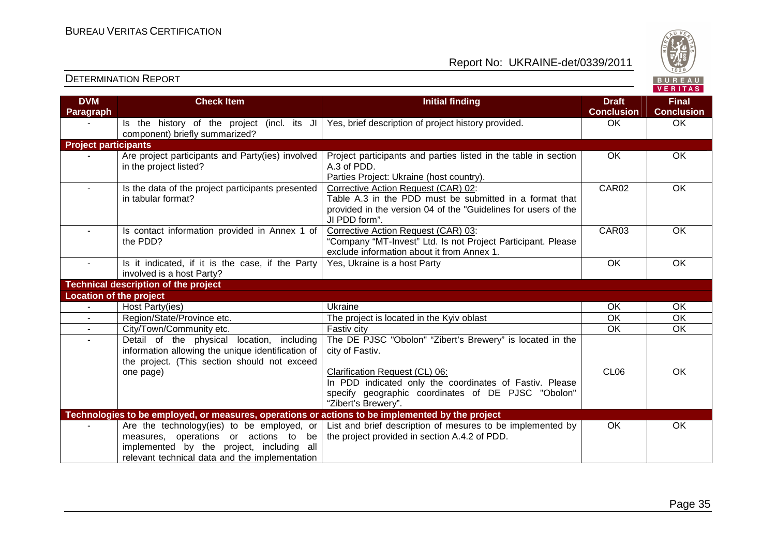Report No: UKRAINE-det/0339/2011



#### **VERITAS Check Item Initial finding Check Item Initial finding Check Item Initial finding Check Item Initial finding Check Item DVM Final Paragraph Conclusion Conclusion** - Ins the history of the project (incl. its JI | Yes, brief description of project history provided.  $\hphantom{\text{a}}$  OK  $\hphantom{\text{a}}$  OK  $\hphantom{\text{a}}$  OK component) briefly summarized? **Project participants** - | Are project participants and Party(ies) involved Project participants and parties listed in the table in section OK OK A.3 of PDD. in the project listed? Parties Project: Ukraine (host country). - Is the data of the project participants presented CAR02 OK Corrective Action Request (CAR) 02: in tabular format? Table A.3 in the PDD must be submitted in a format that provided in the version 04 of the "Guidelines for users of the JI PDD form". - Is contact information provided in Annex 1 of Corrective Action Request (CAR) 03: CAR03 OK the PDD? "Company "МТ-Invest" Ltd. Is not Project Participant. Please exclude information about it from Annex 1. Is it indicated, if it is the case, if the Party Yes, Ukraine is a host Party **Network Communist COK** OK OK involved is a host Party? **Technical description of the project Location of the project** Host Party(ies) - Host Party(ies) Ukraine OK OK - Region/State/Province etc. The project is located in the Kyiv oblast Region CK OK  $\overline{\overline{\text{OK}}}$ - City/Town/Community etc. Fastiv city OK OK  $\overline{\alpha}$ Detail of the physical location, including The DE PJSC "Obolon" "Zibert's Brewery" is located in the information allowing the unique identification of city of Fastiv. the project. (This section should not exceed one page) CL06 OK Clarification Request (CL) 06: In PDD indicated only the coordinates of Fastiv. Please specify geographic coordinates of DE PJSC "Obolon" "Zibert's Brewery". **Technologies to be employed, or measures, operations or actions to be implemented by the project** Are the technology(ies) to be employed, or List and brief description of mesures to be implemented by OK OK measures, operations or actions to be the project provided in section A.4.2 of PDD. implemented by the project, including all relevant technical data and the implementation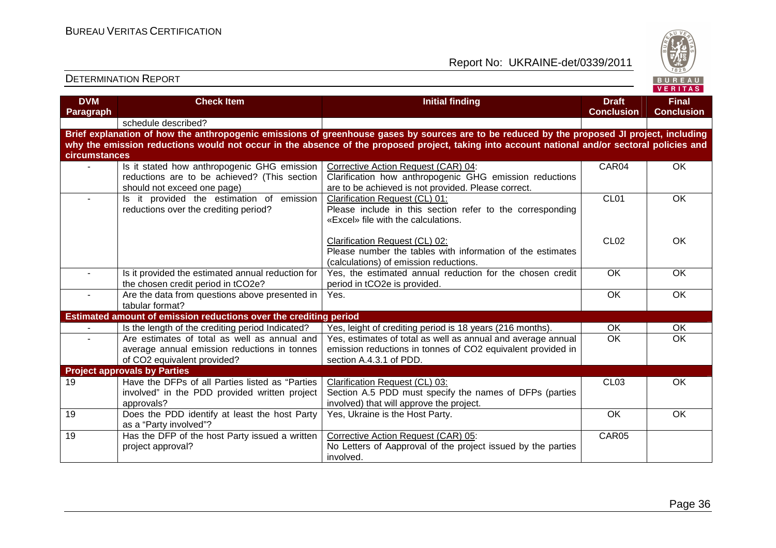

| <b>DVM</b>     | <b>Check Item</b>                                                                                | <b>Initial finding</b>                                                                                                                        | <b>Draft</b>                 | <b>Final</b>      |
|----------------|--------------------------------------------------------------------------------------------------|-----------------------------------------------------------------------------------------------------------------------------------------------|------------------------------|-------------------|
| Paragraph      |                                                                                                  |                                                                                                                                               | <b>Conclusion</b>            | <b>Conclusion</b> |
|                | schedule described?                                                                              |                                                                                                                                               |                              |                   |
|                |                                                                                                  | Brief explanation of how the anthropogenic emissions of greenhouse gases by sources are to be reduced by the proposed JI project, including   |                              |                   |
|                |                                                                                                  | why the emission reductions would not occur in the absence of the proposed project, taking into account national and/or sectoral policies and |                              |                   |
| circumstances  |                                                                                                  |                                                                                                                                               |                              |                   |
|                | Is it stated how anthropogenic GHG emission                                                      | Corrective Action Request (CAR) 04:                                                                                                           | CAR04                        | <b>OK</b>         |
|                | reductions are to be achieved? (This section                                                     | Clarification how anthropogenic GHG emission reductions                                                                                       |                              |                   |
|                | should not exceed one page)                                                                      | are to be achieved is not provided. Please correct.                                                                                           |                              |                   |
| $\overline{a}$ | Is it provided the estimation of emission                                                        | Clarification Request (CL) 01:                                                                                                                | CL <sub>01</sub>             | <b>OK</b>         |
|                | reductions over the crediting period?                                                            | Please include in this section refer to the corresponding                                                                                     |                              |                   |
|                |                                                                                                  | «Excel» file with the calculations.                                                                                                           |                              |                   |
|                |                                                                                                  |                                                                                                                                               |                              |                   |
|                |                                                                                                  | Clarification Request (CL) 02:                                                                                                                | CL <sub>02</sub>             | <b>OK</b>         |
|                |                                                                                                  | Please number the tables with information of the estimates                                                                                    |                              |                   |
|                |                                                                                                  | (calculations) of emission reductions.                                                                                                        |                              |                   |
| $\blacksquare$ | Is it provided the estimated annual reduction for                                                | Yes, the estimated annual reduction for the chosen credit                                                                                     | $\overline{OK}$              | <b>OK</b>         |
|                | the chosen credit period in tCO2e?                                                               | period in tCO2e is provided.                                                                                                                  |                              |                   |
| $\blacksquare$ | Are the data from questions above presented in<br>tabular format?                                | Yes.                                                                                                                                          | OK                           | OK                |
|                | Estimated amount of emission reductions over the crediting period                                |                                                                                                                                               |                              |                   |
|                |                                                                                                  |                                                                                                                                               |                              | OK                |
|                | Is the length of the crediting period Indicated?<br>Are estimates of total as well as annual and | Yes, leight of crediting period is 18 years (216 months).                                                                                     | <b>OK</b><br>$\overline{OK}$ | OK                |
| $\blacksquare$ |                                                                                                  | Yes, estimates of total as well as annual and average annual                                                                                  |                              |                   |
|                | average annual emission reductions in tonnes<br>of CO2 equivalent provided?                      | emission reductions in tonnes of CO2 equivalent provided in<br>section A.4.3.1 of PDD.                                                        |                              |                   |
|                | <b>Project approvals by Parties</b>                                                              |                                                                                                                                               |                              |                   |
| 19             | Have the DFPs of all Parties listed as "Parties                                                  | Clarification Request (CL) 03:                                                                                                                | CL <sub>03</sub>             | <b>OK</b>         |
|                | involved" in the PDD provided written project                                                    | Section A.5 PDD must specify the names of DFPs (parties                                                                                       |                              |                   |
|                | approvals?                                                                                       | involved) that will approve the project.                                                                                                      |                              |                   |
| 19             | Does the PDD identify at least the host Party                                                    | Yes, Ukraine is the Host Party.                                                                                                               | $\overline{OK}$              | $\overline{OK}$   |
|                | as a "Party involved"?                                                                           |                                                                                                                                               |                              |                   |
| 19             | Has the DFP of the host Party issued a written                                                   | Corrective Action Request (CAR) 05:                                                                                                           | CAR05                        |                   |
|                | project approval?                                                                                | No Letters of Aapproval of the project issued by the parties                                                                                  |                              |                   |
|                |                                                                                                  | involved.                                                                                                                                     |                              |                   |
|                |                                                                                                  |                                                                                                                                               |                              |                   |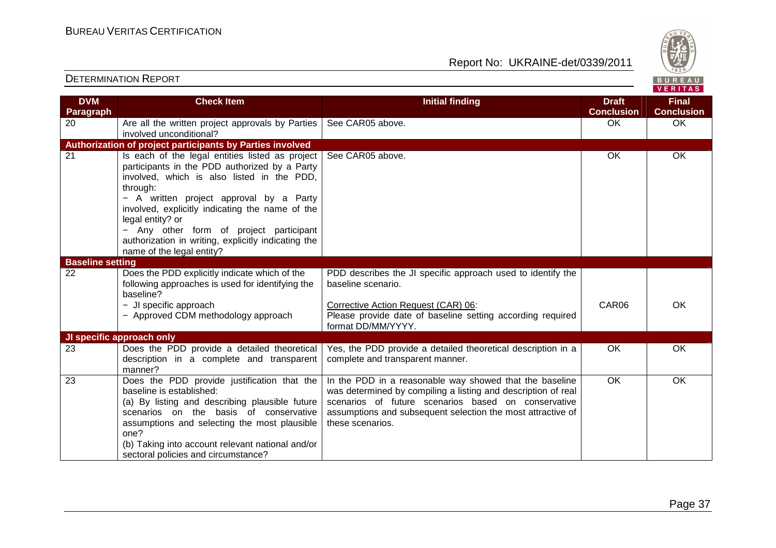one?

(b) Taking into account relevant national and/or

sectoral policies and circumstance?

Report No: UKRAINE-det/0339/2011



#### DETERMINATION REPORT**DVM Paragraph Check Item Initial finding Check Item Initial finding Check Item Initial finding Check Item Initial finding Conclusion**20 Are all the written project approvals by Parties involved unconditional? **Authorization of project participants by Parties involved** See CAR05 above. OK OK 21 | Is each of the legal entities listed as project participants in the PDD authorized by a Party involved, which is also listed in the PDD, through: − A written project approval by a Party involved, explicitly indicating the name of the legal entity? or − Any other form of project participant authorization in writing, explicitly indicating thename of the legal entity? See CAR05 above. 
See CAR05 above. **Baseline setting**  22 Does the PDD explicitly indicate which of the following approaches is used for identifying the baseline? − JI specific approach − Approved CDM methodology approach PDD describes the JI specific approach used to identify the baseline scenario. Corrective Action Request (CAR) 06: Please provide date of baseline setting according required format DD/MM/YYYY. CAR06 OK **JI specific approach only**  23 Does the PDD provide a detailed theoretical description in a complete and transparent manner? 23 Does the PDD provide justification that the Yes, the PDD provide a detailed theoretical description in a complete and transparent manner. OK OK baseline is established: (a) By listing and describing plausible future scenarios on the basis of conservative assumptions and selecting the most plausible In the PDD in a reasonable way showed that the baseline was determined by compiling a listing and description of real scenarios of future scenarios based on conservative assumptions and subsequent selection the most attractive of these scenarios. OK OK

**Final Conclusion**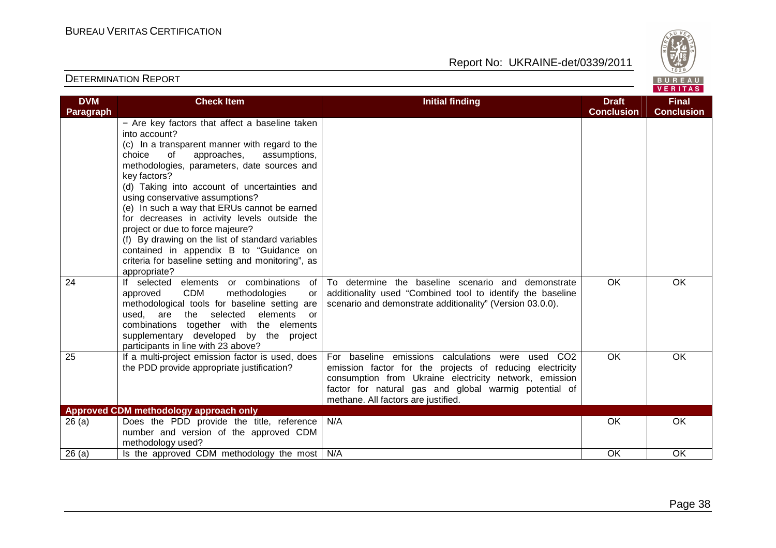

| <b>DVM</b> | <b>Check Item</b>                                                                                                                                                                                                                                                                                                                                                                                                                                                                                                                                                                                                          | <b>Initial finding</b>                                                                                                                                                                                                                                                                 | <b>Draft</b><br><b>Conclusion</b> | <b>Final</b><br><b>Conclusion</b> |
|------------|----------------------------------------------------------------------------------------------------------------------------------------------------------------------------------------------------------------------------------------------------------------------------------------------------------------------------------------------------------------------------------------------------------------------------------------------------------------------------------------------------------------------------------------------------------------------------------------------------------------------------|----------------------------------------------------------------------------------------------------------------------------------------------------------------------------------------------------------------------------------------------------------------------------------------|-----------------------------------|-----------------------------------|
| Paragraph  | - Are key factors that affect a baseline taken<br>into account?<br>(c) In a transparent manner with regard to the<br>approaches,<br>assumptions,<br>choice<br>of<br>methodologies, parameters, date sources and<br>key factors?<br>(d) Taking into account of uncertainties and<br>using conservative assumptions?<br>(e) In such a way that ERUs cannot be earned<br>for decreases in activity levels outside the<br>project or due to force majeure?<br>(f) By drawing on the list of standard variables<br>contained in appendix B to "Guidance on<br>criteria for baseline setting and monitoring", as<br>appropriate? |                                                                                                                                                                                                                                                                                        |                                   |                                   |
| 24         | elements or combinations<br>If selected<br>of<br><b>CDM</b><br>methodologies<br>approved<br>or<br>methodological tools for baseline setting are<br>used, are the selected elements<br>or<br>combinations together with the elements<br>supplementary developed by the project<br>participants in line with 23 above?                                                                                                                                                                                                                                                                                                       | To determine the baseline scenario and demonstrate<br>additionality used "Combined tool to identify the baseline<br>scenario and demonstrate additionality" (Version 03.0.0).                                                                                                          | $\overline{OK}$                   | OK                                |
| 25         | If a multi-project emission factor is used, does<br>the PDD provide appropriate justification?                                                                                                                                                                                                                                                                                                                                                                                                                                                                                                                             | For baseline emissions calculations were used<br>CO <sub>2</sub><br>emission factor for the projects of reducing electricity<br>consumption from Ukraine electricity network, emission<br>factor for natural gas and global warmig potential of<br>methane. All factors are justified. | <b>OK</b>                         | <b>OK</b>                         |
|            | Approved CDM methodology approach only                                                                                                                                                                                                                                                                                                                                                                                                                                                                                                                                                                                     |                                                                                                                                                                                                                                                                                        |                                   |                                   |
| 26(a)      | Does the PDD provide the title, reference<br>number and version of the approved CDM<br>methodology used?                                                                                                                                                                                                                                                                                                                                                                                                                                                                                                                   | N/A                                                                                                                                                                                                                                                                                    | OK                                | OK                                |
| 26(a)      | Is the approved CDM methodology the most                                                                                                                                                                                                                                                                                                                                                                                                                                                                                                                                                                                   | N/A                                                                                                                                                                                                                                                                                    | OK                                | OK                                |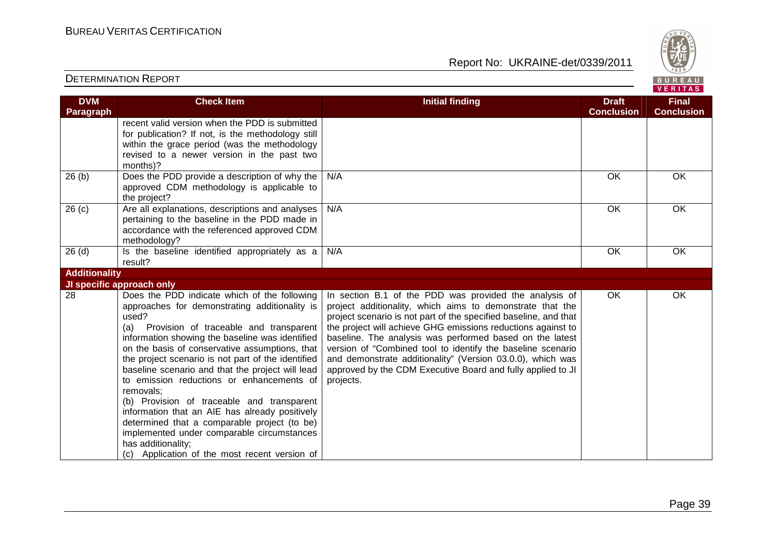Report No: UKRAINE-det/0339/2011



#### **VERITAS Check Item Initial finding Check Item Initial finding Check Item Initial finding Check Item Initial finding Check Item DVM Final Paragraph Conclusion Conclusion** recent valid version when the PDD is submitted for publication? If not, is the methodology still within the grace period (was the methodology revised to a newer version in the past two months)? 26 (b)  $\vert$  Does the PDD provide a description of why the N/A OK OK OK approved CDM methodology is applicable to the project? 26 (c) Are all explanations, descriptions and analyses N/A OK OK OK pertaining to the baseline in the PDD made in accordance with the referenced approved CDM methodology?  $26$  (d)  $\qquad$  Is the baseline identified appropriately as a N/A OK OK OK result? **Additionality JI specific approach only**  28 Does the PDD indicate which of the following In section B.1 of the PDD was provided the analysis of OK OK approaches for demonstrating additionality is project additionality, which aims to demonstrate that the used? project scenario is not part of the specified baseline, and that (a) Provision of traceable and transparent the project will achieve GHG emissions reductions against to information showing the baseline was identified baseline. The analysis was performed based on the latest on the basis of conservative assumptions, that version of "Combined tool to identify the baseline scenario the project scenario is not part of the identified and demonstrate additionality" (Version 03.0.0), which was baseline scenario and that the project will lead approved by the CDM Executive Board and fully applied to JI to emission reductions or enhancements of projects. removals; (b) Provision of traceable and transparent information that an AIE has already positively determined that a comparable project (to be) implemented under comparable circumstances has additionality; (c) Application of the most recent version of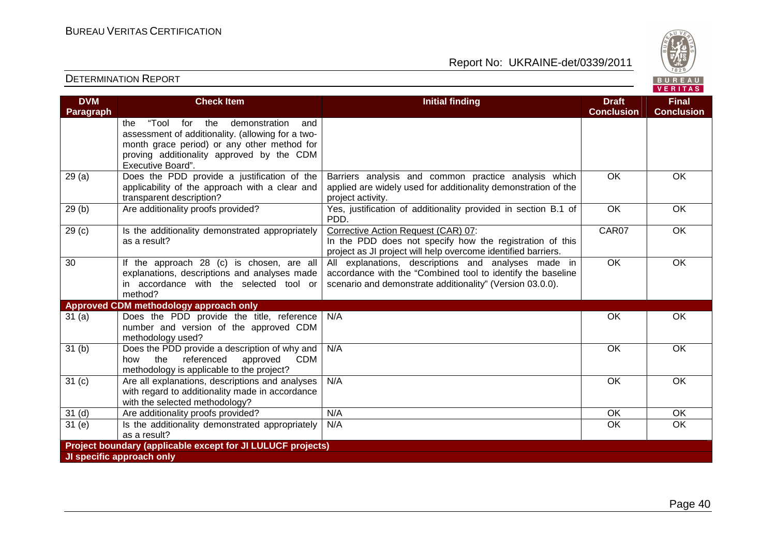

| <b>DVM</b><br><b>Paragraph</b> | <b>Check Item</b>                                                                                                                                                                                                        | <b>Initial finding</b>                                                                                                                                                          | <b>Draft</b><br><b>Conclusion</b> | <b>Final</b><br><b>Conclusion</b> |
|--------------------------------|--------------------------------------------------------------------------------------------------------------------------------------------------------------------------------------------------------------------------|---------------------------------------------------------------------------------------------------------------------------------------------------------------------------------|-----------------------------------|-----------------------------------|
|                                | "Tool<br>the<br>the<br>for<br>demonstration<br>and<br>assessment of additionality. (allowing for a two-<br>month grace period) or any other method for<br>proving additionality approved by the CDM<br>Executive Board". |                                                                                                                                                                                 |                                   |                                   |
| 29(a)                          | Does the PDD provide a justification of the<br>applicability of the approach with a clear and<br>transparent description?                                                                                                | Barriers analysis and common practice analysis which<br>applied are widely used for additionality demonstration of the<br>project activity.                                     | OK                                | OK                                |
| 29(b)                          | Are additionality proofs provided?                                                                                                                                                                                       | Yes, justification of additionality provided in section B.1 of<br>PDD.                                                                                                          | $\overline{OK}$                   | OK                                |
| 29 <sub>(c)</sub>              | Is the additionality demonstrated appropriately<br>as a result?                                                                                                                                                          | Corrective Action Request (CAR) 07:<br>In the PDD does not specify how the registration of this<br>project as JI project will help overcome identified barriers.                | CAR07                             | <b>OK</b>                         |
| 30                             | If the approach 28 (c) is chosen, are all<br>explanations, descriptions and analyses made<br>in accordance with the selected tool or<br>method?                                                                          | All explanations, descriptions and analyses made in<br>accordance with the "Combined tool to identify the baseline<br>scenario and demonstrate additionality" (Version 03.0.0). | $\overline{OK}$                   | OK                                |
|                                | <b>Approved CDM methodology approach only</b>                                                                                                                                                                            |                                                                                                                                                                                 |                                   |                                   |
| 31(a)                          | Does the PDD provide the title, reference<br>number and version of the approved CDM<br>methodology used?                                                                                                                 | N/A                                                                                                                                                                             | OK                                | OK                                |
| 31 <sub>(b)</sub>              | Does the PDD provide a description of why and<br>referenced<br>the<br>approved<br><b>CDM</b><br>how<br>methodology is applicable to the project?                                                                         | N/A                                                                                                                                                                             | <b>OK</b>                         | OK                                |
| 31 <sub>(c)</sub>              | Are all explanations, descriptions and analyses<br>with regard to additionality made in accordance<br>with the selected methodology?                                                                                     | N/A                                                                                                                                                                             | <b>OK</b>                         | <b>OK</b>                         |
| 31 <sub>(d)</sub>              | Are additionality proofs provided?                                                                                                                                                                                       | N/A                                                                                                                                                                             | OK                                | OK                                |
| 31(e)                          | Is the additionality demonstrated appropriately<br>as a result?                                                                                                                                                          | N/A                                                                                                                                                                             | OK                                | $\overline{OK}$                   |
|                                | Project boundary (applicable except for JI LULUCF projects)                                                                                                                                                              |                                                                                                                                                                                 |                                   |                                   |
|                                | JI specific approach only                                                                                                                                                                                                |                                                                                                                                                                                 |                                   |                                   |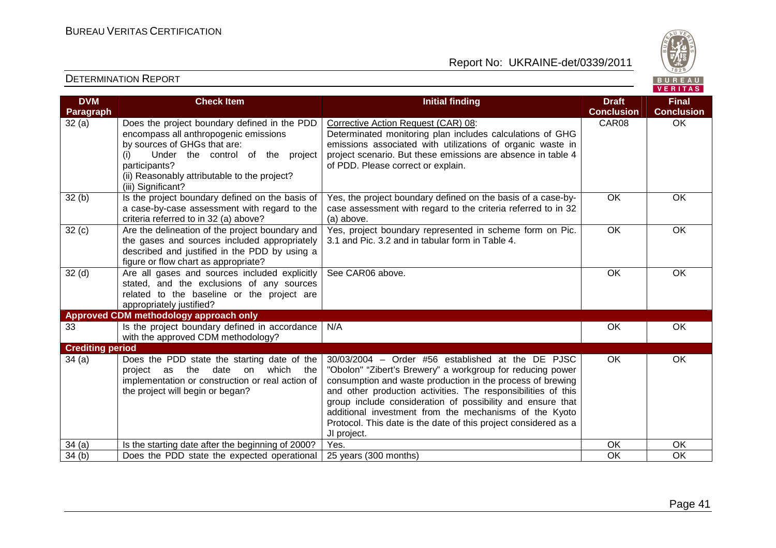

| <b>DVM</b>              | <b>Check Item</b>                                  | <b>Initial finding</b>                                          | <b>Draft</b>      | <b>Final</b>      |
|-------------------------|----------------------------------------------------|-----------------------------------------------------------------|-------------------|-------------------|
| <b>Paragraph</b>        |                                                    |                                                                 | <b>Conclusion</b> | <b>Conclusion</b> |
| 32(a)                   | Does the project boundary defined in the PDD       | Corrective Action Request (CAR) 08:                             | CAR08             | <b>OK</b>         |
|                         | encompass all anthropogenic emissions              | Determinated monitoring plan includes calculations of GHG       |                   |                   |
|                         | by sources of GHGs that are:                       | emissions associated with utilizations of organic waste in      |                   |                   |
|                         | Under the control of the project<br>(i)            | project scenario. But these emissions are absence in table 4    |                   |                   |
|                         | participants?                                      | of PDD. Please correct or explain.                              |                   |                   |
|                         | (ii) Reasonably attributable to the project?       |                                                                 |                   |                   |
|                         | (iii) Significant?                                 |                                                                 |                   |                   |
| 32(b)                   | Is the project boundary defined on the basis of    | Yes, the project boundary defined on the basis of a case-by-    | OK                | OK                |
|                         | a case-by-case assessment with regard to the       | case assessment with regard to the criteria referred to in 32   |                   |                   |
|                         | criteria referred to in 32 (a) above?              | (a) above.                                                      |                   |                   |
| 32(c)                   | Are the delineation of the project boundary and    | Yes, project boundary represented in scheme form on Pic.        | OK                | OK                |
|                         | the gases and sources included appropriately       | 3.1 and Pic. 3.2 and in tabular form in Table 4.                |                   |                   |
|                         | described and justified in the PDD by using a      |                                                                 |                   |                   |
|                         | figure or flow chart as appropriate?               |                                                                 |                   |                   |
| 32 <sub>(d)</sub>       | Are all gases and sources included explicitly      | See CAR06 above.                                                | OK                | OK                |
|                         | stated, and the exclusions of any sources          |                                                                 |                   |                   |
|                         | related to the baseline or the project are         |                                                                 |                   |                   |
|                         | appropriately justified?                           |                                                                 |                   |                   |
|                         | Approved CDM methodology approach only             |                                                                 |                   |                   |
| 33                      | Is the project boundary defined in accordance      | N/A                                                             | OK                | OK                |
|                         | with the approved CDM methodology?                 |                                                                 |                   |                   |
| <b>Crediting period</b> |                                                    |                                                                 |                   |                   |
| 34(a)                   | Does the PDD state the starting date of the        | 30/03/2004 - Order #56 established at the DE PJSC               | OK                | OK                |
|                         | which<br>the<br>date<br>on<br>the<br>project<br>as | "Obolon" "Zibert's Brewery" a workgroup for reducing power      |                   |                   |
|                         | implementation or construction or real action of   | consumption and waste production in the process of brewing      |                   |                   |
|                         | the project will begin or began?                   | and other production activities. The responsibilities of this   |                   |                   |
|                         |                                                    | group include consideration of possibility and ensure that      |                   |                   |
|                         |                                                    | additional investment from the mechanisms of the Kyoto          |                   |                   |
|                         |                                                    | Protocol. This date is the date of this project considered as a |                   |                   |
|                         |                                                    | JI project.                                                     |                   |                   |
| 34(a)                   | Is the starting date after the beginning of 2000?  | Yes.                                                            | OK                | OK                |
| 34(b)                   | Does the PDD state the expected operational        | 25 years (300 months)                                           | OK                | OK                |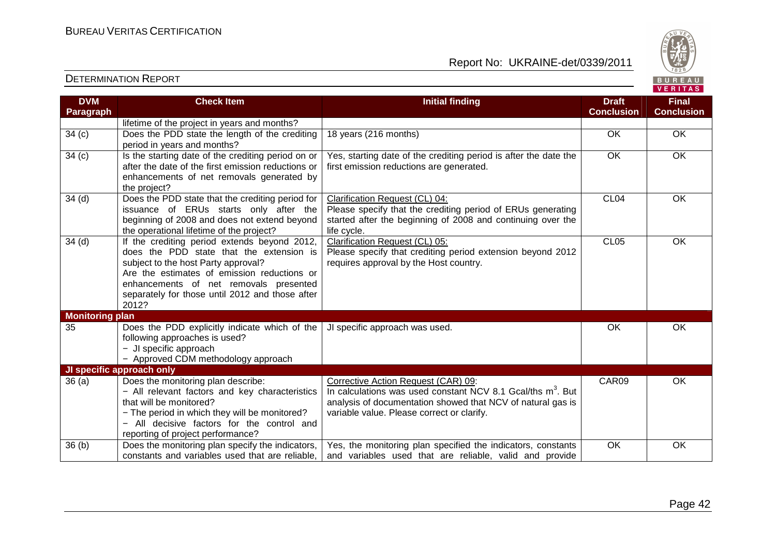

| <b>DVM</b>             | <b>Check Item</b>                                                                        | <b>Initial finding</b>                                                  | <b>Draft</b>      | <b>Final</b>      |
|------------------------|------------------------------------------------------------------------------------------|-------------------------------------------------------------------------|-------------------|-------------------|
| <b>Paragraph</b>       |                                                                                          |                                                                         | <b>Conclusion</b> | <b>Conclusion</b> |
|                        | lifetime of the project in years and months?                                             |                                                                         |                   |                   |
| 34(c)                  | Does the PDD state the length of the crediting                                           | 18 years (216 months)                                                   | OK                | OK                |
|                        | period in years and months?                                                              |                                                                         |                   |                   |
| 34(c)                  | Is the starting date of the crediting period on or                                       | Yes, starting date of the crediting period is after the date the        | OK                | OK                |
|                        | after the date of the first emission reductions or                                       | first emission reductions are generated.                                |                   |                   |
|                        | enhancements of net removals generated by                                                |                                                                         |                   |                   |
|                        | the project?                                                                             |                                                                         |                   |                   |
| 34 <sub>(d)</sub>      | Does the PDD state that the crediting period for                                         | Clarification Request (CL) 04:                                          | CL <sub>04</sub>  | <b>OK</b>         |
|                        | issuance of ERUs starts only after the                                                   | Please specify that the crediting period of ERUs generating             |                   |                   |
|                        | beginning of 2008 and does not extend beyond                                             | started after the beginning of 2008 and continuing over the             |                   |                   |
|                        | the operational lifetime of the project?                                                 | life cycle.                                                             |                   |                   |
| 34 <sub>(d)</sub>      | If the crediting period extends beyond 2012,<br>does the PDD state that the extension is | Clarification Request (CL) 05:                                          | CL <sub>05</sub>  | OK                |
|                        |                                                                                          | Please specify that crediting period extension beyond 2012              |                   |                   |
|                        | subject to the host Party approval?<br>Are the estimates of emission reductions or       | requires approval by the Host country.                                  |                   |                   |
|                        | enhancements of net removals presented                                                   |                                                                         |                   |                   |
|                        | separately for those until 2012 and those after                                          |                                                                         |                   |                   |
|                        | 2012?                                                                                    |                                                                         |                   |                   |
| <b>Monitoring plan</b> |                                                                                          |                                                                         |                   |                   |
| 35                     | Does the PDD explicitly indicate which of the                                            | JI specific approach was used.                                          | OK                | <b>OK</b>         |
|                        | following approaches is used?                                                            |                                                                         |                   |                   |
|                        | - JI specific approach                                                                   |                                                                         |                   |                   |
|                        | - Approved CDM methodology approach                                                      |                                                                         |                   |                   |
|                        | JI specific approach only                                                                |                                                                         |                   |                   |
| 36(a)                  | Does the monitoring plan describe:                                                       | Corrective Action Request (CAR) 09:                                     | CAR09             | <b>OK</b>         |
|                        | - All relevant factors and key characteristics                                           | In calculations was used constant NCV 8.1 Gcal/ths m <sup>3</sup> . But |                   |                   |
|                        | that will be monitored?                                                                  | analysis of documentation showed that NCV of natural gas is             |                   |                   |
|                        | - The period in which they will be monitored?                                            | variable value. Please correct or clarify.                              |                   |                   |
|                        | - All decisive factors for the control and                                               |                                                                         |                   |                   |
|                        | reporting of project performance?                                                        |                                                                         |                   |                   |
| 36(b)                  | Does the monitoring plan specify the indicators,                                         | Yes, the monitoring plan specified the indicators, constants            | OK                | OK                |
|                        | constants and variables used that are reliable,                                          | and variables used that are reliable, valid and provide                 |                   |                   |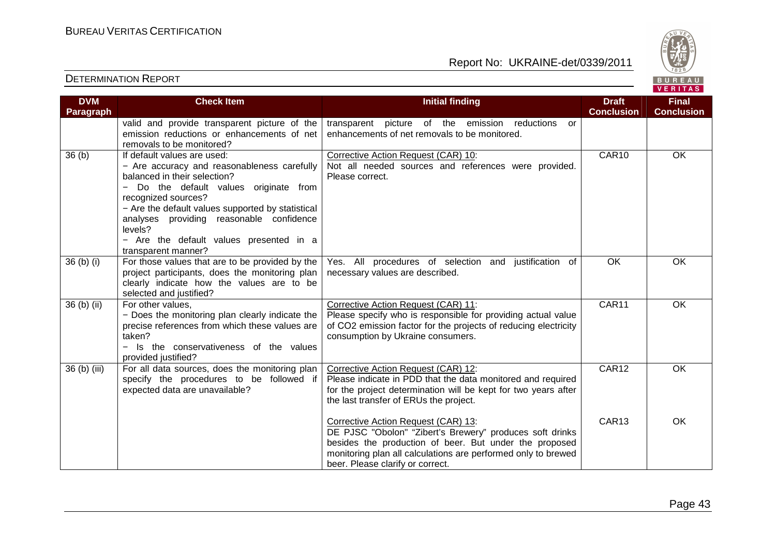

| <b>DVM</b>   | <b>Check Item</b>                                                                                                                                                                                                                                                                                                                                              | <b>Initial finding</b>                                                                                                                                                                                                                                         | <b>Draft</b><br><b>Conclusion</b> | <b>Final</b><br><b>Conclusion</b> |
|--------------|----------------------------------------------------------------------------------------------------------------------------------------------------------------------------------------------------------------------------------------------------------------------------------------------------------------------------------------------------------------|----------------------------------------------------------------------------------------------------------------------------------------------------------------------------------------------------------------------------------------------------------------|-----------------------------------|-----------------------------------|
| Paragraph    | valid and provide transparent picture of the<br>emission reductions or enhancements of net<br>removals to be monitored?                                                                                                                                                                                                                                        | transparent picture of the emission reductions<br>or<br>enhancements of net removals to be monitored.                                                                                                                                                          |                                   |                                   |
| 36(b)        | If default values are used:<br>- Are accuracy and reasonableness carefully<br>balanced in their selection?<br>Do the default values originate from<br>$-$<br>recognized sources?<br>- Are the default values supported by statistical<br>analyses providing reasonable confidence<br>levels?<br>- Are the default values presented in a<br>transparent manner? | Corrective Action Request (CAR) 10:<br>Not all needed sources and references were provided.<br>Please correct.                                                                                                                                                 | CAR10                             | OK                                |
| $36(b)$ (i)  | For those values that are to be provided by the<br>project participants, does the monitoring plan<br>clearly indicate how the values are to be<br>selected and justified?                                                                                                                                                                                      | Yes. All procedures of selection and justification of<br>necessary values are described.                                                                                                                                                                       | OK                                | OK                                |
| $36(b)$ (ii) | For other values,<br>- Does the monitoring plan clearly indicate the<br>precise references from which these values are<br>taken?<br>Is the conservativeness of the values<br>provided justified?                                                                                                                                                               | Corrective Action Request (CAR) 11:<br>Please specify who is responsible for providing actual value<br>of CO2 emission factor for the projects of reducing electricity<br>consumption by Ukraine consumers.                                                    | CAR11                             | OK                                |
| 36 (b) (iii) | For all data sources, does the monitoring plan<br>specify the procedures to be followed if<br>expected data are unavailable?                                                                                                                                                                                                                                   | Corrective Action Request (CAR) 12:<br>Please indicate in PDD that the data monitored and required<br>for the project determination will be kept for two years after<br>the last transfer of ERUs the project.                                                 | CAR12                             | OK                                |
|              |                                                                                                                                                                                                                                                                                                                                                                | Corrective Action Request (CAR) 13:<br>DE PJSC "Obolon" "Zibert's Brewery" produces soft drinks<br>besides the production of beer. But under the proposed<br>monitoring plan all calculations are performed only to brewed<br>beer. Please clarify or correct. | CAR <sub>13</sub>                 | <b>OK</b>                         |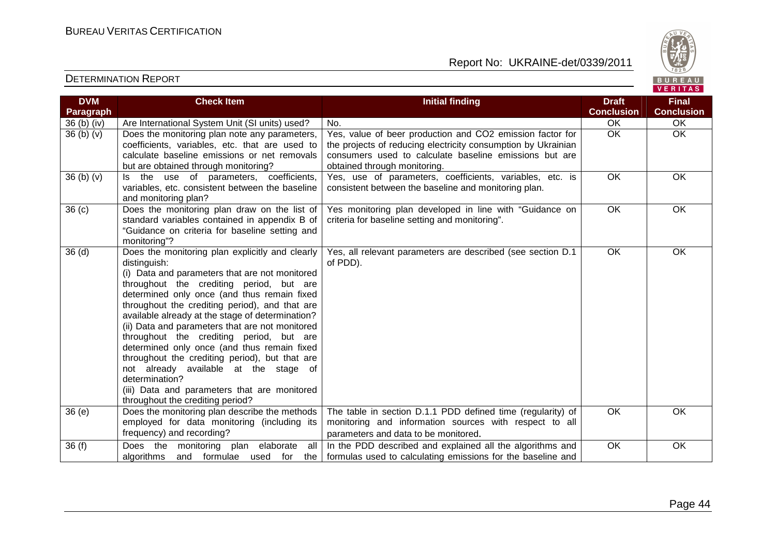

| <b>DVM</b>                       | <b>Check Item</b>                                                                                                                                                                                                                                                                                                                                                                                                                                                                                                                                                                                                                                                 | <b>Initial finding</b>                                                                                                                                                                                               | <b>Draft</b>      | <b>Final</b>      |
|----------------------------------|-------------------------------------------------------------------------------------------------------------------------------------------------------------------------------------------------------------------------------------------------------------------------------------------------------------------------------------------------------------------------------------------------------------------------------------------------------------------------------------------------------------------------------------------------------------------------------------------------------------------------------------------------------------------|----------------------------------------------------------------------------------------------------------------------------------------------------------------------------------------------------------------------|-------------------|-------------------|
| Paragraph                        |                                                                                                                                                                                                                                                                                                                                                                                                                                                                                                                                                                                                                                                                   |                                                                                                                                                                                                                      | <b>Conclusion</b> | <b>Conclusion</b> |
| 36 (b) (iv)                      | Are International System Unit (SI units) used?                                                                                                                                                                                                                                                                                                                                                                                                                                                                                                                                                                                                                    | No.                                                                                                                                                                                                                  | OK                | OK                |
| 36 <sub>(b)</sub> <sub>(v)</sub> | Does the monitoring plan note any parameters,<br>coefficients, variables, etc. that are used to<br>calculate baseline emissions or net removals<br>but are obtained through monitoring?                                                                                                                                                                                                                                                                                                                                                                                                                                                                           | Yes, value of beer production and CO2 emission factor for<br>the projects of reducing electricity consumption by Ukrainian<br>consumers used to calculate baseline emissions but are<br>obtained through monitoring. | <b>OK</b>         | $\overline{OK}$   |
| 36 (b) (v)                       | Is the use of parameters, coefficients,<br>variables, etc. consistent between the baseline<br>and monitoring plan?                                                                                                                                                                                                                                                                                                                                                                                                                                                                                                                                                | Yes, use of parameters, coefficients, variables, etc. is<br>consistent between the baseline and monitoring plan.                                                                                                     | OK                | $\overline{OK}$   |
| 36 <sub>(c)</sub>                | Does the monitoring plan draw on the list of<br>standard variables contained in appendix B of<br>"Guidance on criteria for baseline setting and<br>monitoring"?                                                                                                                                                                                                                                                                                                                                                                                                                                                                                                   | Yes monitoring plan developed in line with "Guidance on<br>criteria for baseline setting and monitoring".                                                                                                            | OK                | OK                |
| 36 <sub>(d)</sub>                | Does the monitoring plan explicitly and clearly<br>distinguish:<br>(i) Data and parameters that are not monitored<br>throughout the crediting period, but are<br>determined only once (and thus remain fixed<br>throughout the crediting period), and that are<br>available already at the stage of determination?<br>(ii) Data and parameters that are not monitored<br>throughout the crediting period, but are<br>determined only once (and thus remain fixed<br>throughout the crediting period), but that are<br>not already available at the stage of<br>determination?<br>(iii) Data and parameters that are monitored<br>throughout the crediting period? | Yes, all relevant parameters are described (see section D.1<br>of PDD).                                                                                                                                              | $\overline{OK}$   | OK                |
| 36(e)                            | Does the monitoring plan describe the methods<br>employed for data monitoring (including its<br>frequency) and recording?                                                                                                                                                                                                                                                                                                                                                                                                                                                                                                                                         | The table in section D.1.1 PDD defined time (regularity) of<br>monitoring and information sources with respect to all<br>parameters and data to be monitored.                                                        | OK                | OK                |
| 36(f)                            | monitoring plan elaborate all<br>Does the<br>algorithms<br>and formulae used for<br>the                                                                                                                                                                                                                                                                                                                                                                                                                                                                                                                                                                           | In the PDD described and explained all the algorithms and<br>formulas used to calculating emissions for the baseline and                                                                                             | OK                | OK                |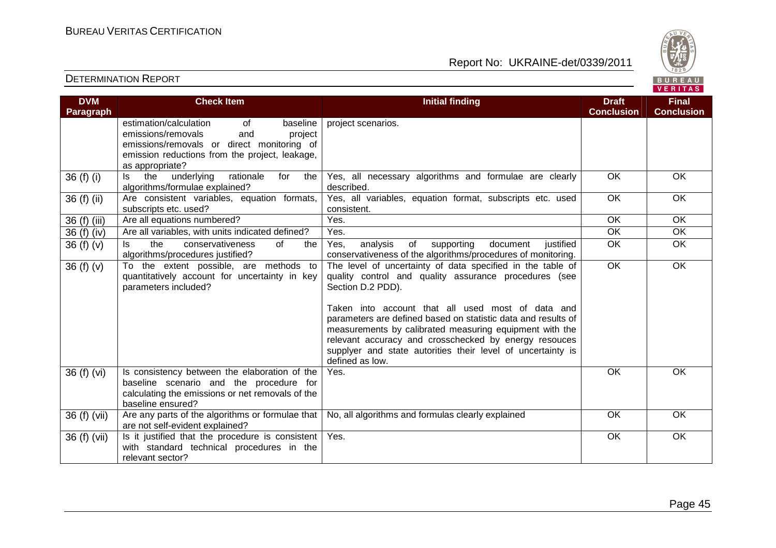

| <b>DVM</b><br>Paragraph | <b>Check Item</b>                                                                                                                                                                                   | <b>Initial finding</b>                                                                                                                                                                                                                                                                                                                                                                                                                                               | <b>Draft</b><br><b>Conclusion</b> | <b>Final</b><br><b>Conclusion</b> |
|-------------------------|-----------------------------------------------------------------------------------------------------------------------------------------------------------------------------------------------------|----------------------------------------------------------------------------------------------------------------------------------------------------------------------------------------------------------------------------------------------------------------------------------------------------------------------------------------------------------------------------------------------------------------------------------------------------------------------|-----------------------------------|-----------------------------------|
|                         | estimation/calculation<br>of<br>baseline<br>emissions/removals<br>and<br>project<br>emissions/removals or direct monitoring of<br>emission reductions from the project, leakage,<br>as appropriate? | project scenarios.                                                                                                                                                                                                                                                                                                                                                                                                                                                   |                                   |                                   |
| 36 (f) (i)              | rationale<br>ls.<br>the<br>underlying<br>for<br>the<br>algorithms/formulae explained?                                                                                                               | Yes, all necessary algorithms and formulae are clearly<br>described.                                                                                                                                                                                                                                                                                                                                                                                                 | <b>OK</b>                         | <b>OK</b>                         |
| 36 (f) (ii)             | Are consistent variables, equation formats,<br>subscripts etc. used?                                                                                                                                | Yes, all variables, equation format, subscripts etc. used<br>consistent.                                                                                                                                                                                                                                                                                                                                                                                             | <b>OK</b>                         | OK                                |
| 36 (f) (iii)            | Are all equations numbered?                                                                                                                                                                         | Yes.                                                                                                                                                                                                                                                                                                                                                                                                                                                                 | <b>OK</b>                         | <b>OK</b>                         |
| 36 (f) (iv)             | Are all variables, with units indicated defined?                                                                                                                                                    | Yes.                                                                                                                                                                                                                                                                                                                                                                                                                                                                 | $\overline{OK}$                   | $\overline{OK}$                   |
| 36(f)(v)                | the<br>conservativeness<br>of<br>ls<br>the<br>algorithms/procedures justified?                                                                                                                      | Yes,<br>analysis<br>supporting<br>document<br>of<br>justified<br>conservativeness of the algorithms/procedures of monitoring.                                                                                                                                                                                                                                                                                                                                        | OK                                | OK                                |
| 36(f)(v)                | To the extent possible, are methods to<br>quantitatively account for uncertainty in key<br>parameters included?                                                                                     | The level of uncertainty of data specified in the table of<br>quality control and quality assurance procedures (see<br>Section D.2 PDD).<br>Taken into account that all used most of data and<br>parameters are defined based on statistic data and results of<br>measurements by calibrated measuring equipment with the<br>relevant accuracy and crosschecked by energy resouces<br>supplyer and state autorities their level of uncertainty is<br>defined as low. | $\overline{OK}$                   | OK                                |
| 36 (f) (vi)             | Is consistency between the elaboration of the<br>baseline scenario and the procedure for<br>calculating the emissions or net removals of the<br>baseline ensured?                                   | Yes.                                                                                                                                                                                                                                                                                                                                                                                                                                                                 | <b>OK</b>                         | <b>OK</b>                         |
| 36 (f) (vii)            | Are any parts of the algorithms or formulae that<br>are not self-evident explained?                                                                                                                 | No, all algorithms and formulas clearly explained                                                                                                                                                                                                                                                                                                                                                                                                                    | OK                                | OK                                |
| 36 (f) (vii)            | Is it justified that the procedure is consistent<br>with standard technical procedures in the<br>relevant sector?                                                                                   | Yes.                                                                                                                                                                                                                                                                                                                                                                                                                                                                 | OK                                | OK                                |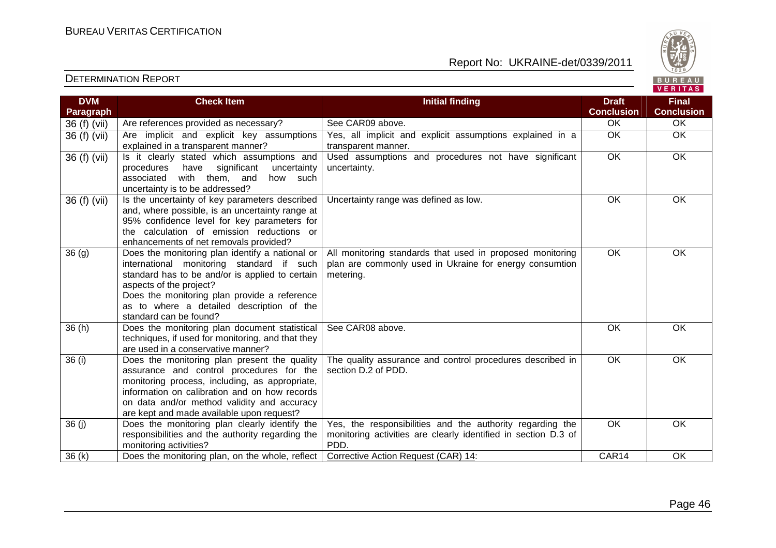

| <b>DVM</b>   | <b>Check Item</b>                                                                                                                                                                                                                                                                                 | <b>Initial finding</b>                                                                                                              | <b>Draft</b>      | <b>Final</b>      |
|--------------|---------------------------------------------------------------------------------------------------------------------------------------------------------------------------------------------------------------------------------------------------------------------------------------------------|-------------------------------------------------------------------------------------------------------------------------------------|-------------------|-------------------|
| Paragraph    |                                                                                                                                                                                                                                                                                                   |                                                                                                                                     | <b>Conclusion</b> | <b>Conclusion</b> |
| 36 (f) (vii) | Are references provided as necessary?                                                                                                                                                                                                                                                             | See CAR09 above.                                                                                                                    | <b>OK</b>         | <b>OK</b>         |
| 36 (f) (vii) | Are implicit and explicit key assumptions<br>explained in a transparent manner?                                                                                                                                                                                                                   | Yes, all implicit and explicit assumptions explained in a<br>transparent manner.                                                    | <b>OK</b>         | OK                |
| 36 (f) (vii) | Is it clearly stated which assumptions and<br>significant<br>procedures<br>have<br>uncertainty<br>with them,<br>associated<br>and<br>how such<br>uncertainty is to be addressed?                                                                                                                  | Used assumptions and procedures not have significant<br>uncertainty.                                                                | OK                | OK                |
| 36 (f) (vii) | Is the uncertainty of key parameters described<br>and, where possible, is an uncertainty range at<br>95% confidence level for key parameters for<br>the calculation of emission reductions or<br>enhancements of net removals provided?                                                           | Uncertainty range was defined as low.                                                                                               | <b>OK</b>         | OK                |
| 36(9)        | Does the monitoring plan identify a national or<br>international monitoring standard if such<br>standard has to be and/or is applied to certain<br>aspects of the project?<br>Does the monitoring plan provide a reference<br>as to where a detailed description of the<br>standard can be found? | All monitoring standards that used in proposed monitoring<br>plan are commonly used in Ukraine for energy consumtion<br>metering.   | OK                | OK                |
| 36(h)        | Does the monitoring plan document statistical<br>techniques, if used for monitoring, and that they<br>are used in a conservative manner?                                                                                                                                                          | See CAR08 above.                                                                                                                    | <b>OK</b>         | <b>OK</b>         |
| 36 (i)       | Does the monitoring plan present the quality<br>assurance and control procedures for the<br>monitoring process, including, as appropriate,<br>information on calibration and on how records<br>on data and/or method validity and accuracy<br>are kept and made available upon request?           | The quality assurance and control procedures described in<br>section D.2 of PDD.                                                    | $\overline{OK}$   | OK                |
| 36(j)        | Does the monitoring plan clearly identify the<br>responsibilities and the authority regarding the<br>monitoring activities?                                                                                                                                                                       | Yes, the responsibilities and the authority regarding the<br>monitoring activities are clearly identified in section D.3 of<br>PDD. | OK                | OK                |
| 36(k)        | Does the monitoring plan, on the whole, reflect                                                                                                                                                                                                                                                   | Corrective Action Request (CAR) 14:                                                                                                 | CAR14             | OK                |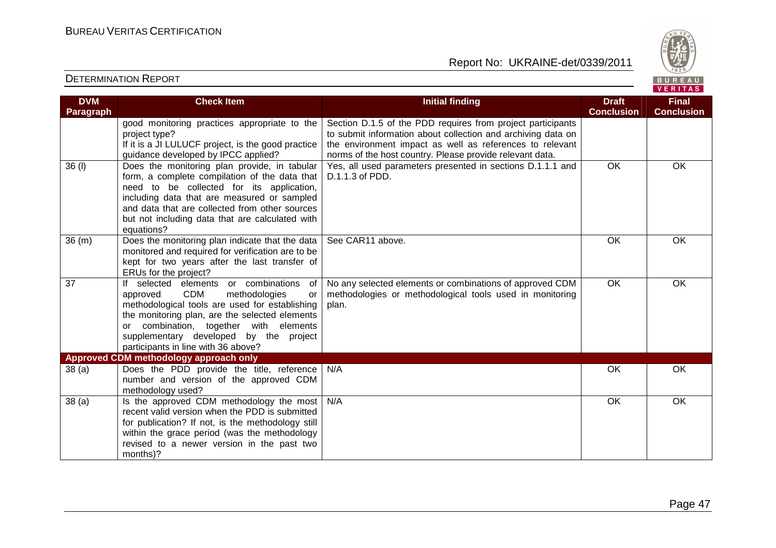

| <b>DVM</b>        | <b>Check Item</b>                                    | <b>Initial finding</b>                                       | <b>Draft</b>      | <b>Final</b>      |
|-------------------|------------------------------------------------------|--------------------------------------------------------------|-------------------|-------------------|
| Paragraph         |                                                      |                                                              | <b>Conclusion</b> | <b>Conclusion</b> |
|                   | good monitoring practices appropriate to the         | Section D.1.5 of the PDD requires from project participants  |                   |                   |
|                   | project type?                                        | to submit information about collection and archiving data on |                   |                   |
|                   | If it is a JI LULUCF project, is the good practice   | the environment impact as well as references to relevant     |                   |                   |
|                   | guidance developed by IPCC applied?                  | norms of the host country. Please provide relevant data.     |                   |                   |
| 36 (l)            | Does the monitoring plan provide, in tabular         | Yes, all used parameters presented in sections D.1.1.1 and   | $\overline{OK}$   | OK                |
|                   | form, a complete compilation of the data that        | D.1.1.3 of PDD.                                              |                   |                   |
|                   | need to be collected for its application,            |                                                              |                   |                   |
|                   | including data that are measured or sampled          |                                                              |                   |                   |
|                   | and data that are collected from other sources       |                                                              |                   |                   |
|                   | but not including data that are calculated with      |                                                              |                   |                   |
|                   | equations?                                           |                                                              |                   |                   |
| 36(m)             | Does the monitoring plan indicate that the data      | See CAR11 above.                                             | OK                | OK                |
|                   | monitored and required for verification are to be    |                                                              |                   |                   |
|                   | kept for two years after the last transfer of        |                                                              |                   |                   |
|                   | ERUs for the project?                                |                                                              |                   |                   |
| 37                | If selected elements or combinations<br>of           | No any selected elements or combinations of approved CDM     | $\overline{OK}$   | OK                |
|                   | <b>CDM</b><br>approved<br>methodologies<br><b>or</b> | methodologies or methodological tools used in monitoring     |                   |                   |
|                   | methodological tools are used for establishing       | plan.                                                        |                   |                   |
|                   | the monitoring plan, are the selected elements       |                                                              |                   |                   |
|                   | or combination, together with elements               |                                                              |                   |                   |
|                   | supplementary developed by the project               |                                                              |                   |                   |
|                   | participants in line with 36 above?                  |                                                              |                   |                   |
|                   | Approved CDM methodology approach only               |                                                              |                   |                   |
| 38(a)             | Does the PDD provide the title, reference            | N/A                                                          | OK                | OK                |
|                   | number and version of the approved CDM               |                                                              |                   |                   |
|                   | methodology used?                                    |                                                              |                   |                   |
| 38 <sub>(a)</sub> | Is the approved CDM methodology the most             | N/A                                                          | OK                | OK                |
|                   | recent valid version when the PDD is submitted       |                                                              |                   |                   |
|                   | for publication? If not, is the methodology still    |                                                              |                   |                   |
|                   | within the grace period (was the methodology         |                                                              |                   |                   |
|                   | revised to a newer version in the past two           |                                                              |                   |                   |
|                   | months)?                                             |                                                              |                   |                   |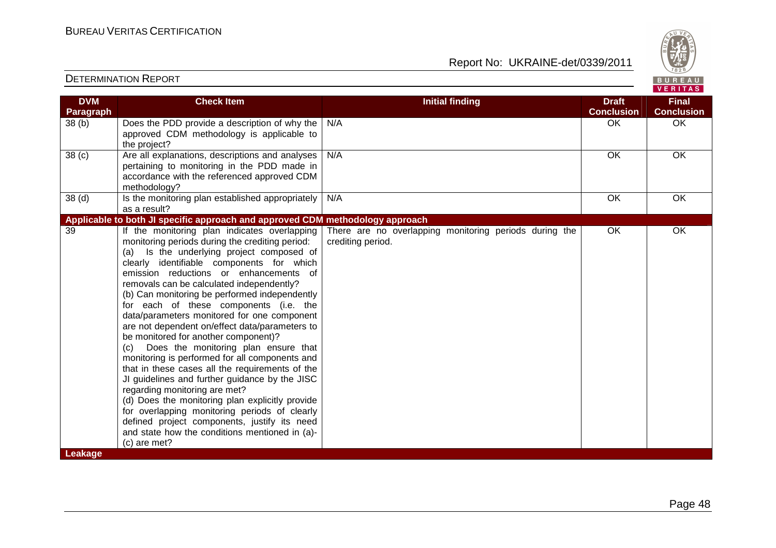Report No: UKRAINE-det/0339/2011



#### VERITAS **Check Item Initial finding Check Item Initial finding Check Item Initial finding Check Item Initial finding DVM Final Paragraph Conclusion Conclusion** 38 (b) Does the PDD provide a description of why the N/A OK OK OK approved CDM methodology is applicable to the project? 38 (c) Are all explanations, descriptions and analyses N/A OK OK OK pertaining to monitoring in the PDD made in accordance with the referenced approved CDM methodology?  $38$  (d)  $\vert$  Is the monitoring plan established appropriately N/A OK OK OK as a result? **Applicable to both JI specific approach and approved CDM methodology approach** 39 If the monitoring plan indicates overlapping There are no overlapping monitoring periods during the OK OK monitoring periods during the crediting period: crediting period. (a) Is the underlying project composed of clearly identifiable components for which emission reductions or enhancements of removals can be calculated independently? (b) Can monitoring be performed independently for each of these components (i.e. the data/parameters monitored for one component are not dependent on/effect data/parameters to be monitored for another component)? (c) Does the monitoring plan ensure that monitoring is performed for all components and that in these cases all the requirements of the JI guidelines and further guidance by the JISC regarding monitoring are met? (d) Does the monitoring plan explicitly provide for overlapping monitoring periods of clearly defined project components, justify its need and state how the conditions mentioned in (a)-(c) are met? **Leakage**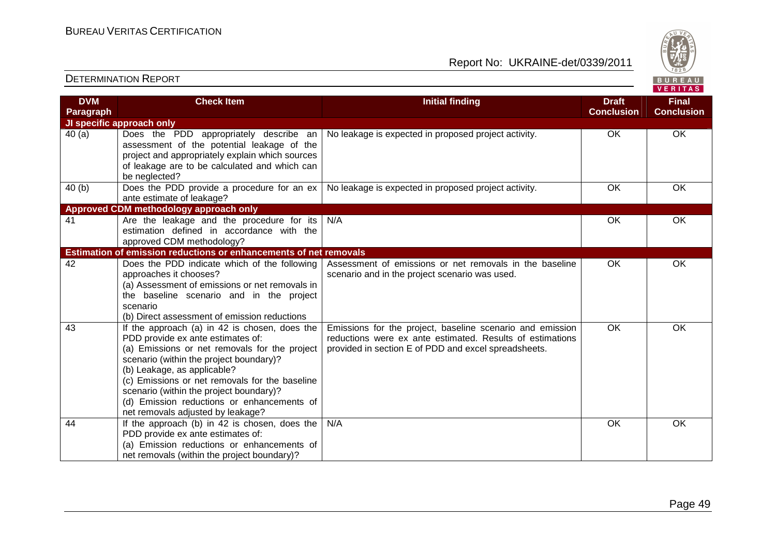

| <b>DVM</b> | <b>Check Item</b>                                                                                                                                                                                                                                                                                                                                                                             | <b>Initial finding</b>                                                                                                                                                         | <b>Draft</b>      | <b>Final</b>      |
|------------|-----------------------------------------------------------------------------------------------------------------------------------------------------------------------------------------------------------------------------------------------------------------------------------------------------------------------------------------------------------------------------------------------|--------------------------------------------------------------------------------------------------------------------------------------------------------------------------------|-------------------|-------------------|
| Paragraph  |                                                                                                                                                                                                                                                                                                                                                                                               |                                                                                                                                                                                | <b>Conclusion</b> | <b>Conclusion</b> |
|            | JI specific approach only                                                                                                                                                                                                                                                                                                                                                                     |                                                                                                                                                                                |                   |                   |
| 40(a)      | Does the PDD appropriately describe an<br>assessment of the potential leakage of the<br>project and appropriately explain which sources<br>of leakage are to be calculated and which can<br>be neglected?                                                                                                                                                                                     | No leakage is expected in proposed project activity.                                                                                                                           | OK                | OK                |
| 40(b)      | Does the PDD provide a procedure for an ex<br>ante estimate of leakage?                                                                                                                                                                                                                                                                                                                       | No leakage is expected in proposed project activity.                                                                                                                           | <b>OK</b>         | <b>OK</b>         |
|            | Approved CDM methodology approach only                                                                                                                                                                                                                                                                                                                                                        |                                                                                                                                                                                |                   |                   |
| 41         | Are the leakage and the procedure for its<br>estimation defined in accordance with the<br>approved CDM methodology?                                                                                                                                                                                                                                                                           | N/A                                                                                                                                                                            | OK                | OK                |
|            | Estimation of emission reductions or enhancements of net removals                                                                                                                                                                                                                                                                                                                             |                                                                                                                                                                                |                   |                   |
| 42         | Does the PDD indicate which of the following<br>approaches it chooses?<br>(a) Assessment of emissions or net removals in<br>the baseline scenario and in the project<br>scenario<br>(b) Direct assessment of emission reductions                                                                                                                                                              | Assessment of emissions or net removals in the baseline<br>scenario and in the project scenario was used.                                                                      | OK                | OK                |
| 43         | If the approach (a) in 42 is chosen, does the<br>PDD provide ex ante estimates of:<br>(a) Emissions or net removals for the project<br>scenario (within the project boundary)?<br>(b) Leakage, as applicable?<br>(c) Emissions or net removals for the baseline<br>scenario (within the project boundary)?<br>(d) Emission reductions or enhancements of<br>net removals adjusted by leakage? | Emissions for the project, baseline scenario and emission<br>reductions were ex ante estimated. Results of estimations<br>provided in section E of PDD and excel spreadsheets. | $\overline{OK}$   | OK                |
| 44         | If the approach (b) in 42 is chosen, does the<br>PDD provide ex ante estimates of:<br>(a) Emission reductions or enhancements of<br>net removals (within the project boundary)?                                                                                                                                                                                                               | N/A                                                                                                                                                                            | <b>OK</b>         | OK                |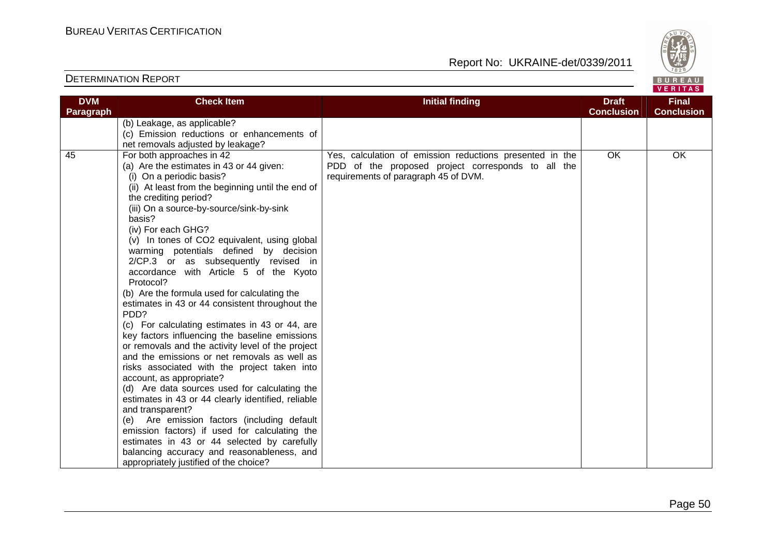

| <b>DVM</b><br>Paragraph | <b>Check Item</b>                                                                                                                                                                                                                                                                                                                                                                                                                                                                                                                                                                                                                                                                                                                                                                                                                                                                                                                                                                                                                                                                                                                                                                                                      | <b>Initial finding</b>                                                                                                                                 | <b>Draft</b><br><b>Conclusion</b> | <b>Final</b><br><b>Conclusion</b> |
|-------------------------|------------------------------------------------------------------------------------------------------------------------------------------------------------------------------------------------------------------------------------------------------------------------------------------------------------------------------------------------------------------------------------------------------------------------------------------------------------------------------------------------------------------------------------------------------------------------------------------------------------------------------------------------------------------------------------------------------------------------------------------------------------------------------------------------------------------------------------------------------------------------------------------------------------------------------------------------------------------------------------------------------------------------------------------------------------------------------------------------------------------------------------------------------------------------------------------------------------------------|--------------------------------------------------------------------------------------------------------------------------------------------------------|-----------------------------------|-----------------------------------|
|                         | (b) Leakage, as applicable?<br>(c) Emission reductions or enhancements of<br>net removals adjusted by leakage?                                                                                                                                                                                                                                                                                                                                                                                                                                                                                                                                                                                                                                                                                                                                                                                                                                                                                                                                                                                                                                                                                                         |                                                                                                                                                        |                                   |                                   |
| 45                      | For both approaches in 42<br>(a) Are the estimates in 43 or 44 given:<br>(i) On a periodic basis?<br>(ii) At least from the beginning until the end of<br>the crediting period?<br>(iii) On a source-by-source/sink-by-sink<br>basis?<br>(iv) For each GHG?<br>(v) In tones of CO2 equivalent, using global<br>warming potentials defined by decision<br>2/CP.3 or as subsequently revised in<br>accordance with Article 5 of the Kyoto<br>Protocol?<br>(b) Are the formula used for calculating the<br>estimates in 43 or 44 consistent throughout the<br>PDD?<br>(c) For calculating estimates in 43 or 44, are<br>key factors influencing the baseline emissions<br>or removals and the activity level of the project<br>and the emissions or net removals as well as<br>risks associated with the project taken into<br>account, as appropriate?<br>(d) Are data sources used for calculating the<br>estimates in 43 or 44 clearly identified, reliable<br>and transparent?<br>(e) Are emission factors (including default<br>emission factors) if used for calculating the<br>estimates in 43 or 44 selected by carefully<br>balancing accuracy and reasonableness, and<br>appropriately justified of the choice? | Yes, calculation of emission reductions presented in the<br>PDD of the proposed project corresponds to all the<br>requirements of paragraph 45 of DVM. | OK                                | OK                                |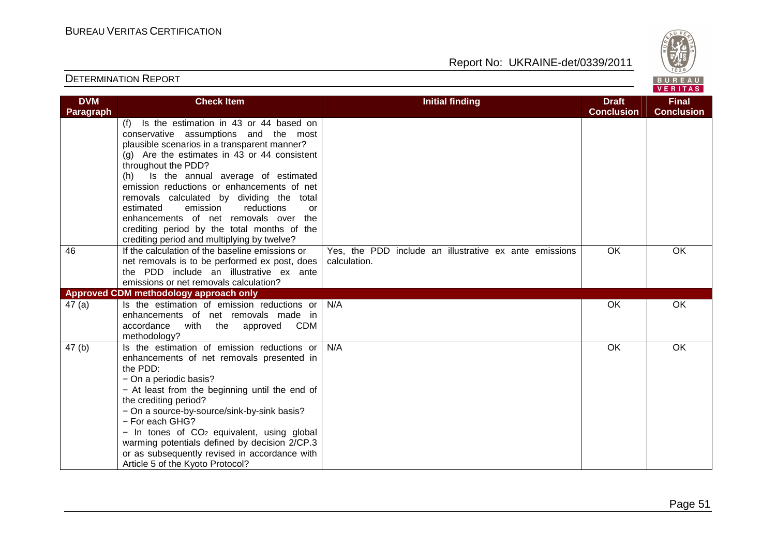

| <b>DVM</b>       | <b>Check Item</b>                                      | <b>Initial finding</b>                                 | <b>Draft</b>      | <b>Final</b>      |
|------------------|--------------------------------------------------------|--------------------------------------------------------|-------------------|-------------------|
| <b>Paragraph</b> |                                                        |                                                        | <b>Conclusion</b> | <b>Conclusion</b> |
|                  | Is the estimation in 43 or 44 based on<br>(f)          |                                                        |                   |                   |
|                  | conservative assumptions and the most                  |                                                        |                   |                   |
|                  | plausible scenarios in a transparent manner?           |                                                        |                   |                   |
|                  | $(g)$ Are the estimates in 43 or 44 consistent         |                                                        |                   |                   |
|                  | throughout the PDD?                                    |                                                        |                   |                   |
|                  | Is the annual average of estimated<br>(h)              |                                                        |                   |                   |
|                  | emission reductions or enhancements of net             |                                                        |                   |                   |
|                  | removals calculated by dividing the total              |                                                        |                   |                   |
|                  | emission<br>estimated<br>reductions<br>or              |                                                        |                   |                   |
|                  | enhancements of net removals over the                  |                                                        |                   |                   |
|                  | crediting period by the total months of the            |                                                        |                   |                   |
|                  | crediting period and multiplying by twelve?            |                                                        |                   |                   |
| 46               | If the calculation of the baseline emissions or        | Yes, the PDD include an illustrative ex ante emissions | OK                | OK                |
|                  | net removals is to be performed ex post, does          | calculation.                                           |                   |                   |
|                  | the PDD include an illustrative ex ante                |                                                        |                   |                   |
|                  | emissions or net removals calculation?                 |                                                        |                   |                   |
|                  | Approved CDM methodology approach only                 |                                                        |                   |                   |
| 47(a)            | Is the estimation of emission reductions or            | N/A                                                    | OK                | <b>OK</b>         |
|                  | enhancements of net removals made in                   |                                                        |                   |                   |
|                  | <b>CDM</b><br>accordance<br>with the<br>approved       |                                                        |                   |                   |
|                  | methodology?                                           |                                                        |                   |                   |
| 47(b)            | Is the estimation of emission reductions or            | N/A                                                    | OK                | OK                |
|                  | enhancements of net removals presented in              |                                                        |                   |                   |
|                  | the PDD:                                               |                                                        |                   |                   |
|                  | - On a periodic basis?                                 |                                                        |                   |                   |
|                  | - At least from the beginning until the end of         |                                                        |                   |                   |
|                  | the crediting period?                                  |                                                        |                   |                   |
|                  | - On a source-by-source/sink-by-sink basis?            |                                                        |                   |                   |
|                  | - For each GHG?                                        |                                                        |                   |                   |
|                  | - In tones of CO <sub>2</sub> equivalent, using global |                                                        |                   |                   |
|                  | warming potentials defined by decision 2/CP.3          |                                                        |                   |                   |
|                  | or as subsequently revised in accordance with          |                                                        |                   |                   |
|                  | Article 5 of the Kyoto Protocol?                       |                                                        |                   |                   |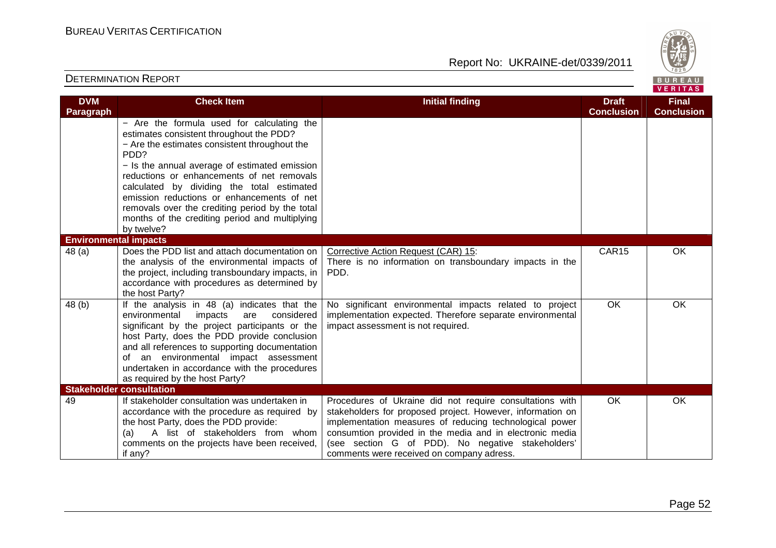Report No: UKRAINE-det/0339/2011



#### **VERITAS Check Item Initial finding Check Item Initial finding Check Item Initial finding Check Item Initial finding Check Item DVM Final Paragraph Conclusion Conclusion** − Are the formula used for calculating the estimates consistent throughout the PDD? − Are the estimates consistent throughout the PDD? − Is the annual average of estimated emission reductions or enhancements of net removals calculated by dividing the total estimated emission reductions or enhancements of net removals over the crediting period by the total months of the crediting period and multiplying by twelve? **Environmental impacts** CAR15 OK 48 (a) Does the PDD list and attach documentation on Corrective Action Request (CAR) 15: the analysis of the environmental impacts of There is no information on transboundary impacts in the the project, including transboundary impacts, in PDD. accordance with procedures as determined by the host Party? 48 (b) If the analysis in 48 (a) indicates that theNo significant environmental impacts related to project OK OK implementation expected. Therefore separate environmental environmental impacts are considered significant by the project participants or the impact assessment is not required. host Party, does the PDD provide conclusion and all references to supporting documentation of an environmental impact assessment undertaken in accordance with the procedures as required by the host Party? **Stakeholder consultation**  49 If stakeholder consultation was undertaken in Procedures of Ukraine did not require consultations with OK OK accordance with the procedure as required by stakeholders for proposed project. However, information on the host Party, does the PDD provide: implementation measures of reducing technological power (a) A list of stakeholders from whom consumtion provided in the media and in electronic media comments on the projects have been received, (see section G of PDD). No negative stakeholders' if any? comments were received on company adress.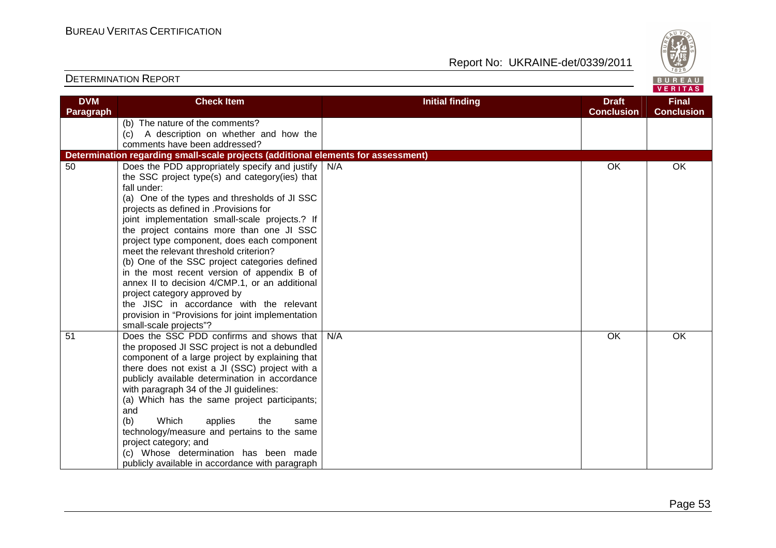

| <b>DVM</b> | <b>Check Item</b>                                                                     | <b>Initial finding</b> | <b>Draft</b>      | <b>Final</b>      |
|------------|---------------------------------------------------------------------------------------|------------------------|-------------------|-------------------|
| Paragraph  |                                                                                       |                        | <b>Conclusion</b> | <b>Conclusion</b> |
|            | (b) The nature of the comments?                                                       |                        |                   |                   |
|            | (c) A description on whether and how the                                              |                        |                   |                   |
|            | comments have been addressed?                                                         |                        |                   |                   |
|            | Determination regarding small-scale projects (additional elements for assessment)     |                        |                   |                   |
| 50         | Does the PDD appropriately specify and justify                                        | N/A                    | OK                | OK                |
|            | the SSC project type(s) and category(ies) that                                        |                        |                   |                   |
|            | fall under:                                                                           |                        |                   |                   |
|            | (a) One of the types and thresholds of JI SSC                                         |                        |                   |                   |
|            | projects as defined in .Provisions for                                                |                        |                   |                   |
|            | joint implementation small-scale projects.? If                                        |                        |                   |                   |
|            | the project contains more than one JI SSC                                             |                        |                   |                   |
|            | project type component, does each component<br>meet the relevant threshold criterion? |                        |                   |                   |
|            | (b) One of the SSC project categories defined                                         |                        |                   |                   |
|            | in the most recent version of appendix B of                                           |                        |                   |                   |
|            | annex II to decision 4/CMP.1, or an additional                                        |                        |                   |                   |
|            | project category approved by                                                          |                        |                   |                   |
|            | the JISC in accordance with the relevant                                              |                        |                   |                   |
|            | provision in "Provisions for joint implementation                                     |                        |                   |                   |
|            | small-scale projects"?                                                                |                        |                   |                   |
| 51         | Does the SSC PDD confirms and shows that                                              | N/A                    | OK                | OK                |
|            | the proposed JI SSC project is not a debundled                                        |                        |                   |                   |
|            | component of a large project by explaining that                                       |                        |                   |                   |
|            | there does not exist a JI (SSC) project with a                                        |                        |                   |                   |
|            | publicly available determination in accordance                                        |                        |                   |                   |
|            | with paragraph 34 of the JI guidelines:                                               |                        |                   |                   |
|            | (a) Which has the same project participants;                                          |                        |                   |                   |
|            | and                                                                                   |                        |                   |                   |
|            | (b)<br>Which<br>applies<br>the<br>same                                                |                        |                   |                   |
|            | technology/measure and pertains to the same                                           |                        |                   |                   |
|            | project category; and                                                                 |                        |                   |                   |
|            | (c) Whose determination has been made                                                 |                        |                   |                   |
|            | publicly available in accordance with paragraph                                       |                        |                   |                   |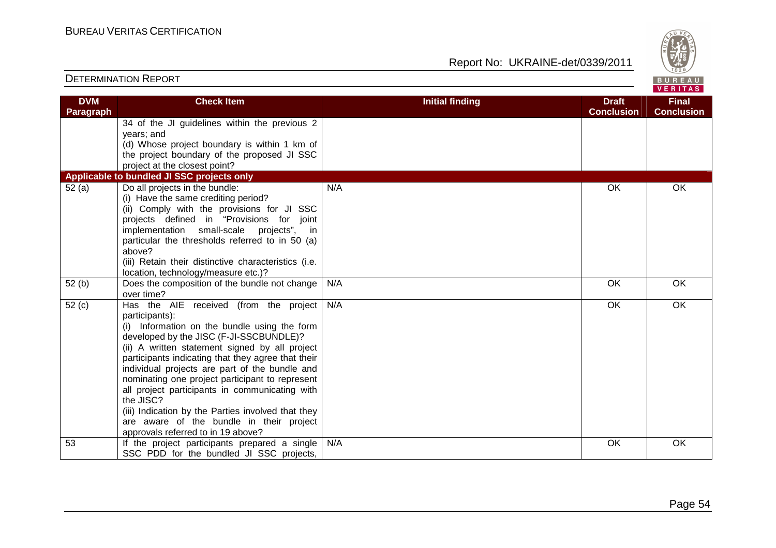

#### VERITAS **Check Item Initial finding Check Item Initial finding Check Item Initial finding Check Item Initial finding DVM Final Paragraph Conclusion Conclusion** 34 of the JI guidelines within the previous 2 years; and (d) Whose project boundary is within 1 km of the project boundary of the proposed JI SSC project at the closest point? **Applicable to bundled JI SSC projects only** 52 (a) Do all projects in the bundle: N/A OK OK OK (i) Have the same crediting period? (ii) Comply with the provisions for JI SSC projects defined in "Provisions for joint implementation small-scale projects", in particular the thresholds referred to in 50 (a) above? (iii) Retain their distinctive characteristics (i.e. location, technology/measure etc.)? 52 (b) Does the composition of the bundle not change N/A OK OK OK over time? 52 (c) Has the AIE received (from the project N/A OK OK OK participants): (i) Information on the bundle using the form developed by the JISC (F-JI-SSCBUNDLE)? (ii) A written statement signed by all project participants indicating that they agree that their individual projects are part of the bundle and nominating one project participant to represent all project participants in communicating with the JISC? (iii) Indication by the Parties involved that they are aware of the bundle in their project approvals referred to in 19 above? 53 | If the project participants prepared a single N/A OK OK OK SSC PDD for the bundled JI SSC projects,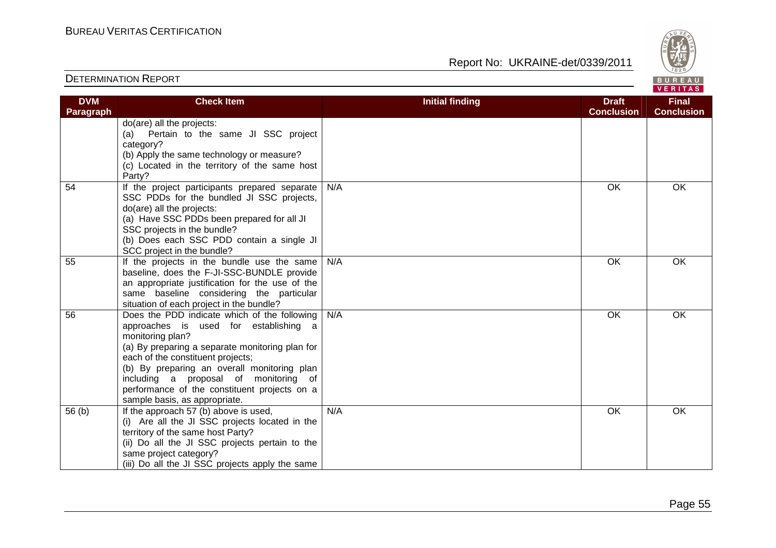

| <b>DVM</b><br>Paragraph | <b>Check Item</b>                                                                                                                                                                                                                                                                                                                                                          | <b>Initial finding</b> | <b>Draft</b><br><b>Conclusion</b> | <b>Final</b><br><b>Conclusion</b> |
|-------------------------|----------------------------------------------------------------------------------------------------------------------------------------------------------------------------------------------------------------------------------------------------------------------------------------------------------------------------------------------------------------------------|------------------------|-----------------------------------|-----------------------------------|
|                         | do(are) all the projects:<br>Pertain to the same JI SSC project<br>(a)<br>category?<br>(b) Apply the same technology or measure?<br>(c) Located in the territory of the same host<br>Party?                                                                                                                                                                                |                        |                                   |                                   |
| 54                      | If the project participants prepared separate<br>SSC PDDs for the bundled JI SSC projects,<br>do(are) all the projects:<br>(a) Have SSC PDDs been prepared for all JI<br>SSC projects in the bundle?<br>(b) Does each SSC PDD contain a single JI<br>SCC project in the bundle?                                                                                            | N/A                    | <b>OK</b>                         | <b>OK</b>                         |
| 55                      | If the projects in the bundle use the same<br>baseline, does the F-JI-SSC-BUNDLE provide<br>an appropriate justification for the use of the<br>same baseline considering the particular<br>situation of each project in the bundle?                                                                                                                                        | N/A                    | OK                                | OK                                |
| 56                      | Does the PDD indicate which of the following<br>approaches is used for establishing a<br>monitoring plan?<br>(a) By preparing a separate monitoring plan for<br>each of the constituent projects;<br>(b) By preparing an overall monitoring plan<br>including a proposal of monitoring of<br>performance of the constituent projects on a<br>sample basis, as appropriate. | N/A                    | <b>OK</b>                         | <b>OK</b>                         |
| 56 <sub>(b)</sub>       | If the approach 57 (b) above is used,<br>(i) Are all the JI SSC projects located in the<br>territory of the same host Party?<br>(ii) Do all the JI SSC projects pertain to the<br>same project category?<br>(iii) Do all the JI SSC projects apply the same                                                                                                                | N/A                    | OK                                | <b>OK</b>                         |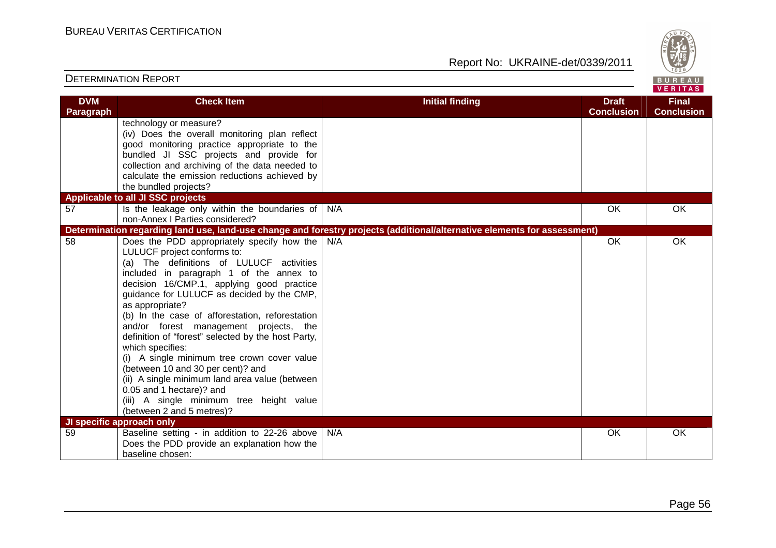

| <b>DVM</b><br>Paragraph | <b>Check Item</b>                                                                                                                                                                                                                                                                                                                                                                                                                                                                                                                                                                                                                                                                                | <b>Initial finding</b>                                                                                                   | <b>Draft</b><br><b>Conclusion</b> | <b>Final</b><br><b>Conclusion</b> |
|-------------------------|--------------------------------------------------------------------------------------------------------------------------------------------------------------------------------------------------------------------------------------------------------------------------------------------------------------------------------------------------------------------------------------------------------------------------------------------------------------------------------------------------------------------------------------------------------------------------------------------------------------------------------------------------------------------------------------------------|--------------------------------------------------------------------------------------------------------------------------|-----------------------------------|-----------------------------------|
|                         | technology or measure?<br>(iv) Does the overall monitoring plan reflect<br>good monitoring practice appropriate to the<br>bundled JI SSC projects and provide for<br>collection and archiving of the data needed to<br>calculate the emission reductions achieved by<br>the bundled projects?                                                                                                                                                                                                                                                                                                                                                                                                    |                                                                                                                          |                                   |                                   |
| 57                      | Applicable to all JI SSC projects                                                                                                                                                                                                                                                                                                                                                                                                                                                                                                                                                                                                                                                                |                                                                                                                          | OK                                | OK                                |
|                         | Is the leakage only within the boundaries of<br>non-Annex I Parties considered?                                                                                                                                                                                                                                                                                                                                                                                                                                                                                                                                                                                                                  | N/A                                                                                                                      |                                   |                                   |
|                         |                                                                                                                                                                                                                                                                                                                                                                                                                                                                                                                                                                                                                                                                                                  | Determination regarding land use, land-use change and forestry projects (additional/alternative elements for assessment) |                                   |                                   |
| 58                      | Does the PDD appropriately specify how the<br>LULUCF project conforms to:<br>(a) The definitions of LULUCF activities<br>included in paragraph 1 of the annex to<br>decision 16/CMP.1, applying good practice<br>guidance for LULUCF as decided by the CMP,<br>as appropriate?<br>(b) In the case of afforestation, reforestation<br>and/or forest management projects, the<br>definition of "forest" selected by the host Party,<br>which specifies:<br>(i) A single minimum tree crown cover value<br>(between 10 and 30 per cent)? and<br>(ii) A single minimum land area value (between<br>0.05 and 1 hectare)? and<br>(iii) A single minimum tree height value<br>(between 2 and 5 metres)? | N/A                                                                                                                      | OK                                | OK                                |
| 59                      | JI specific approach only<br>Baseline setting - in addition to 22-26 above                                                                                                                                                                                                                                                                                                                                                                                                                                                                                                                                                                                                                       | N/A                                                                                                                      | <b>OK</b>                         | <b>OK</b>                         |
|                         | Does the PDD provide an explanation how the<br>baseline chosen:                                                                                                                                                                                                                                                                                                                                                                                                                                                                                                                                                                                                                                  |                                                                                                                          |                                   |                                   |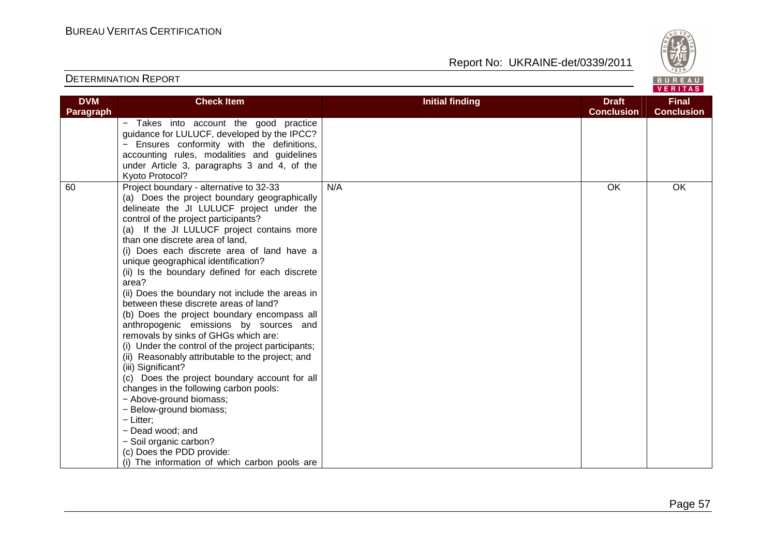

| <b>DVM</b> | <b>Check Item</b>                                                                                                                                                                                                                                                                                                                                                                                                                                                                                                                                                                                                                                                                                                                                                                                                                                                                                                                                                                                                   | <b>Initial finding</b> | <b>Draft</b>      | <b>Final</b>      |
|------------|---------------------------------------------------------------------------------------------------------------------------------------------------------------------------------------------------------------------------------------------------------------------------------------------------------------------------------------------------------------------------------------------------------------------------------------------------------------------------------------------------------------------------------------------------------------------------------------------------------------------------------------------------------------------------------------------------------------------------------------------------------------------------------------------------------------------------------------------------------------------------------------------------------------------------------------------------------------------------------------------------------------------|------------------------|-------------------|-------------------|
| Paragraph  |                                                                                                                                                                                                                                                                                                                                                                                                                                                                                                                                                                                                                                                                                                                                                                                                                                                                                                                                                                                                                     |                        | <b>Conclusion</b> | <b>Conclusion</b> |
|            | - Takes into account the good practice<br>guidance for LULUCF, developed by the IPCC?<br>Ensures conformity with the definitions,                                                                                                                                                                                                                                                                                                                                                                                                                                                                                                                                                                                                                                                                                                                                                                                                                                                                                   |                        |                   |                   |
|            | accounting rules, modalities and guidelines                                                                                                                                                                                                                                                                                                                                                                                                                                                                                                                                                                                                                                                                                                                                                                                                                                                                                                                                                                         |                        |                   |                   |
|            | under Article 3, paragraphs 3 and 4, of the<br>Kyoto Protocol?                                                                                                                                                                                                                                                                                                                                                                                                                                                                                                                                                                                                                                                                                                                                                                                                                                                                                                                                                      |                        |                   |                   |
| 60         | Project boundary - alternative to 32-33<br>(a) Does the project boundary geographically<br>delineate the JI LULUCF project under the<br>control of the project participants?<br>(a) If the JI LULUCF project contains more<br>than one discrete area of land,<br>(i) Does each discrete area of land have a<br>unique geographical identification?<br>(ii) Is the boundary defined for each discrete<br>area?<br>(ii) Does the boundary not include the areas in<br>between these discrete areas of land?<br>(b) Does the project boundary encompass all<br>anthropogenic emissions by sources and<br>removals by sinks of GHGs which are:<br>(i) Under the control of the project participants;<br>(ii) Reasonably attributable to the project; and<br>(iii) Significant?<br>(c) Does the project boundary account for all<br>changes in the following carbon pools:<br>- Above-ground biomass;<br>- Below-ground biomass;<br>- Litter;<br>- Dead wood; and<br>- Soil organic carbon?<br>(c) Does the PDD provide: | N/A                    | OK                | OK                |
|            | (i) The information of which carbon pools are                                                                                                                                                                                                                                                                                                                                                                                                                                                                                                                                                                                                                                                                                                                                                                                                                                                                                                                                                                       |                        |                   |                   |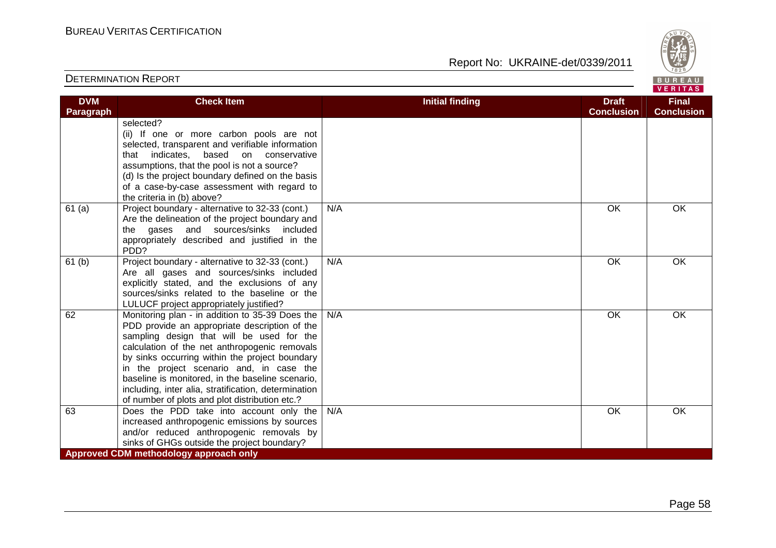

| <b>DVM</b>        | <b>Check Item</b>                                                                                                                                                                                                                                                                                                                                                                                                                                          | <b>Initial finding</b> | <b>Draft</b>      | <b>Final</b>      |
|-------------------|------------------------------------------------------------------------------------------------------------------------------------------------------------------------------------------------------------------------------------------------------------------------------------------------------------------------------------------------------------------------------------------------------------------------------------------------------------|------------------------|-------------------|-------------------|
| <b>Paragraph</b>  |                                                                                                                                                                                                                                                                                                                                                                                                                                                            |                        | <b>Conclusion</b> | <b>Conclusion</b> |
|                   | selected?<br>(ii) If one or more carbon pools are not<br>selected, transparent and verifiable information<br>that indicates, based on conservative<br>assumptions, that the pool is not a source?<br>(d) Is the project boundary defined on the basis<br>of a case-by-case assessment with regard to<br>the criteria in (b) above?                                                                                                                         |                        |                   |                   |
| 61(a)             | Project boundary - alternative to 32-33 (cont.)<br>Are the delineation of the project boundary and<br>the gases and sources/sinks included<br>appropriately described and justified in the<br>PDD?                                                                                                                                                                                                                                                         | N/A                    | <b>OK</b>         | OK                |
| 61 <sub>(b)</sub> | Project boundary - alternative to 32-33 (cont.)<br>Are all gases and sources/sinks included<br>explicitly stated, and the exclusions of any<br>sources/sinks related to the baseline or the<br>LULUCF project appropriately justified?                                                                                                                                                                                                                     | N/A                    | OK                | OK                |
| 62                | Monitoring plan - in addition to 35-39 Does the<br>PDD provide an appropriate description of the<br>sampling design that will be used for the<br>calculation of the net anthropogenic removals<br>by sinks occurring within the project boundary<br>in the project scenario and, in case the<br>baseline is monitored, in the baseline scenario,<br>including, inter alia, stratification, determination<br>of number of plots and plot distribution etc.? | N/A                    | <b>OK</b>         | OK                |
| 63                | Does the PDD take into account only the<br>increased anthropogenic emissions by sources<br>and/or reduced anthropogenic removals by<br>sinks of GHGs outside the project boundary?                                                                                                                                                                                                                                                                         | N/A                    | OK                | OK                |
|                   | Approved CDM methodology approach only                                                                                                                                                                                                                                                                                                                                                                                                                     |                        |                   |                   |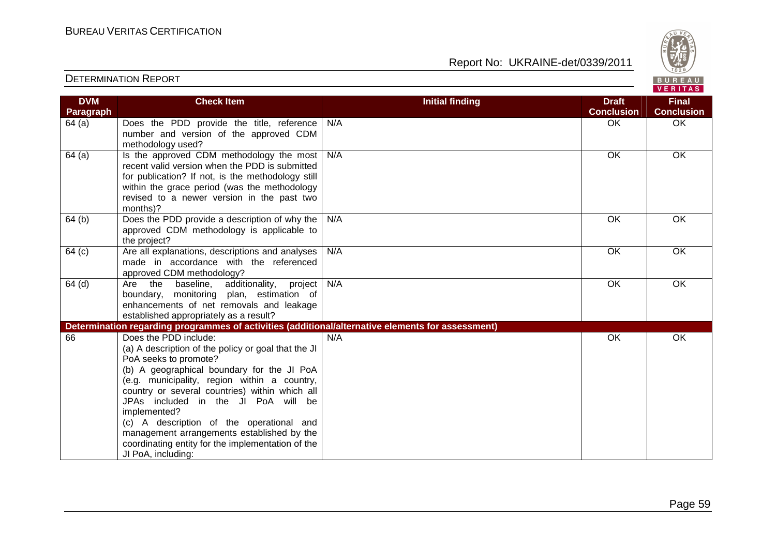Report No: UKRAINE-det/0339/2011



#### VERITAS **Check Item Initial finding Check Item Initial finding Check Item Initial finding Check Item Initial finding DVM Final Paragraph Conclusion Conclusion** 64 (a) Does the PDD provide the title, reference N/A OK OK OK number and version of the approved CDM methodology used?  $64$  (a) | Is the approved CDM methodology the most N/A OK OK OK recent valid version when the PDD is submitted for publication? If not, is the methodology still within the grace period (was the methodology revised to a newer version in the past two months)? 64 (b) Does the PDD provide a description of why the N/A OK OK OK approved CDM methodology is applicable to the project? 64 (c) Are all explanations, descriptions and analyses N/A OK OK OK made in accordance with the referenced approved CDM methodology?  $64$  (d)  $\overline{\phantom{a}}$  Are the baseline, additionality, project N/A OK OK boundary, monitoring plan, estimation of enhancements of net removals and leakage established appropriately as a result? **Determination regarding programmes of activities (additional/alternative elements for assessment)** 66 Does the PDD include: N/A OK OK OK (a) A description of the policy or goal that the JIPoA seeks to promote? (b) A geographical boundary for the JI PoA (e.g. municipality, region within a country, country or several countries) within which all JPAs included in the JI PoA will be implemented? (c) A description of the operational and management arrangements established by the coordinating entity for the implementation of the JI PoA, including: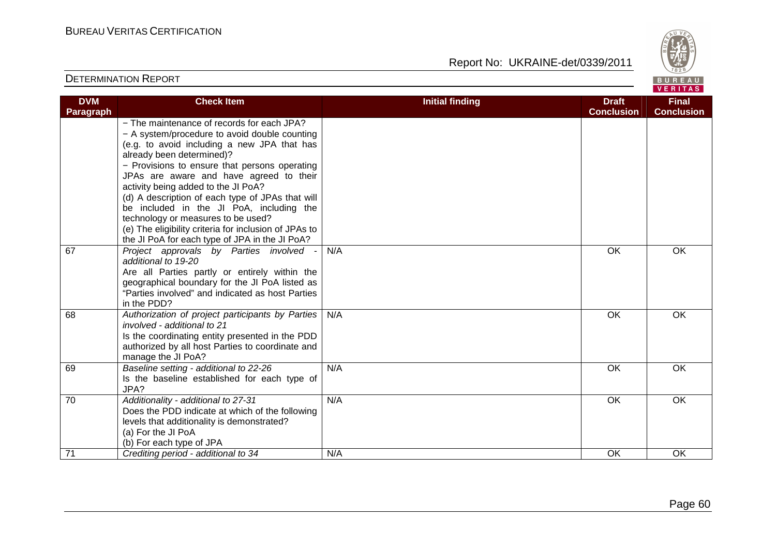

| <b>DVM</b>       | <b>Check Item</b>                                                                                                                                                                                                                                                                                                                                                                                                                                                                                         | <b>Initial finding</b> | <b>Draft</b>      | <b>Final</b>      |
|------------------|-----------------------------------------------------------------------------------------------------------------------------------------------------------------------------------------------------------------------------------------------------------------------------------------------------------------------------------------------------------------------------------------------------------------------------------------------------------------------------------------------------------|------------------------|-------------------|-------------------|
| <b>Paragraph</b> |                                                                                                                                                                                                                                                                                                                                                                                                                                                                                                           |                        | <b>Conclusion</b> | <b>Conclusion</b> |
|                  | - The maintenance of records for each JPA?<br>- A system/procedure to avoid double counting<br>(e.g. to avoid including a new JPA that has<br>already been determined)?<br>- Provisions to ensure that persons operating<br>JPAs are aware and have agreed to their<br>activity being added to the JI PoA?<br>(d) A description of each type of JPAs that will<br>be included in the JI PoA, including the<br>technology or measures to be used?<br>(e) The eligibility criteria for inclusion of JPAs to |                        |                   |                   |
|                  | the JI PoA for each type of JPA in the JI PoA?                                                                                                                                                                                                                                                                                                                                                                                                                                                            |                        |                   |                   |
| 67               | Project approvals by Parties involved<br>additional to 19-20<br>Are all Parties partly or entirely within the<br>geographical boundary for the JI PoA listed as<br>"Parties involved" and indicated as host Parties<br>in the PDD?                                                                                                                                                                                                                                                                        | N/A                    | <b>OK</b>         | <b>OK</b>         |
| 68               | Authorization of project participants by Parties<br>involved - additional to 21<br>Is the coordinating entity presented in the PDD<br>authorized by all host Parties to coordinate and<br>manage the JI PoA?                                                                                                                                                                                                                                                                                              | N/A                    | OK                | OK                |
| 69               | Baseline setting - additional to 22-26<br>Is the baseline established for each type of<br>JPA?                                                                                                                                                                                                                                                                                                                                                                                                            | N/A                    | <b>OK</b>         | <b>OK</b>         |
| $\overline{70}$  | Additionality - additional to 27-31<br>Does the PDD indicate at which of the following<br>levels that additionality is demonstrated?<br>(a) For the JI PoA<br>(b) For each type of JPA                                                                                                                                                                                                                                                                                                                    | N/A                    | <b>OK</b>         | <b>OK</b>         |
| 71               | Crediting period - additional to 34                                                                                                                                                                                                                                                                                                                                                                                                                                                                       | N/A                    | OK                | OK                |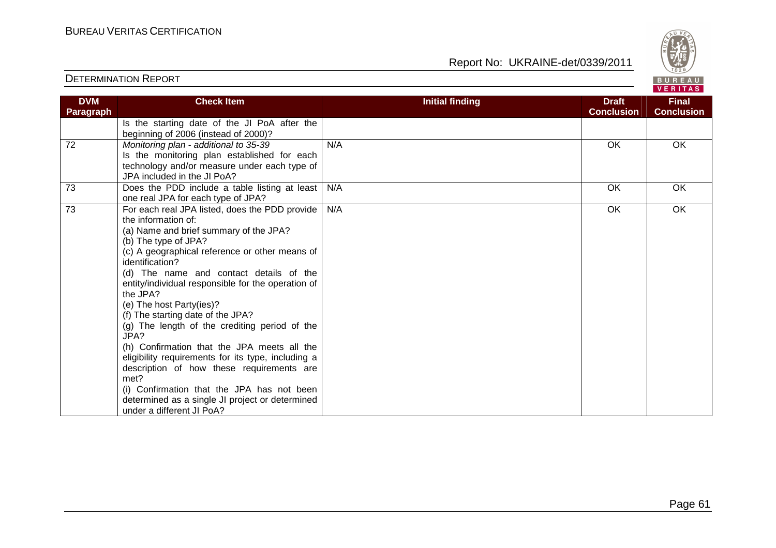

| <b>DVM</b><br><b>Paragraph</b> | <b>Check Item</b>                                                                                                                                                                                                                                                                                                                                                                                                                                                                                                                                                                                                                                                                                                                           | <b>Initial finding</b> | <b>Draft</b><br><b>Conclusion</b> | <b>Final</b><br><b>Conclusion</b> |
|--------------------------------|---------------------------------------------------------------------------------------------------------------------------------------------------------------------------------------------------------------------------------------------------------------------------------------------------------------------------------------------------------------------------------------------------------------------------------------------------------------------------------------------------------------------------------------------------------------------------------------------------------------------------------------------------------------------------------------------------------------------------------------------|------------------------|-----------------------------------|-----------------------------------|
|                                | Is the starting date of the JI PoA after the<br>beginning of 2006 (instead of 2000)?                                                                                                                                                                                                                                                                                                                                                                                                                                                                                                                                                                                                                                                        |                        |                                   |                                   |
| 72                             | Monitoring plan - additional to 35-39<br>Is the monitoring plan established for each<br>technology and/or measure under each type of<br>JPA included in the JI PoA?                                                                                                                                                                                                                                                                                                                                                                                                                                                                                                                                                                         | N/A                    | <b>OK</b>                         | OK                                |
| 73                             | Does the PDD include a table listing at least<br>one real JPA for each type of JPA?                                                                                                                                                                                                                                                                                                                                                                                                                                                                                                                                                                                                                                                         | N/A                    | OK                                | OK.                               |
| 73                             | For each real JPA listed, does the PDD provide<br>the information of:<br>(a) Name and brief summary of the JPA?<br>(b) The type of JPA?<br>(c) A geographical reference or other means of<br>identification?<br>(d) The name and contact details of the<br>entity/individual responsible for the operation of<br>the JPA?<br>(e) The host Party(ies)?<br>(f) The starting date of the JPA?<br>(g) The length of the crediting period of the<br>JPA?<br>(h) Confirmation that the JPA meets all the<br>eligibility requirements for its type, including a<br>description of how these requirements are<br>met?<br>(i) Confirmation that the JPA has not been<br>determined as a single JI project or determined<br>under a different JI PoA? | N/A                    | OK                                | OK                                |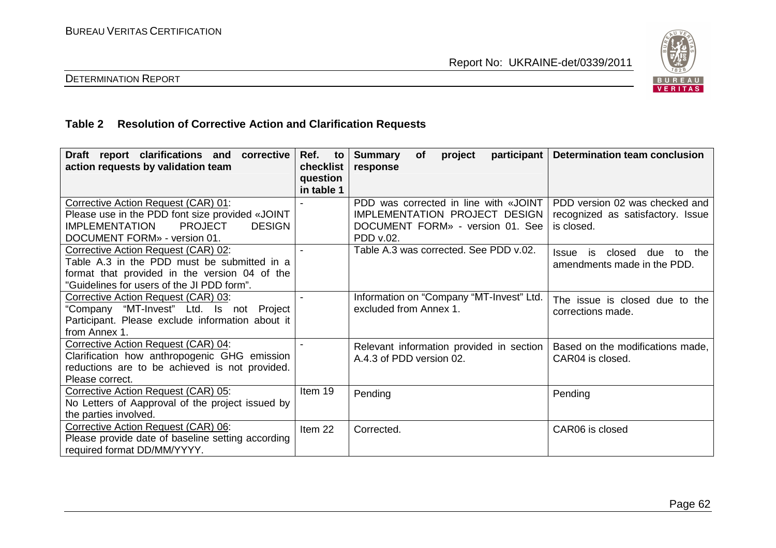

# DETERMINATION REPORT

# **Table 2 Resolution of Corrective Action and Clarification Requests**

| Draft report clarifications and<br>corrective<br>action requests by validation team                                                                                                | Ref. to<br>checklist<br>question<br>in table 1 | <b>Summary</b><br><b>of</b><br>project<br>response                                                                      | participant   Determination team conclusion                                       |
|------------------------------------------------------------------------------------------------------------------------------------------------------------------------------------|------------------------------------------------|-------------------------------------------------------------------------------------------------------------------------|-----------------------------------------------------------------------------------|
| Corrective Action Request (CAR) 01:<br>Please use in the PDD font size provided «JOINT<br><b>PROJECT</b><br><b>IMPLEMENTATION</b><br><b>DESIGN</b><br>DOCUMENT FORM» - version 01. |                                                | PDD was corrected in line with «JOINT<br>IMPLEMENTATION PROJECT DESIGN<br>DOCUMENT FORM» - version 01. See<br>PDD v.02. | PDD version 02 was checked and<br>recognized as satisfactory. Issue<br>is closed. |
| Corrective Action Request (CAR) 02:<br>Table A.3 in the PDD must be submitted in a<br>format that provided in the version 04 of the<br>"Guidelines for users of the JI PDD form".  |                                                | Table A.3 was corrected. See PDD v.02.                                                                                  | is closed due<br>the<br>Issue<br>to<br>amendments made in the PDD.                |
| Corrective Action Request (CAR) 03:<br>"Company "MT-Invest" Ltd. Is not Project<br>Participant. Please exclude information about it<br>from Annex 1.                               |                                                | Information on "Company "MT-Invest" Ltd.<br>excluded from Annex 1.                                                      | The issue is closed due to the<br>corrections made.                               |
| Corrective Action Request (CAR) 04:<br>Clarification how anthropogenic GHG emission<br>reductions are to be achieved is not provided.<br>Please correct.                           |                                                | Relevant information provided in section<br>A.4.3 of PDD version 02.                                                    | Based on the modifications made,<br>CAR04 is closed.                              |
| Corrective Action Request (CAR) 05:<br>No Letters of Aapproval of the project issued by<br>the parties involved.                                                                   | Item 19                                        | Pending                                                                                                                 | Pending                                                                           |
| Corrective Action Request (CAR) 06:<br>Please provide date of baseline setting according<br>required format DD/MM/YYYY.                                                            | Item 22                                        | Corrected.                                                                                                              | CAR06 is closed                                                                   |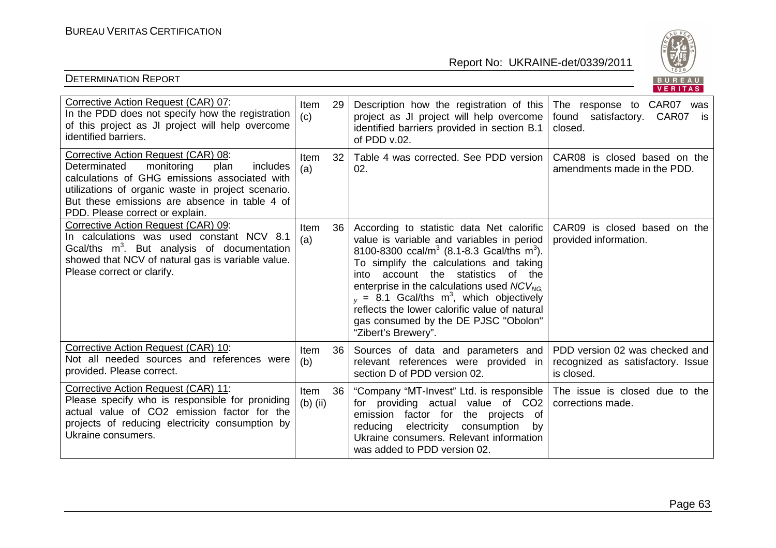

|                                                                                                                                                                                                                                                                                  |                    |                 |                                                                                                                                                                                                                                                                                                                                                                                                                                                                               | <b>VENIIAS</b>                                                                    |
|----------------------------------------------------------------------------------------------------------------------------------------------------------------------------------------------------------------------------------------------------------------------------------|--------------------|-----------------|-------------------------------------------------------------------------------------------------------------------------------------------------------------------------------------------------------------------------------------------------------------------------------------------------------------------------------------------------------------------------------------------------------------------------------------------------------------------------------|-----------------------------------------------------------------------------------|
| Corrective Action Request (CAR) 07:<br>In the PDD does not specify how the registration<br>of this project as JI project will help overcome<br>identified barriers.                                                                                                              | Item<br>(c)        | 29              | Description how the registration of this<br>project as JI project will help overcome<br>identified barriers provided in section B.1<br>of PDD v.02.                                                                                                                                                                                                                                                                                                                           | The response to CAR07 was<br>found satisfactory. CAR07<br>is<br>closed.           |
| Corrective Action Request (CAR) 08:<br>Determinated<br>monitoring<br>plan<br>includes<br>calculations of GHG emissions associated with<br>utilizations of organic waste in project scenario.<br>But these emissions are absence in table 4 of<br>PDD. Please correct or explain. | <b>Item</b><br>(a) | 32 <sup>2</sup> | Table 4 was corrected. See PDD version<br>02.                                                                                                                                                                                                                                                                                                                                                                                                                                 | CAR08 is closed based on the<br>amendments made in the PDD.                       |
| Corrective Action Request (CAR) 09:<br>In calculations was used constant NCV 8.1<br>Gcal/ths $m^3$ . But analysis of documentation<br>showed that NCV of natural gas is variable value.<br>Please correct or clarify.                                                            | Item<br>(a)        | 36 <sup>1</sup> | According to statistic data Net calorific<br>value is variable and variables in period<br>8100-8300 ccal/m <sup>3</sup> (8.1-8.3 Gcal/ths m <sup>3</sup> ).<br>To simplify the calculations and taking<br>account the statistics of the<br>into<br>enterprise in the calculations used $NCV_{NG}$<br>$_{v}$ = 8.1 Gcal/ths m <sup>3</sup> , which objectively<br>reflects the lower calorific value of natural<br>gas consumed by the DE PJSC "Obolon"<br>"Zibert's Brewery". | CAR09 is closed based on the<br>provided information.                             |
| Corrective Action Request (CAR) 10:<br>Not all needed sources and references were<br>provided. Please correct.                                                                                                                                                                   | Item<br>(b)        | 36 <sup>°</sup> | Sources of data and parameters and<br>relevant references were provided in<br>section D of PDD version 02.                                                                                                                                                                                                                                                                                                                                                                    | PDD version 02 was checked and<br>recognized as satisfactory. Issue<br>is closed. |
| Corrective Action Request (CAR) 11:<br>Please specify who is responsible for proniding<br>actual value of CO2 emission factor for the<br>projects of reducing electricity consumption by<br>Ukraine consumers.                                                                   | Item<br>$(b)$ (ii) | 36 <sup>1</sup> | "Company "MT-Invest" Ltd. is responsible<br>for providing actual value of CO2<br>of<br>emission factor for<br>the projects<br>electricity<br>consumption<br>reducing<br>by<br>Ukraine consumers. Relevant information<br>was added to PDD version 02.                                                                                                                                                                                                                         | The issue is closed due to the<br>corrections made.                               |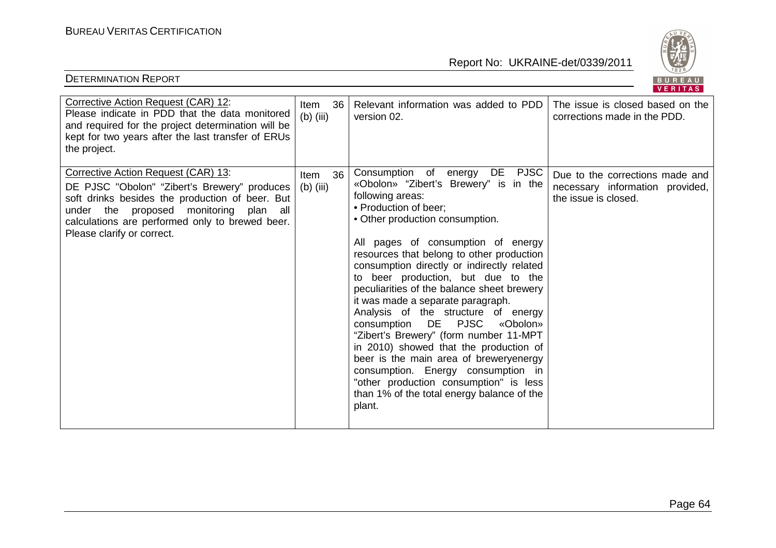

|                                                                                                                                                                                                                                                                      |                                  |                                                                                                                                                                                                                                                                                                                                                                                                                                                                                                                                                                                                                                                                                                                                                                  | $V = I1 I R.9$                                                                             |
|----------------------------------------------------------------------------------------------------------------------------------------------------------------------------------------------------------------------------------------------------------------------|----------------------------------|------------------------------------------------------------------------------------------------------------------------------------------------------------------------------------------------------------------------------------------------------------------------------------------------------------------------------------------------------------------------------------------------------------------------------------------------------------------------------------------------------------------------------------------------------------------------------------------------------------------------------------------------------------------------------------------------------------------------------------------------------------------|--------------------------------------------------------------------------------------------|
| Corrective Action Request (CAR) 12:<br>Please indicate in PDD that the data monitored<br>and required for the project determination will be<br>kept for two years after the last transfer of ERUs<br>the project.                                                    | 36<br>Item<br>$(b)$ (iii)        | Relevant information was added to PDD<br>version 02.                                                                                                                                                                                                                                                                                                                                                                                                                                                                                                                                                                                                                                                                                                             | The issue is closed based on the<br>corrections made in the PDD.                           |
| Corrective Action Request (CAR) 13:<br>DE PJSC "Obolon" "Zibert's Brewery" produces<br>soft drinks besides the production of beer. But<br>under the proposed monitoring<br>plan all<br>calculations are performed only to brewed beer.<br>Please clarify or correct. | 36<br><b>Item</b><br>$(b)$ (iii) | Consumption of energy DE PJSC<br>«Obolon» "Zibert's Brewery" is in the<br>following areas:<br>• Production of beer;<br>• Other production consumption.<br>All pages of consumption of energy<br>resources that belong to other production<br>consumption directly or indirectly related<br>to beer production, but due to the<br>peculiarities of the balance sheet brewery<br>it was made a separate paragraph.<br>Analysis of the structure of energy<br>consumption DE PJSC<br>«Obolon»<br>"Zibert's Brewery" (form number 11-MPT<br>in 2010) showed that the production of<br>beer is the main area of breweryenergy<br>consumption. Energy consumption in<br>"other production consumption" is less<br>than 1% of the total energy balance of the<br>plant. | Due to the corrections made and<br>necessary information provided,<br>the issue is closed. |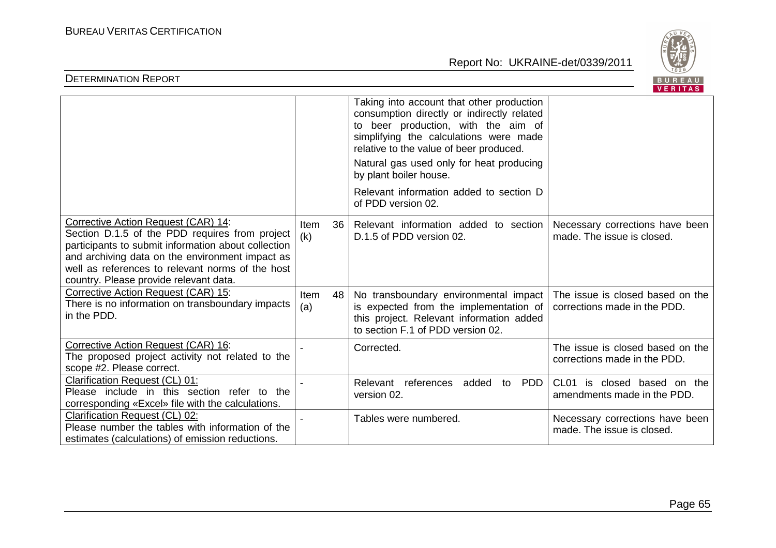

|                                                                                                                                                                                                                                                                                               |                     |                                                                                                                                                                                                                                                                                                                                                            | <b>VERIIAS</b>                                                   |
|-----------------------------------------------------------------------------------------------------------------------------------------------------------------------------------------------------------------------------------------------------------------------------------------------|---------------------|------------------------------------------------------------------------------------------------------------------------------------------------------------------------------------------------------------------------------------------------------------------------------------------------------------------------------------------------------------|------------------------------------------------------------------|
|                                                                                                                                                                                                                                                                                               |                     | Taking into account that other production<br>consumption directly or indirectly related<br>to beer production, with the aim of<br>simplifying the calculations were made<br>relative to the value of beer produced.<br>Natural gas used only for heat producing<br>by plant boiler house.<br>Relevant information added to section D<br>of PDD version 02. |                                                                  |
| Corrective Action Request (CAR) 14:<br>Section D.1.5 of the PDD requires from project<br>participants to submit information about collection<br>and archiving data on the environment impact as<br>well as references to relevant norms of the host<br>country. Please provide relevant data. | 36<br>Item<br>(k)   | Relevant information added to section<br>D.1.5 of PDD version 02.                                                                                                                                                                                                                                                                                          | Necessary corrections have been<br>made. The issue is closed.    |
| Corrective Action Request (CAR) 15:<br>There is no information on transboundary impacts<br>in the PDD.                                                                                                                                                                                        | Item<br>48  <br>(a) | No transboundary environmental impact<br>is expected from the implementation of<br>this project. Relevant information added<br>to section F.1 of PDD version 02.                                                                                                                                                                                           | The issue is closed based on the<br>corrections made in the PDD. |
| Corrective Action Request (CAR) 16:<br>The proposed project activity not related to the<br>scope #2. Please correct.                                                                                                                                                                          |                     | Corrected.                                                                                                                                                                                                                                                                                                                                                 | The issue is closed based on the<br>corrections made in the PDD. |
| Clarification Request (CL) 01:<br>Please include in this section refer to the<br>corresponding «Excel» file with the calculations.                                                                                                                                                            |                     | Relevant references added to<br><b>PDD</b><br>version 02.                                                                                                                                                                                                                                                                                                  | CL01 is closed based on the<br>amendments made in the PDD.       |
| Clarification Request (CL) 02:<br>Please number the tables with information of the<br>estimates (calculations) of emission reductions.                                                                                                                                                        |                     | Tables were numbered.                                                                                                                                                                                                                                                                                                                                      | Necessary corrections have been<br>made. The issue is closed.    |